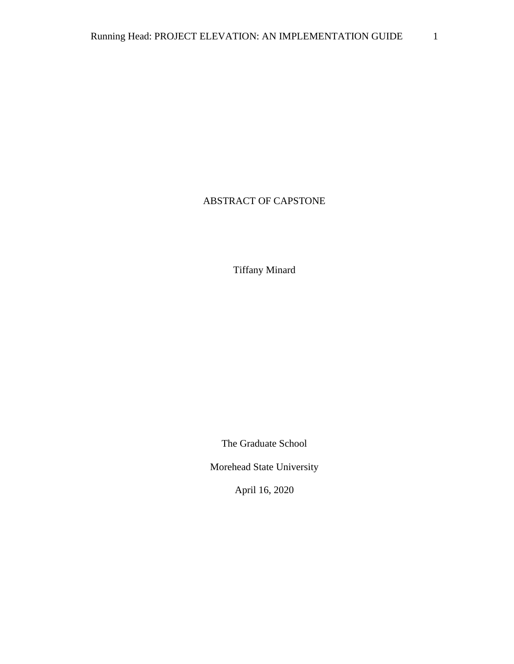# ABSTRACT OF CAPSTONE

Tiffany Minard

The Graduate School

Morehead State University

April 16, 2020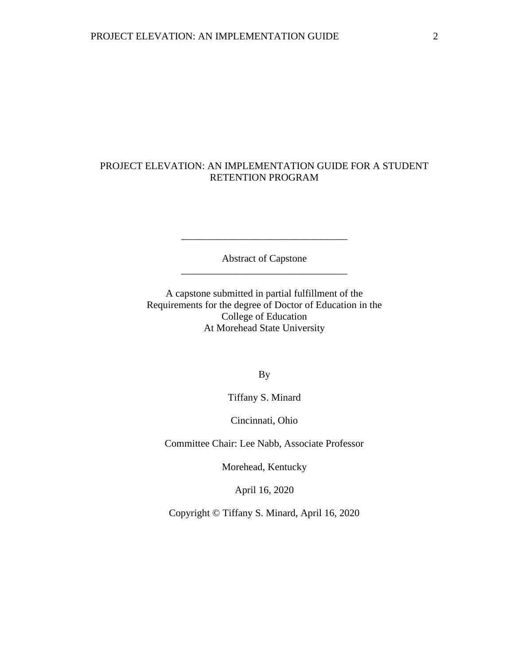## PROJECT ELEVATION: AN IMPLEMENTATION GUIDE FOR A STUDENT RETENTION PROGRAM

Abstract of Capstone \_\_\_\_\_\_\_\_\_\_\_\_\_\_\_\_\_\_\_\_\_\_\_\_\_\_\_\_\_\_\_\_\_

\_\_\_\_\_\_\_\_\_\_\_\_\_\_\_\_\_\_\_\_\_\_\_\_\_\_\_\_\_\_\_\_\_

A capstone submitted in partial fulfillment of the Requirements for the degree of Doctor of Education in the College of Education At Morehead State University

By

Tiffany S. Minard

Cincinnati, Ohio

Committee Chair: Lee Nabb, Associate Professor

Morehead, Kentucky

April 16, 2020

Copyright © Tiffany S. Minard, April 16, 2020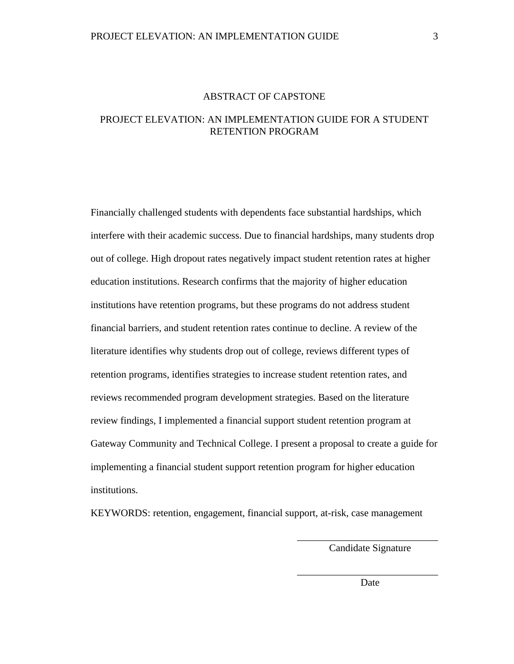### ABSTRACT OF CAPSTONE

## PROJECT ELEVATION: AN IMPLEMENTATION GUIDE FOR A STUDENT RETENTION PROGRAM

Financially challenged students with dependents face substantial hardships, which interfere with their academic success. Due to financial hardships, many students drop out of college. High dropout rates negatively impact student retention rates at higher education institutions. Research confirms that the majority of higher education institutions have retention programs, but these programs do not address student financial barriers, and student retention rates continue to decline. A review of the literature identifies why students drop out of college, reviews different types of retention programs, identifies strategies to increase student retention rates, and reviews recommended program development strategies. Based on the literature review findings, I implemented a financial support student retention program at Gateway Community and Technical College. I present a proposal to create a guide for implementing a financial student support retention program for higher education institutions.

KEYWORDS: retention, engagement, financial support, at-risk, case management

\_\_\_\_\_\_\_\_\_\_\_\_\_\_\_\_\_\_\_\_\_\_\_\_\_\_\_\_ Candidate Signature

\_\_\_\_\_\_\_\_\_\_\_\_\_\_\_\_\_\_\_\_\_\_\_\_\_\_\_\_ **Date**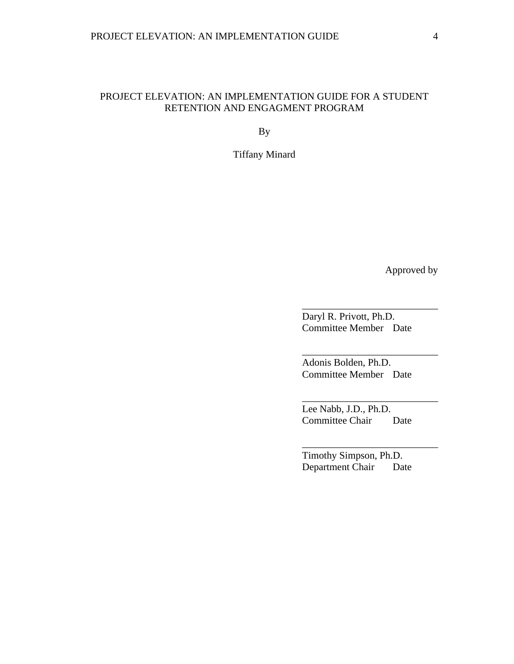## PROJECT ELEVATION: AN IMPLEMENTATION GUIDE FOR A STUDENT RETENTION AND ENGAGMENT PROGRAM

By

Tiffany Minard

Approved by

Daryl R. Privott, Ph.D. Committee Member Date

\_\_\_\_\_\_\_\_\_\_\_\_\_\_\_\_\_\_\_\_\_\_\_\_\_\_\_

\_\_\_\_\_\_\_\_\_\_\_\_\_\_\_\_\_\_\_\_\_\_\_\_\_\_\_

\_\_\_\_\_\_\_\_\_\_\_\_\_\_\_\_\_\_\_\_\_\_\_\_\_\_\_

\_\_\_\_\_\_\_\_\_\_\_\_\_\_\_\_\_\_\_\_\_\_\_\_\_\_\_

Adonis Bolden, Ph.D. Committee Member Date

Lee Nabb, J.D., Ph.D. Committee Chair Date

Timothy Simpson, Ph.D. Department Chair Date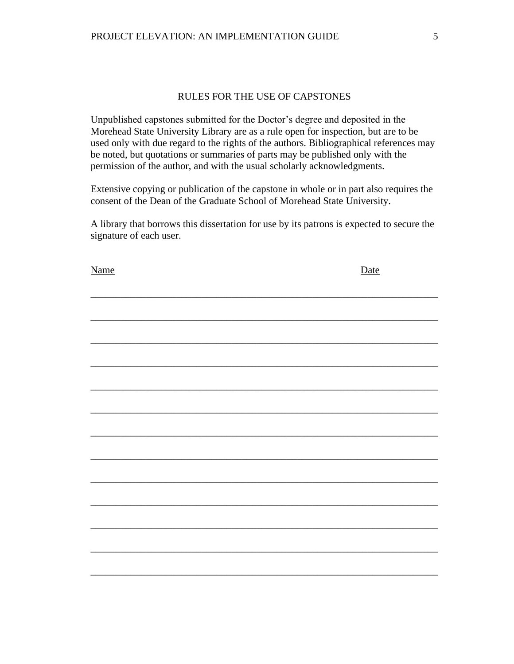## RULES FOR THE USE OF CAPSTONES

Unpublished capstones submitted for the Doctor's degree and deposited in the Morehead State University Library are as a rule open for inspection, but are to be used only with due regard to the rights of the authors. Bibliographical references may be noted, but quotations or summaries of parts may be published only with the permission of the author, and with the usual scholarly acknowledgments.

Extensive copying or publication of the capstone in whole or in part also requires the consent of the Dean of the Graduate School of Morehead State University.

A library that borrows this dissertation for use by its patrons is expected to secure the signature of each user.

| Name | Date |
|------|------|
|      |      |
|      |      |
|      |      |
|      |      |
|      |      |
|      |      |
|      |      |
|      |      |
|      |      |
|      |      |
|      |      |
|      |      |
|      |      |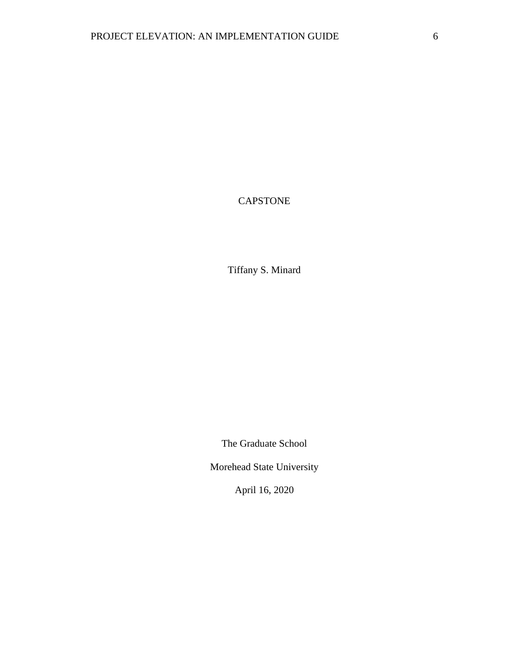# CAPSTONE

Tiffany S. Minard

The Graduate School

Morehead State University

April 16, 2020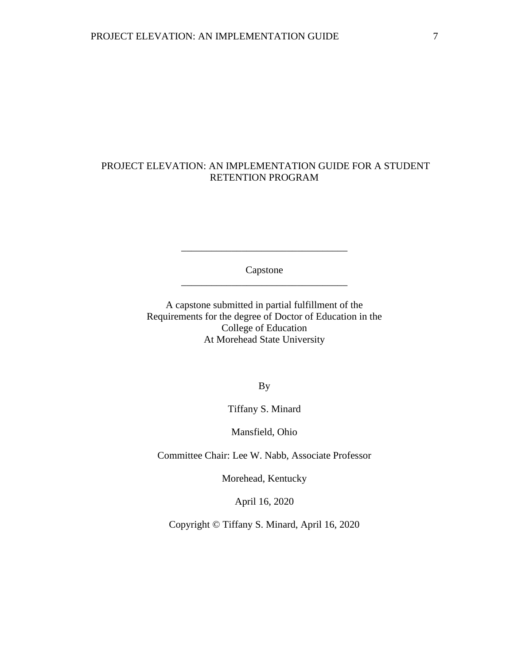## PROJECT ELEVATION: AN IMPLEMENTATION GUIDE FOR A STUDENT RETENTION PROGRAM

Capstone \_\_\_\_\_\_\_\_\_\_\_\_\_\_\_\_\_\_\_\_\_\_\_\_\_\_\_\_\_\_\_\_\_

\_\_\_\_\_\_\_\_\_\_\_\_\_\_\_\_\_\_\_\_\_\_\_\_\_\_\_\_\_\_\_\_\_

A capstone submitted in partial fulfillment of the Requirements for the degree of Doctor of Education in the College of Education At Morehead State University

By

Tiffany S. Minard

Mansfield, Ohio

Committee Chair: Lee W. Nabb, Associate Professor

Morehead, Kentucky

April 16, 2020

Copyright © Tiffany S. Minard, April 16, 2020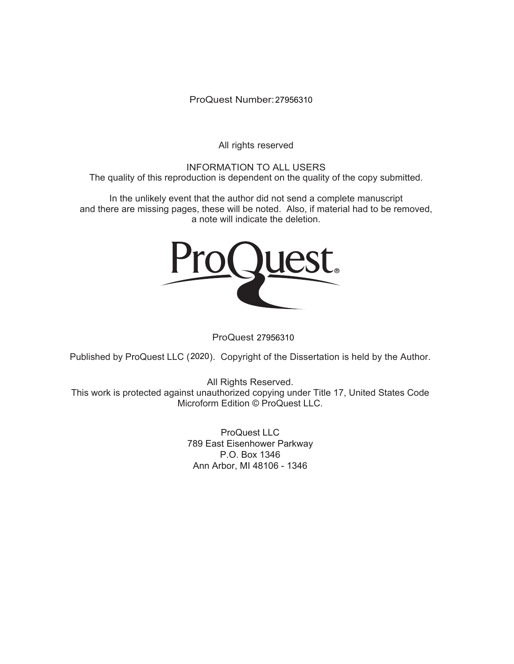ProQuest Number: 27956310

All rights reserved

INFORMATION TO ALL USERS The quality of this reproduction is dependent on the quality of the copy submitted.

In the unlikely event that the author did not send a complete manuscript and there are missing pages, these will be noted. Also, if material had to be removed, a note will indicate the deletion.



ProQuest 27956310

Published by ProQuest LLC (2020). Copyright of the Dissertation is held by the Author.

All Rights Reserved. This work is protected against unauthorized copying under Title 17, United States Code Microform Edition © ProQuest LLC.

> ProQuest LLC 789 East Eisenhower Parkway P.O. Box 1346 Ann Arbor, MI 48106 - 1346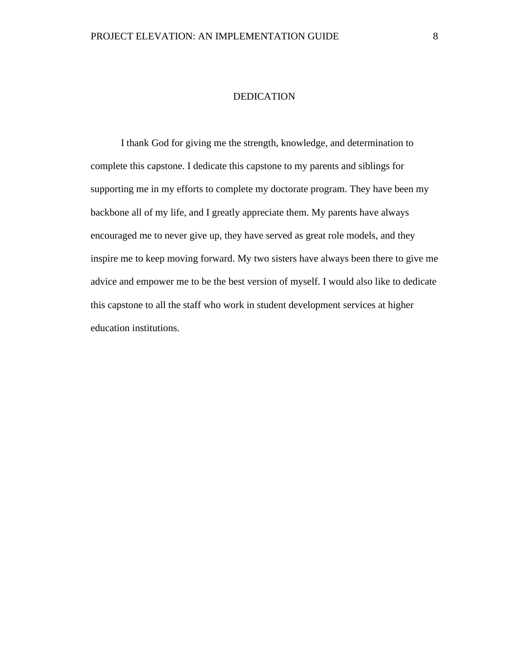### DEDICATION

I thank God for giving me the strength, knowledge, and determination to complete this capstone. I dedicate this capstone to my parents and siblings for supporting me in my efforts to complete my doctorate program. They have been my backbone all of my life, and I greatly appreciate them. My parents have always encouraged me to never give up, they have served as great role models, and they inspire me to keep moving forward. My two sisters have always been there to give me advice and empower me to be the best version of myself. I would also like to dedicate this capstone to all the staff who work in student development services at higher education institutions.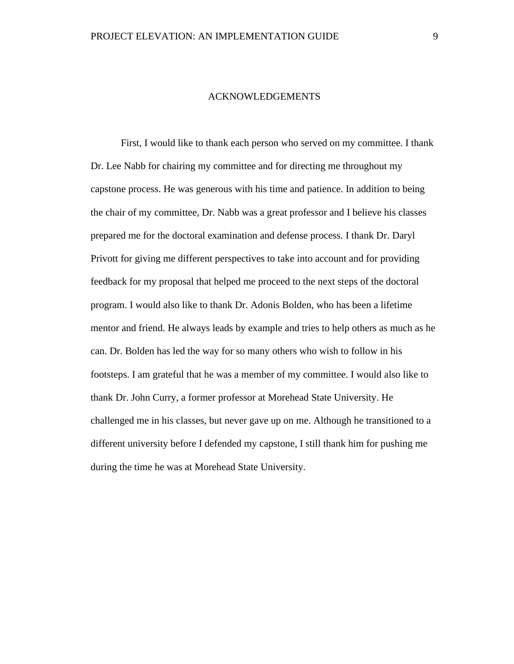### ACKNOWLEDGEMENTS

First, I would like to thank each person who served on my committee. I thank Dr. Lee Nabb for chairing my committee and for directing me throughout my capstone process. He was generous with his time and patience. In addition to being the chair of my committee, Dr. Nabb was a great professor and I believe his classes prepared me for the doctoral examination and defense process. I thank Dr. Daryl Privott for giving me different perspectives to take into account and for providing feedback for my proposal that helped me proceed to the next steps of the doctoral program. I would also like to thank Dr. Adonis Bolden, who has been a lifetime mentor and friend. He always leads by example and tries to help others as much as he can. Dr. Bolden has led the way for so many others who wish to follow in his footsteps. I am grateful that he was a member of my committee. I would also like to thank Dr. John Curry, a former professor at Morehead State University. He challenged me in his classes, but never gave up on me. Although he transitioned to a different university before I defended my capstone, I still thank him for pushing me during the time he was at Morehead State University.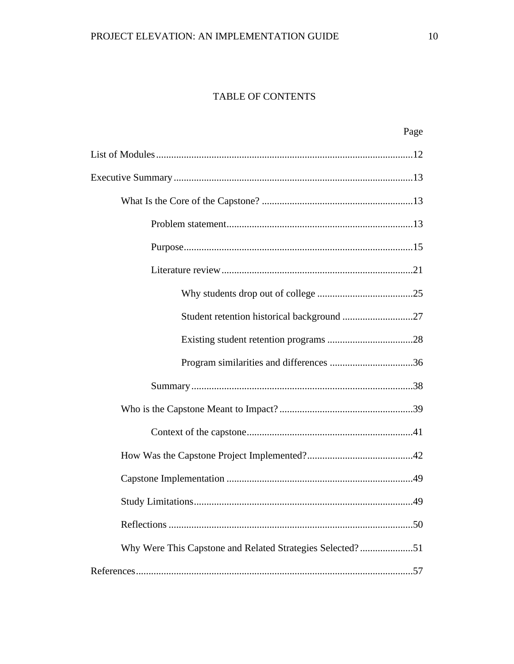# TABLE OF CONTENTS

| Page                                                      |
|-----------------------------------------------------------|
|                                                           |
|                                                           |
|                                                           |
|                                                           |
|                                                           |
|                                                           |
|                                                           |
|                                                           |
|                                                           |
|                                                           |
|                                                           |
|                                                           |
|                                                           |
|                                                           |
|                                                           |
|                                                           |
|                                                           |
| Why Were This Capstone and Related Strategies Selected?51 |
|                                                           |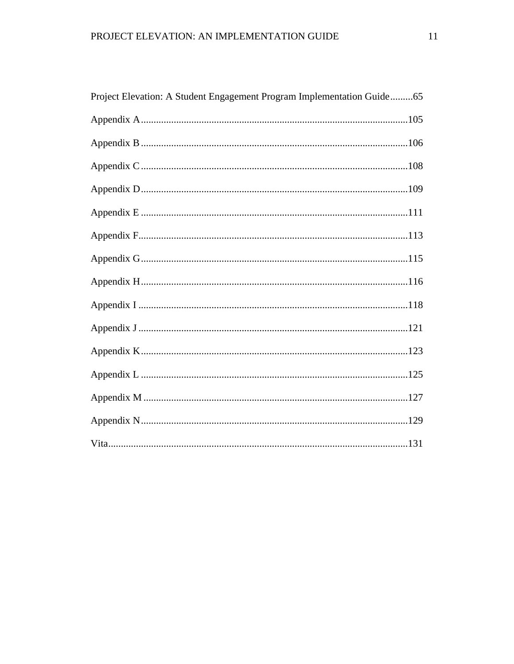| Project Elevation: A Student Engagement Program Implementation Guide65 |  |
|------------------------------------------------------------------------|--|
|                                                                        |  |
|                                                                        |  |
|                                                                        |  |
|                                                                        |  |
|                                                                        |  |
|                                                                        |  |
|                                                                        |  |
|                                                                        |  |
|                                                                        |  |
|                                                                        |  |
|                                                                        |  |
|                                                                        |  |
|                                                                        |  |
|                                                                        |  |
|                                                                        |  |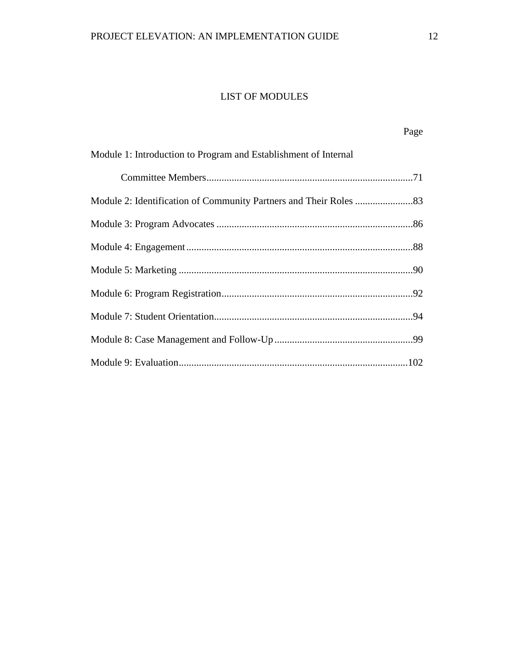# LIST OF MODULES

<span id="page-12-0"></span>

| Module 1: Introduction to Program and Establishment of Internal |  |
|-----------------------------------------------------------------|--|
|                                                                 |  |
|                                                                 |  |
|                                                                 |  |
|                                                                 |  |
|                                                                 |  |
|                                                                 |  |
|                                                                 |  |
|                                                                 |  |
|                                                                 |  |

Page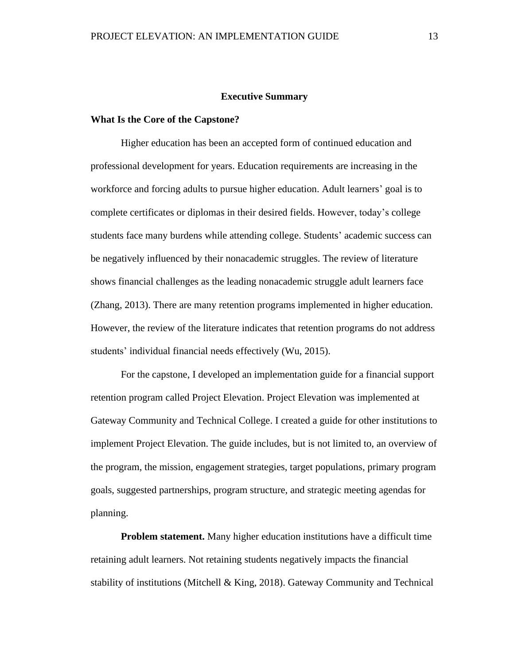#### **Executive Summary**

#### <span id="page-13-1"></span><span id="page-13-0"></span>**What Is the Core of the Capstone?**

Higher education has been an accepted form of continued education and professional development for years. Education requirements are increasing in the workforce and forcing adults to pursue higher education. Adult learners' goal is to complete certificates or diplomas in their desired fields. However, today's college students face many burdens while attending college. Students' academic success can be negatively influenced by their nonacademic struggles. The review of literature shows financial challenges as the leading nonacademic struggle adult learners face (Zhang, 2013). There are many retention programs implemented in higher education. However, the review of the literature indicates that retention programs do not address students' individual financial needs effectively (Wu, 2015).

For the capstone, I developed an implementation guide for a financial support retention program called Project Elevation. Project Elevation was implemented at Gateway Community and Technical College. I created a guide for other institutions to implement Project Elevation. The guide includes, but is not limited to, an overview of the program, the mission, engagement strategies, target populations, primary program goals, suggested partnerships, program structure, and strategic meeting agendas for planning.

<span id="page-13-2"></span>**Problem statement.** Many higher education institutions have a difficult time retaining adult learners. Not retaining students negatively impacts the financial stability of institutions (Mitchell & King, 2018). Gateway Community and Technical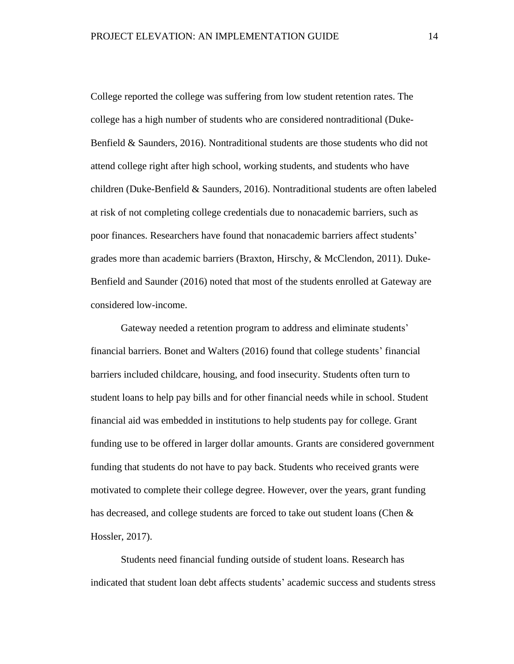College reported the college was suffering from low student retention rates. The college has a high number of students who are considered nontraditional (Duke-Benfield & Saunders, 2016). Nontraditional students are those students who did not attend college right after high school, working students, and students who have children (Duke-Benfield & Saunders, 2016). Nontraditional students are often labeled at risk of not completing college credentials due to nonacademic barriers, such as poor finances. Researchers have found that nonacademic barriers affect students' grades more than academic barriers (Braxton, Hirschy, & McClendon, 2011). Duke-Benfield and Saunder (2016) noted that most of the students enrolled at Gateway are considered low-income.

Gateway needed a retention program to address and eliminate students' financial barriers. Bonet and Walters (2016) found that college students' financial barriers included childcare, housing, and food insecurity. Students often turn to student loans to help pay bills and for other financial needs while in school. Student financial aid was embedded in institutions to help students pay for college. Grant funding use to be offered in larger dollar amounts. Grants are considered government funding that students do not have to pay back. Students who received grants were motivated to complete their college degree. However, over the years, grant funding has decreased, and college students are forced to take out student loans (Chen & Hossler, 2017).

Students need financial funding outside of student loans. Research has indicated that student loan debt affects students' academic success and students stress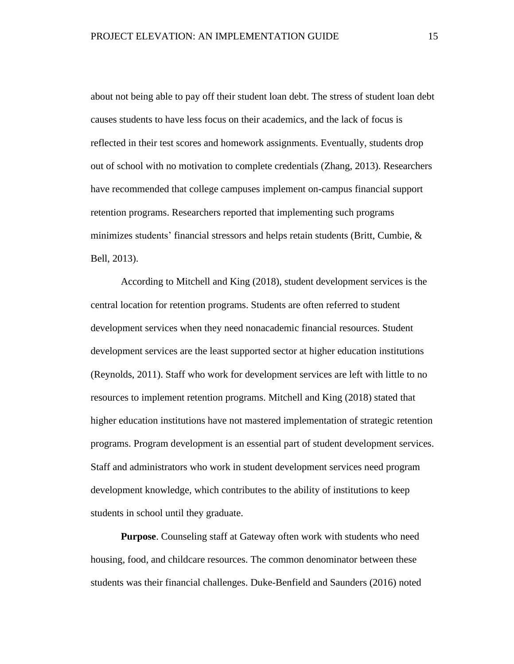about not being able to pay off their student loan debt. The stress of student loan debt causes students to have less focus on their academics, and the lack of focus is reflected in their test scores and homework assignments. Eventually, students drop out of school with no motivation to complete credentials (Zhang, 2013). Researchers have recommended that college campuses implement on-campus financial support retention programs. Researchers reported that implementing such programs minimizes students' financial stressors and helps retain students (Britt, Cumbie,  $\&$ Bell, 2013).

According to Mitchell and King (2018), student development services is the central location for retention programs. Students are often referred to student development services when they need nonacademic financial resources. Student development services are the least supported sector at higher education institutions (Reynolds, 2011). Staff who work for development services are left with little to no resources to implement retention programs. Mitchell and King (2018) stated that higher education institutions have not mastered implementation of strategic retention programs. Program development is an essential part of student development services. Staff and administrators who work in student development services need program development knowledge, which contributes to the ability of institutions to keep students in school until they graduate.

<span id="page-15-0"></span>**Purpose**. Counseling staff at Gateway often work with students who need housing, food, and childcare resources. The common denominator between these students was their financial challenges. Duke-Benfield and Saunders (2016) noted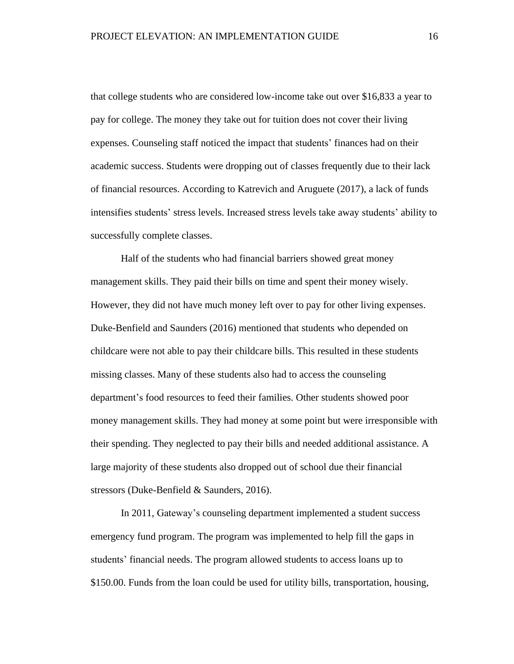that college students who are considered low-income take out over \$16,833 a year to pay for college. The money they take out for tuition does not cover their living expenses. Counseling staff noticed the impact that students' finances had on their academic success. Students were dropping out of classes frequently due to their lack of financial resources. According to Katrevich and Aruguete (2017), a lack of funds intensifies students' stress levels. Increased stress levels take away students' ability to successfully complete classes.

Half of the students who had financial barriers showed great money management skills. They paid their bills on time and spent their money wisely. However, they did not have much money left over to pay for other living expenses. Duke-Benfield and Saunders (2016) mentioned that students who depended on childcare were not able to pay their childcare bills. This resulted in these students missing classes. Many of these students also had to access the counseling department's food resources to feed their families. Other students showed poor money management skills. They had money at some point but were irresponsible with their spending. They neglected to pay their bills and needed additional assistance. A large majority of these students also dropped out of school due their financial stressors (Duke-Benfield & Saunders, 2016).

In 2011, Gateway's counseling department implemented a student success emergency fund program. The program was implemented to help fill the gaps in students' financial needs. The program allowed students to access loans up to \$150.00. Funds from the loan could be used for utility bills, transportation, housing,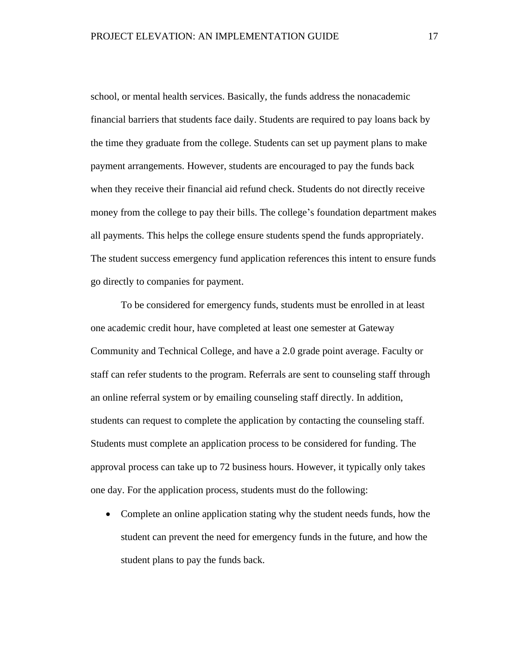school, or mental health services. Basically, the funds address the nonacademic financial barriers that students face daily. Students are required to pay loans back by the time they graduate from the college. Students can set up payment plans to make payment arrangements. However, students are encouraged to pay the funds back when they receive their financial aid refund check. Students do not directly receive money from the college to pay their bills. The college's foundation department makes all payments. This helps the college ensure students spend the funds appropriately. The student success emergency fund application references this intent to ensure funds go directly to companies for payment.

To be considered for emergency funds, students must be enrolled in at least one academic credit hour, have completed at least one semester at Gateway Community and Technical College, and have a 2.0 grade point average. Faculty or staff can refer students to the program. Referrals are sent to counseling staff through an online referral system or by emailing counseling staff directly. In addition, students can request to complete the application by contacting the counseling staff. Students must complete an application process to be considered for funding. The approval process can take up to 72 business hours. However, it typically only takes one day. For the application process, students must do the following:

• Complete an online application stating why the student needs funds, how the student can prevent the need for emergency funds in the future, and how the student plans to pay the funds back.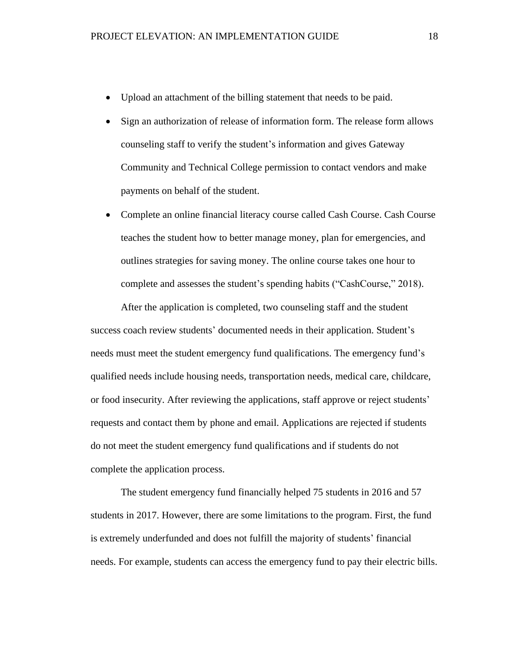- Upload an attachment of the billing statement that needs to be paid.
- Sign an authorization of release of information form. The release form allows counseling staff to verify the student's information and gives Gateway Community and Technical College permission to contact vendors and make payments on behalf of the student.
- Complete an online financial literacy course called Cash Course. Cash Course teaches the student how to better manage money, plan for emergencies, and outlines strategies for saving money. The online course takes one hour to complete and assesses the student's spending habits ("CashCourse," 2018).

After the application is completed, two counseling staff and the student success coach review students' documented needs in their application. Student's needs must meet the student emergency fund qualifications. The emergency fund's qualified needs include housing needs, transportation needs, medical care, childcare, or food insecurity. After reviewing the applications, staff approve or reject students' requests and contact them by phone and email. Applications are rejected if students do not meet the student emergency fund qualifications and if students do not complete the application process.

The student emergency fund financially helped 75 students in 2016 and 57 students in 2017. However, there are some limitations to the program. First, the fund is extremely underfunded and does not fulfill the majority of students' financial needs. For example, students can access the emergency fund to pay their electric bills.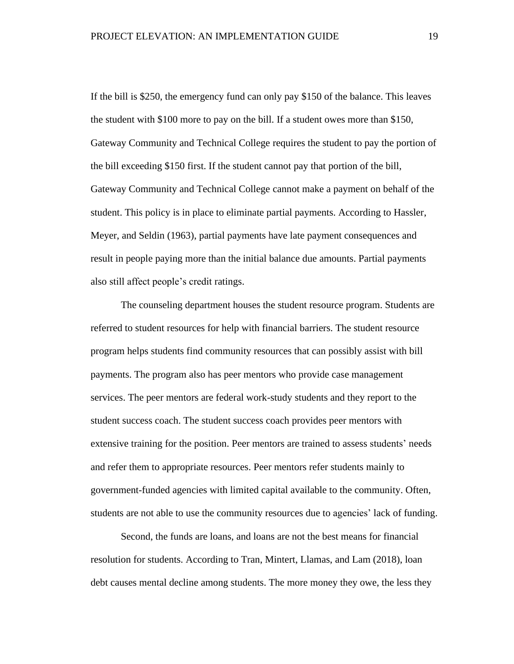If the bill is \$250, the emergency fund can only pay \$150 of the balance. This leaves the student with \$100 more to pay on the bill. If a student owes more than \$150, Gateway Community and Technical College requires the student to pay the portion of the bill exceeding \$150 first. If the student cannot pay that portion of the bill, Gateway Community and Technical College cannot make a payment on behalf of the student. This policy is in place to eliminate partial payments. According to Hassler, Meyer, and Seldin (1963), partial payments have late payment consequences and result in people paying more than the initial balance due amounts. Partial payments also still affect people's credit ratings.

The counseling department houses the student resource program. Students are referred to student resources for help with financial barriers. The student resource program helps students find community resources that can possibly assist with bill payments. The program also has peer mentors who provide case management services. The peer mentors are federal work-study students and they report to the student success coach. The student success coach provides peer mentors with extensive training for the position. Peer mentors are trained to assess students' needs and refer them to appropriate resources. Peer mentors refer students mainly to government-funded agencies with limited capital available to the community. Often, students are not able to use the community resources due to agencies' lack of funding.

Second, the funds are loans, and loans are not the best means for financial resolution for students. According to Tran, Mintert, Llamas, and Lam (2018), loan debt causes mental decline among students. The more money they owe, the less they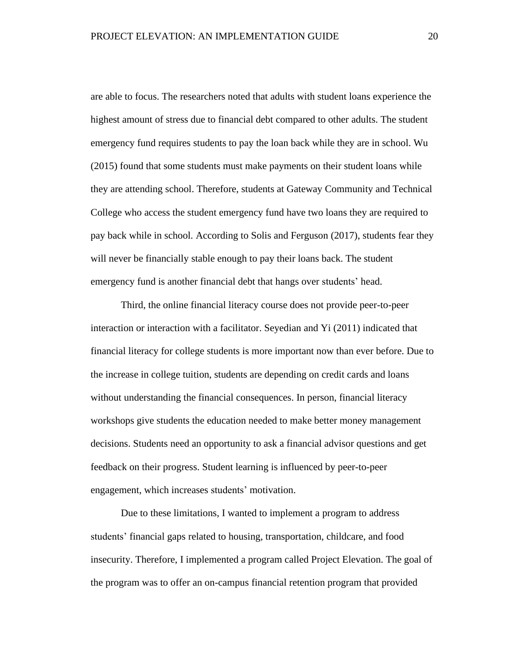are able to focus. The researchers noted that adults with student loans experience the highest amount of stress due to financial debt compared to other adults. The student emergency fund requires students to pay the loan back while they are in school. Wu (2015) found that some students must make payments on their student loans while they are attending school. Therefore, students at Gateway Community and Technical College who access the student emergency fund have two loans they are required to pay back while in school. According to Solis and Ferguson (2017), students fear they will never be financially stable enough to pay their loans back. The student emergency fund is another financial debt that hangs over students' head.

Third, the online financial literacy course does not provide peer-to-peer interaction or interaction with a facilitator. Seyedian and Yi (2011) indicated that financial literacy for college students is more important now than ever before. Due to the increase in college tuition, students are depending on credit cards and loans without understanding the financial consequences. In person, financial literacy workshops give students the education needed to make better money management decisions. Students need an opportunity to ask a financial advisor questions and get feedback on their progress. Student learning is influenced by peer-to-peer engagement, which increases students' motivation.

Due to these limitations, I wanted to implement a program to address students' financial gaps related to housing, transportation, childcare, and food insecurity. Therefore, I implemented a program called Project Elevation. The goal of the program was to offer an on-campus financial retention program that provided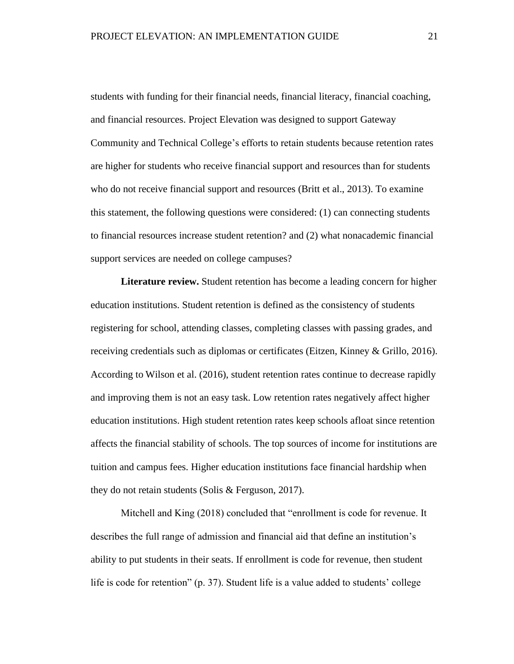students with funding for their financial needs, financial literacy, financial coaching, and financial resources. Project Elevation was designed to support Gateway Community and Technical College's efforts to retain students because retention rates are higher for students who receive financial support and resources than for students who do not receive financial support and resources (Britt et al., 2013). To examine this statement, the following questions were considered: (1) can connecting students to financial resources increase student retention? and (2) what nonacademic financial support services are needed on college campuses?

<span id="page-21-0"></span>**Literature review.** Student retention has become a leading concern for higher education institutions. Student retention is defined as the consistency of students registering for school, attending classes, completing classes with passing grades, and receiving credentials such as diplomas or certificates (Eitzen, Kinney & Grillo, 2016). According to Wilson et al. (2016), student retention rates continue to decrease rapidly and improving them is not an easy task. Low retention rates negatively affect higher education institutions. High student retention rates keep schools afloat since retention affects the financial stability of schools. The top sources of income for institutions are tuition and campus fees. Higher education institutions face financial hardship when they do not retain students (Solis & Ferguson, 2017).

Mitchell and King (2018) concluded that "enrollment is code for revenue. It describes the full range of admission and financial aid that define an institution's ability to put students in their seats. If enrollment is code for revenue, then student life is code for retention" (p. 37). Student life is a value added to students' college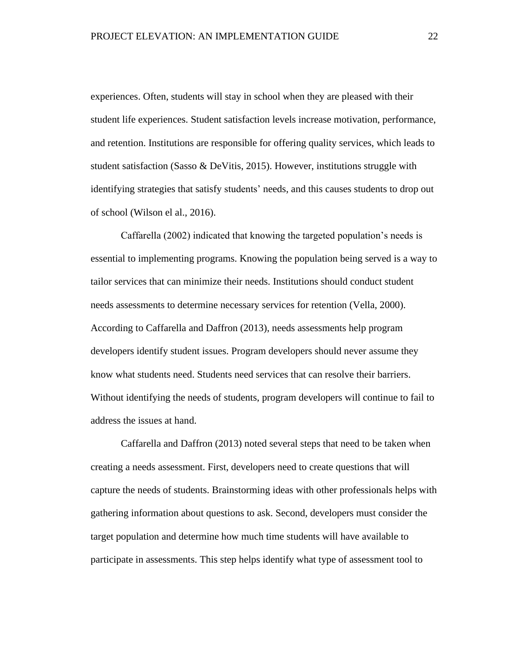experiences. Often, students will stay in school when they are pleased with their student life experiences. Student satisfaction levels increase motivation, performance, and retention. Institutions are responsible for offering quality services, which leads to student satisfaction (Sasso & DeVitis, 2015). However, institutions struggle with identifying strategies that satisfy students' needs, and this causes students to drop out of school (Wilson el al., 2016).

Caffarella (2002) indicated that knowing the targeted population's needs is essential to implementing programs. Knowing the population being served is a way to tailor services that can minimize their needs. Institutions should conduct student needs assessments to determine necessary services for retention (Vella, 2000). According to Caffarella and Daffron (2013), needs assessments help program developers identify student issues. Program developers should never assume they know what students need. Students need services that can resolve their barriers. Without identifying the needs of students, program developers will continue to fail to address the issues at hand.

Caffarella and Daffron (2013) noted several steps that need to be taken when creating a needs assessment. First, developers need to create questions that will capture the needs of students. Brainstorming ideas with other professionals helps with gathering information about questions to ask. Second, developers must consider the target population and determine how much time students will have available to participate in assessments. This step helps identify what type of assessment tool to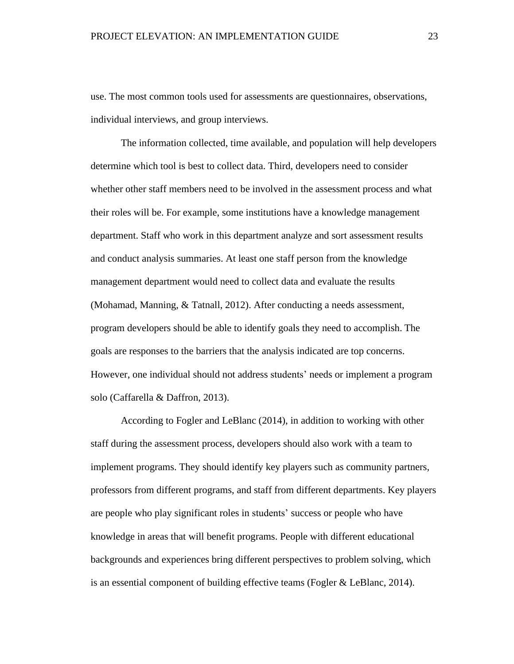use. The most common tools used for assessments are questionnaires, observations, individual interviews, and group interviews.

The information collected, time available, and population will help developers determine which tool is best to collect data. Third, developers need to consider whether other staff members need to be involved in the assessment process and what their roles will be. For example, some institutions have a knowledge management department. Staff who work in this department analyze and sort assessment results and conduct analysis summaries. At least one staff person from the knowledge management department would need to collect data and evaluate the results (Mohamad, Manning, & Tatnall, 2012). After conducting a needs assessment, program developers should be able to identify goals they need to accomplish. The goals are responses to the barriers that the analysis indicated are top concerns. However, one individual should not address students' needs or implement a program solo (Caffarella & Daffron, 2013).

According to Fogler and LeBlanc (2014), in addition to working with other staff during the assessment process, developers should also work with a team to implement programs. They should identify key players such as community partners, professors from different programs, and staff from different departments. Key players are people who play significant roles in students' success or people who have knowledge in areas that will benefit programs. People with different educational backgrounds and experiences bring different perspectives to problem solving, which is an essential component of building effective teams (Fogler & LeBlanc, 2014).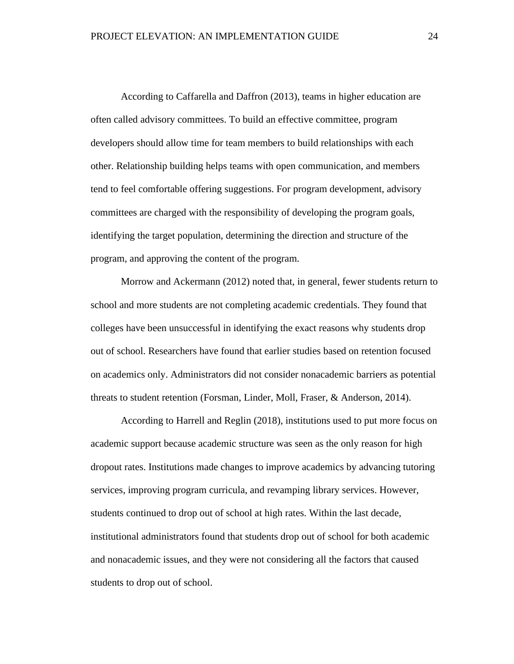According to Caffarella and Daffron (2013), teams in higher education are often called advisory committees. To build an effective committee, program developers should allow time for team members to build relationships with each other. Relationship building helps teams with open communication, and members tend to feel comfortable offering suggestions. For program development, advisory committees are charged with the responsibility of developing the program goals, identifying the target population, determining the direction and structure of the program, and approving the content of the program.

Morrow and Ackermann (2012) noted that, in general, fewer students return to school and more students are not completing academic credentials. They found that colleges have been unsuccessful in identifying the exact reasons why students drop out of school. Researchers have found that earlier studies based on retention focused on academics only. Administrators did not consider nonacademic barriers as potential threats to student retention (Forsman, Linder, Moll, Fraser, & Anderson, 2014).

According to Harrell and Reglin (2018), institutions used to put more focus on academic support because academic structure was seen as the only reason for high dropout rates. Institutions made changes to improve academics by advancing tutoring services, improving program curricula, and revamping library services. However, students continued to drop out of school at high rates. Within the last decade, institutional administrators found that students drop out of school for both academic and nonacademic issues, and they were not considering all the factors that caused students to drop out of school.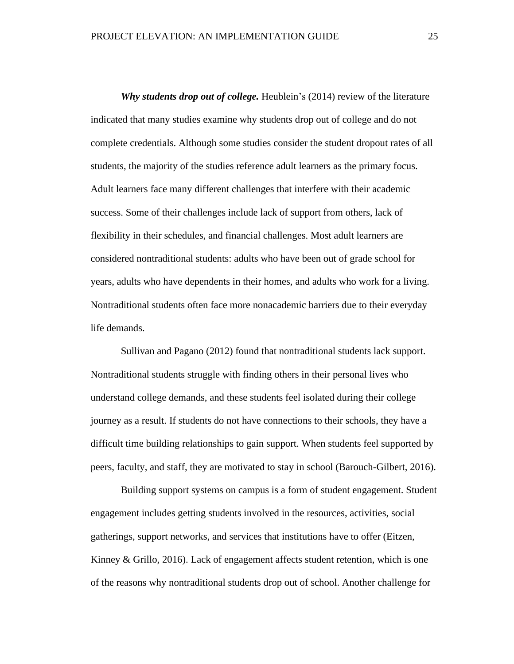<span id="page-25-0"></span>*Why students drop out of college.* Heublein's (2014) review of the literature indicated that many studies examine why students drop out of college and do not complete credentials. Although some studies consider the student dropout rates of all students, the majority of the studies reference adult learners as the primary focus. Adult learners face many different challenges that interfere with their academic success. Some of their challenges include lack of support from others, lack of flexibility in their schedules, and financial challenges. Most adult learners are considered nontraditional students: adults who have been out of grade school for years, adults who have dependents in their homes, and adults who work for a living. Nontraditional students often face more nonacademic barriers due to their everyday life demands.

Sullivan and Pagano (2012) found that nontraditional students lack support. Nontraditional students struggle with finding others in their personal lives who understand college demands, and these students feel isolated during their college journey as a result. If students do not have connections to their schools, they have a difficult time building relationships to gain support. When students feel supported by peers, faculty, and staff, they are motivated to stay in school (Barouch-Gilbert, 2016).

Building support systems on campus is a form of student engagement. Student engagement includes getting students involved in the resources, activities, social gatherings, support networks, and services that institutions have to offer (Eitzen, Kinney & Grillo, 2016). Lack of engagement affects student retention, which is one of the reasons why nontraditional students drop out of school. Another challenge for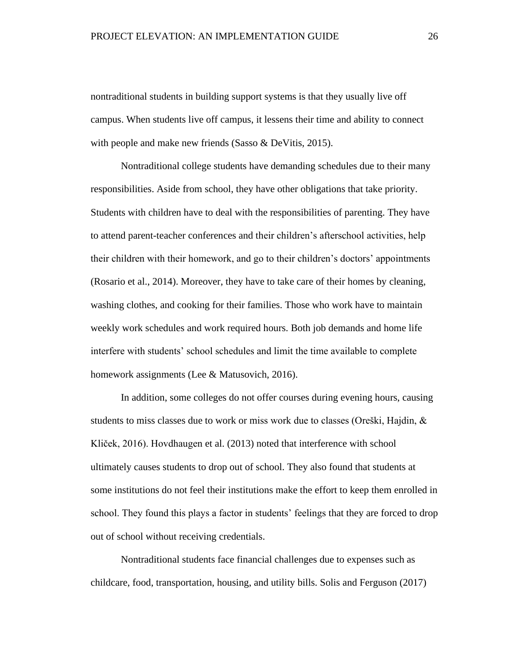nontraditional students in building support systems is that they usually live off campus. When students live off campus, it lessens their time and ability to connect with people and make new friends (Sasso & DeVitis, 2015).

Nontraditional college students have demanding schedules due to their many responsibilities. Aside from school, they have other obligations that take priority. Students with children have to deal with the responsibilities of parenting. They have to attend parent-teacher conferences and their children's afterschool activities, help their children with their homework, and go to their children's doctors' appointments (Rosario et al., 2014). Moreover, they have to take care of their homes by cleaning, washing clothes, and cooking for their families. Those who work have to maintain weekly work schedules and work required hours. Both job demands and home life interfere with students' school schedules and limit the time available to complete homework assignments (Lee & Matusovich, 2016).

In addition, some colleges do not offer courses during evening hours, causing students to miss classes due to work or miss work due to classes (Oreški, Hajdin,  $\&$ Kliček, 2016). Hovdhaugen et al. (2013) noted that interference with school ultimately causes students to drop out of school. They also found that students at some institutions do not feel their institutions make the effort to keep them enrolled in school. They found this plays a factor in students' feelings that they are forced to drop out of school without receiving credentials.

Nontraditional students face financial challenges due to expenses such as childcare, food, transportation, housing, and utility bills. Solis and Ferguson (2017)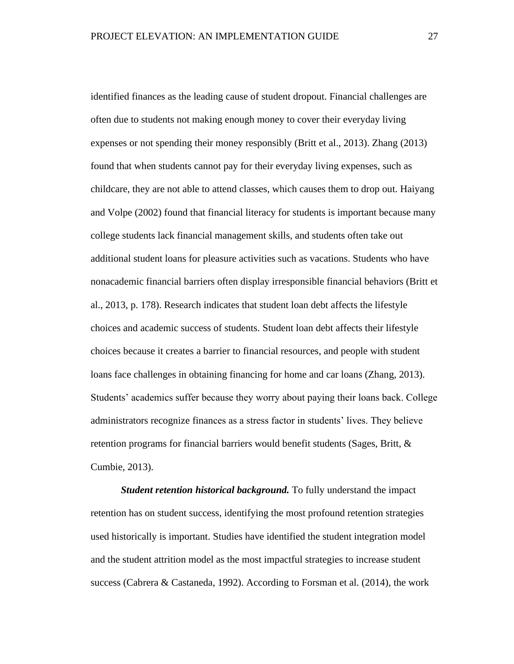identified finances as the leading cause of student dropout. Financial challenges are often due to students not making enough money to cover their everyday living expenses or not spending their money responsibly (Britt et al., 2013). Zhang (2013) found that when students cannot pay for their everyday living expenses, such as childcare, they are not able to attend classes, which causes them to drop out. Haiyang and Volpe (2002) found that financial literacy for students is important because many college students lack financial management skills, and students often take out additional student loans for pleasure activities such as vacations. Students who have nonacademic financial barriers often display irresponsible financial behaviors (Britt et al., 2013, p. 178). Research indicates that student loan debt affects the lifestyle choices and academic success of students. Student loan debt affects their lifestyle choices because it creates a barrier to financial resources, and people with student loans face challenges in obtaining financing for home and car loans (Zhang, 2013). Students' academics suffer because they worry about paying their loans back. College administrators recognize finances as a stress factor in students' lives. They believe retention programs for financial barriers would benefit students (Sages, Britt, & Cumbie, 2013).

<span id="page-27-0"></span>*Student retention historical background.* To fully understand the impact retention has on student success, identifying the most profound retention strategies used historically is important. Studies have identified the student integration model and the student attrition model as the most impactful strategies to increase student success (Cabrera & Castaneda, 1992). According to Forsman et al. (2014), the work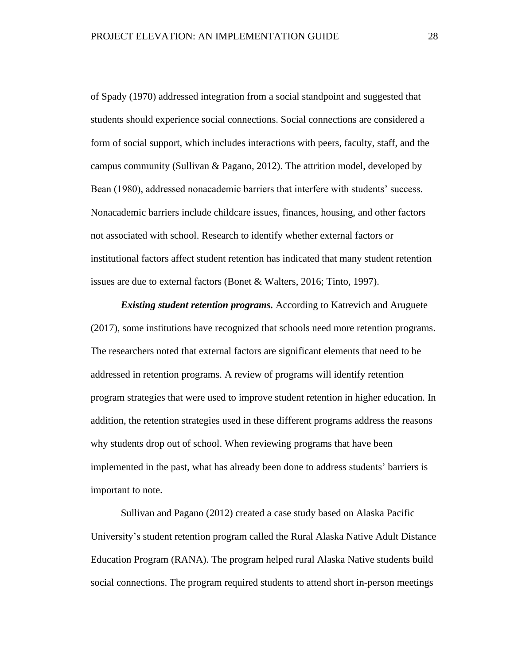of Spady (1970) addressed integration from a social standpoint and suggested that students should experience social connections. Social connections are considered a form of social support, which includes interactions with peers, faculty, staff, and the campus community (Sullivan & Pagano, 2012). The attrition model, developed by Bean (1980), addressed nonacademic barriers that interfere with students' success. Nonacademic barriers include childcare issues, finances, housing, and other factors not associated with school. Research to identify whether external factors or institutional factors affect student retention has indicated that many student retention issues are due to external factors (Bonet & Walters, 2016; Tinto, 1997).

<span id="page-28-0"></span>*Existing student retention programs.* According to Katrevich and Aruguete (2017), some institutions have recognized that schools need more retention programs. The researchers noted that external factors are significant elements that need to be addressed in retention programs. A review of programs will identify retention program strategies that were used to improve student retention in higher education. In addition, the retention strategies used in these different programs address the reasons why students drop out of school. When reviewing programs that have been implemented in the past, what has already been done to address students' barriers is important to note.

Sullivan and Pagano (2012) created a case study based on Alaska Pacific University's student retention program called the Rural Alaska Native Adult Distance Education Program (RANA). The program helped rural Alaska Native students build social connections. The program required students to attend short in-person meetings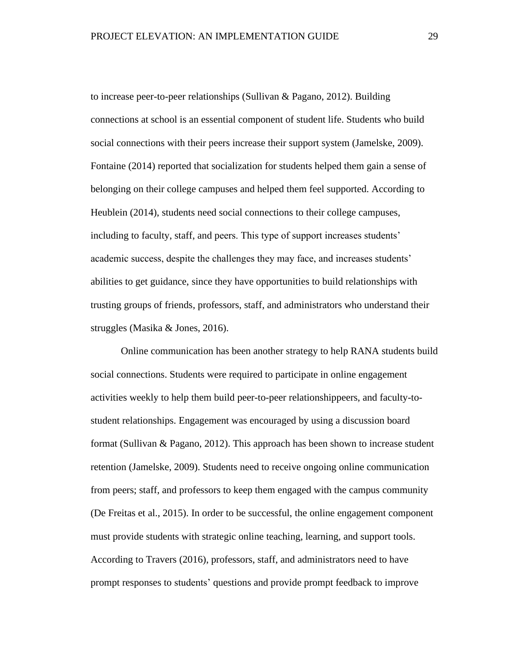to increase peer-to-peer relationships (Sullivan & Pagano, 2012). Building connections at school is an essential component of student life. Students who build social connections with their peers increase their support system (Jamelske, 2009). Fontaine (2014) reported that socialization for students helped them gain a sense of belonging on their college campuses and helped them feel supported. According to Heublein (2014), students need social connections to their college campuses, including to faculty, staff, and peers. This type of support increases students' academic success, despite the challenges they may face, and increases students' abilities to get guidance, since they have opportunities to build relationships with trusting groups of friends, professors, staff, and administrators who understand their struggles (Masika & Jones, 2016).

Online communication has been another strategy to help RANA students build social connections. Students were required to participate in online engagement activities weekly to help them build peer-to-peer relationshippeers, and faculty-tostudent relationships. Engagement was encouraged by using a discussion board format (Sullivan & Pagano, 2012). This approach has been shown to increase student retention (Jamelske, 2009). Students need to receive ongoing online communication from peers; staff, and professors to keep them engaged with the campus community (De Freitas et al., 2015). In order to be successful, the online engagement component must provide students with strategic online teaching, learning, and support tools. According to Travers (2016), professors, staff, and administrators need to have prompt responses to students' questions and provide prompt feedback to improve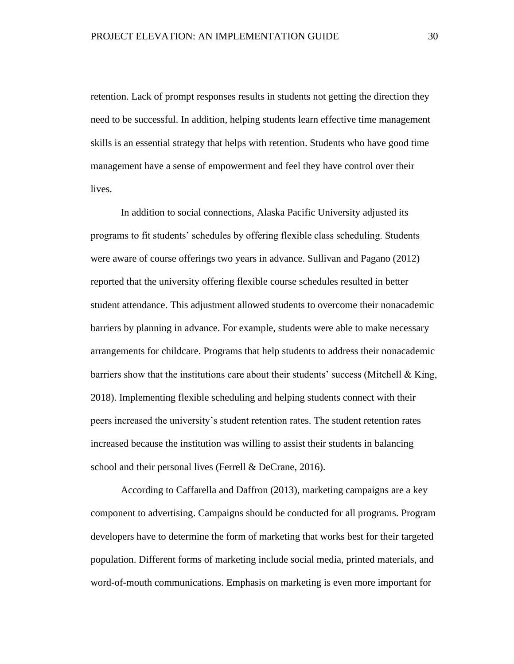retention. Lack of prompt responses results in students not getting the direction they need to be successful. In addition, helping students learn effective time management skills is an essential strategy that helps with retention. Students who have good time management have a sense of empowerment and feel they have control over their lives.

In addition to social connections, Alaska Pacific University adjusted its programs to fit students' schedules by offering flexible class scheduling. Students were aware of course offerings two years in advance. Sullivan and Pagano (2012) reported that the university offering flexible course schedules resulted in better student attendance. This adjustment allowed students to overcome their nonacademic barriers by planning in advance. For example, students were able to make necessary arrangements for childcare. Programs that help students to address their nonacademic barriers show that the institutions care about their students' success (Mitchell  $\&$  King, 2018). Implementing flexible scheduling and helping students connect with their peers increased the university's student retention rates. The student retention rates increased because the institution was willing to assist their students in balancing school and their personal lives (Ferrell & DeCrane, 2016).

According to Caffarella and Daffron (2013), marketing campaigns are a key component to advertising. Campaigns should be conducted for all programs. Program developers have to determine the form of marketing that works best for their targeted population. Different forms of marketing include social media, printed materials, and word-of-mouth communications. Emphasis on marketing is even more important for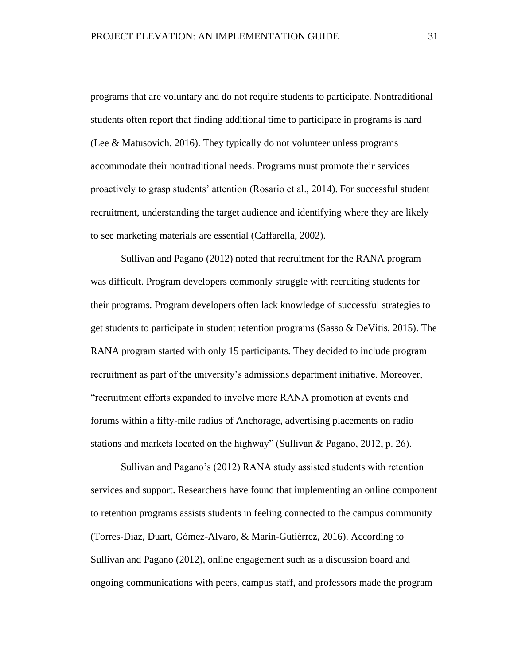programs that are voluntary and do not require students to participate. Nontraditional students often report that finding additional time to participate in programs is hard (Lee & Matusovich, 2016). They typically do not volunteer unless programs accommodate their nontraditional needs. Programs must promote their services proactively to grasp students' attention (Rosario et al., 2014). For successful student recruitment, understanding the target audience and identifying where they are likely to see marketing materials are essential (Caffarella, 2002).

Sullivan and Pagano (2012) noted that recruitment for the RANA program was difficult. Program developers commonly struggle with recruiting students for their programs. Program developers often lack knowledge of successful strategies to get students to participate in student retention programs (Sasso & DeVitis, 2015). The RANA program started with only 15 participants. They decided to include program recruitment as part of the university's admissions department initiative. Moreover, "recruitment efforts expanded to involve more RANA promotion at events and forums within a fifty-mile radius of Anchorage, advertising placements on radio stations and markets located on the highway" (Sullivan & Pagano, 2012, p. 26).

Sullivan and Pagano's (2012) RANA study assisted students with retention services and support. Researchers have found that implementing an online component to retention programs assists students in feeling connected to the campus community (Torres-Díaz, Duart, Gómez-Alvaro, & Marin-Gutiérrez, 2016). According to Sullivan and Pagano (2012), online engagement such as a discussion board and ongoing communications with peers, campus staff, and professors made the program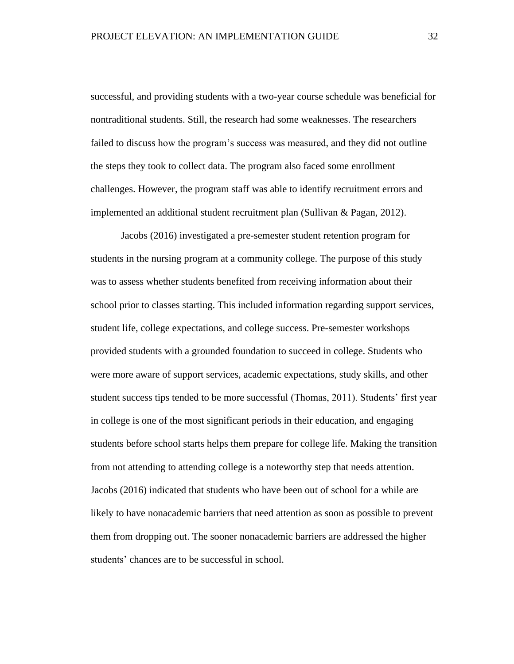successful, and providing students with a two-year course schedule was beneficial for nontraditional students. Still, the research had some weaknesses. The researchers failed to discuss how the program's success was measured, and they did not outline the steps they took to collect data. The program also faced some enrollment challenges. However, the program staff was able to identify recruitment errors and implemented an additional student recruitment plan (Sullivan & Pagan, 2012).

Jacobs (2016) investigated a pre-semester student retention program for students in the nursing program at a community college. The purpose of this study was to assess whether students benefited from receiving information about their school prior to classes starting. This included information regarding support services, student life, college expectations, and college success. Pre-semester workshops provided students with a grounded foundation to succeed in college. Students who were more aware of support services, academic expectations, study skills, and other student success tips tended to be more successful (Thomas, 2011). Students' first year in college is one of the most significant periods in their education, and engaging students before school starts helps them prepare for college life. Making the transition from not attending to attending college is a noteworthy step that needs attention. Jacobs (2016) indicated that students who have been out of school for a while are likely to have nonacademic barriers that need attention as soon as possible to prevent them from dropping out. The sooner nonacademic barriers are addressed the higher students' chances are to be successful in school.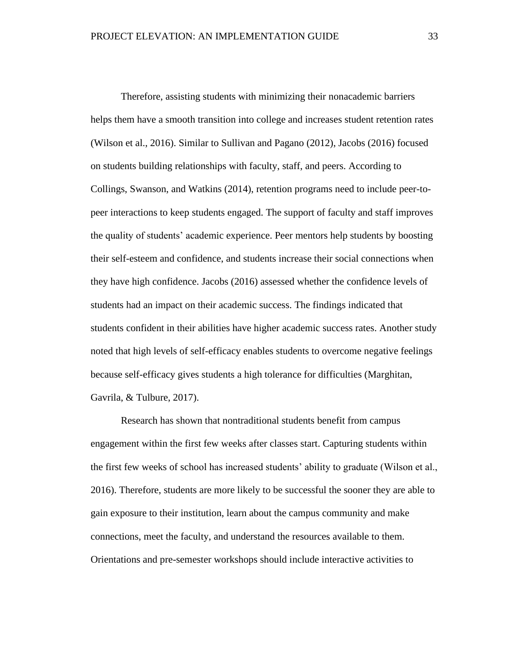Therefore, assisting students with minimizing their nonacademic barriers helps them have a smooth transition into college and increases student retention rates (Wilson et al., 2016). Similar to Sullivan and Pagano (2012), Jacobs (2016) focused on students building relationships with faculty, staff, and peers. According to Collings, Swanson, and Watkins (2014), retention programs need to include peer-topeer interactions to keep students engaged. The support of faculty and staff improves the quality of students' academic experience. Peer mentors help students by boosting their self-esteem and confidence, and students increase their social connections when they have high confidence. Jacobs (2016) assessed whether the confidence levels of students had an impact on their academic success. The findings indicated that students confident in their abilities have higher academic success rates. Another study noted that high levels of self-efficacy enables students to overcome negative feelings because self-efficacy gives students a high tolerance for difficulties (Marghitan, Gavrila, & Tulbure, 2017).

Research has shown that nontraditional students benefit from campus engagement within the first few weeks after classes start. Capturing students within the first few weeks of school has increased students' ability to graduate (Wilson et al., 2016). Therefore, students are more likely to be successful the sooner they are able to gain exposure to their institution, learn about the campus community and make connections, meet the faculty, and understand the resources available to them. Orientations and pre-semester workshops should include interactive activities to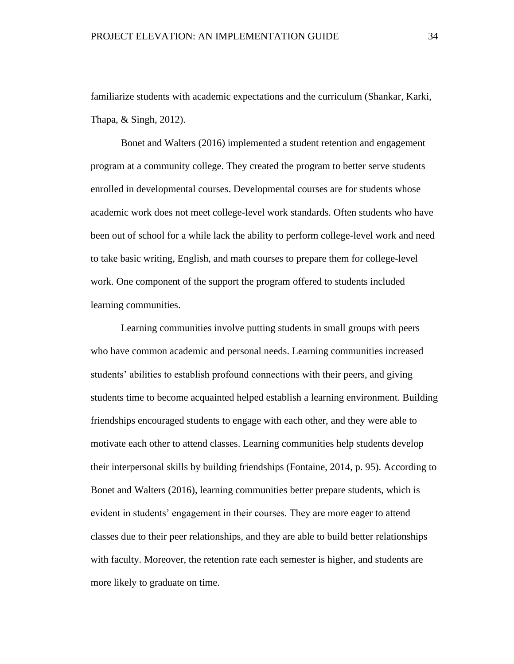familiarize students with academic expectations and the curriculum (Shankar, Karki, Thapa, & Singh, 2012).

Bonet and Walters (2016) implemented a student retention and engagement program at a community college. They created the program to better serve students enrolled in developmental courses. Developmental courses are for students whose academic work does not meet college-level work standards. Often students who have been out of school for a while lack the ability to perform college-level work and need to take basic writing, English, and math courses to prepare them for college-level work. One component of the support the program offered to students included learning communities.

Learning communities involve putting students in small groups with peers who have common academic and personal needs. Learning communities increased students' abilities to establish profound connections with their peers, and giving students time to become acquainted helped establish a learning environment. Building friendships encouraged students to engage with each other, and they were able to motivate each other to attend classes. Learning communities help students develop their interpersonal skills by building friendships (Fontaine, 2014, p. 95). According to Bonet and Walters (2016), learning communities better prepare students, which is evident in students' engagement in their courses. They are more eager to attend classes due to their peer relationships, and they are able to build better relationships with faculty. Moreover, the retention rate each semester is higher, and students are more likely to graduate on time.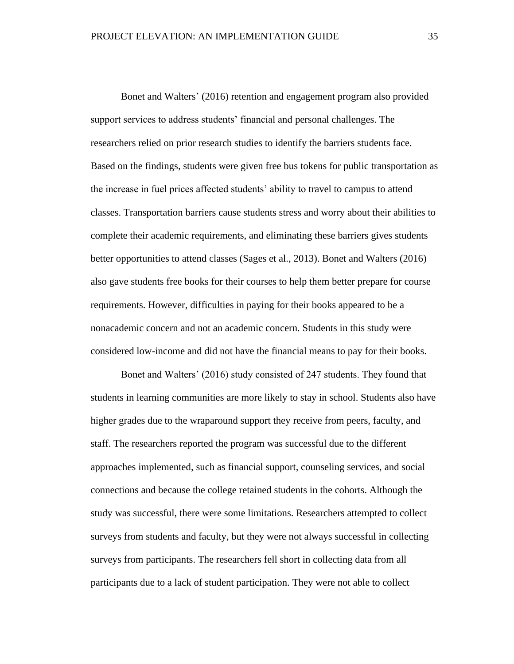Bonet and Walters' (2016) retention and engagement program also provided support services to address students' financial and personal challenges. The researchers relied on prior research studies to identify the barriers students face. Based on the findings, students were given free bus tokens for public transportation as the increase in fuel prices affected students' ability to travel to campus to attend classes. Transportation barriers cause students stress and worry about their abilities to complete their academic requirements, and eliminating these barriers gives students better opportunities to attend classes (Sages et al., 2013). Bonet and Walters (2016) also gave students free books for their courses to help them better prepare for course requirements. However, difficulties in paying for their books appeared to be a nonacademic concern and not an academic concern. Students in this study were considered low-income and did not have the financial means to pay for their books.

Bonet and Walters' (2016) study consisted of 247 students. They found that students in learning communities are more likely to stay in school. Students also have higher grades due to the wraparound support they receive from peers, faculty, and staff. The researchers reported the program was successful due to the different approaches implemented, such as financial support, counseling services, and social connections and because the college retained students in the cohorts. Although the study was successful, there were some limitations. Researchers attempted to collect surveys from students and faculty, but they were not always successful in collecting surveys from participants. The researchers fell short in collecting data from all participants due to a lack of student participation. They were not able to collect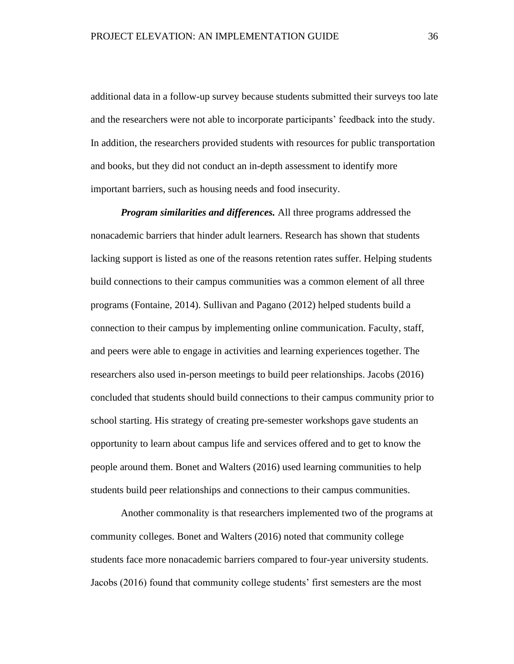additional data in a follow-up survey because students submitted their surveys too late and the researchers were not able to incorporate participants' feedback into the study. In addition, the researchers provided students with resources for public transportation and books, but they did not conduct an in-depth assessment to identify more important barriers, such as housing needs and food insecurity.

*Program similarities and differences.* All three programs addressed the nonacademic barriers that hinder adult learners. Research has shown that students lacking support is listed as one of the reasons retention rates suffer. Helping students build connections to their campus communities was a common element of all three programs (Fontaine, 2014). Sullivan and Pagano (2012) helped students build a connection to their campus by implementing online communication. Faculty, staff, and peers were able to engage in activities and learning experiences together. The researchers also used in-person meetings to build peer relationships. Jacobs (2016) concluded that students should build connections to their campus community prior to school starting. His strategy of creating pre-semester workshops gave students an opportunity to learn about campus life and services offered and to get to know the people around them. Bonet and Walters (2016) used learning communities to help students build peer relationships and connections to their campus communities.

Another commonality is that researchers implemented two of the programs at community colleges. Bonet and Walters (2016) noted that community college students face more nonacademic barriers compared to four-year university students. Jacobs (2016) found that community college students' first semesters are the most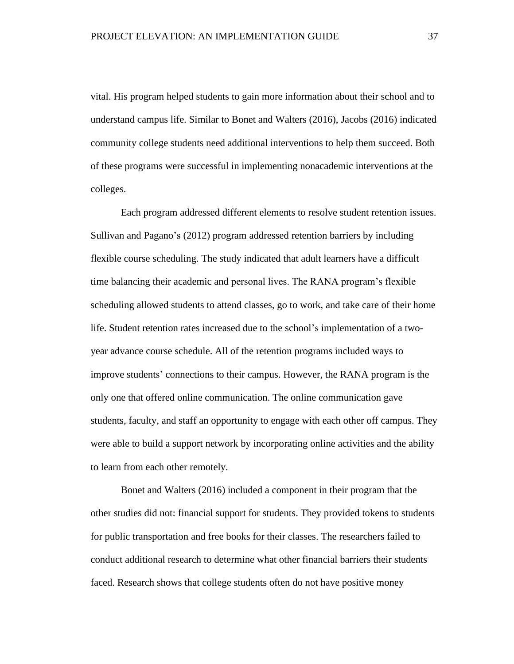vital. His program helped students to gain more information about their school and to understand campus life. Similar to Bonet and Walters (2016), Jacobs (2016) indicated community college students need additional interventions to help them succeed. Both of these programs were successful in implementing nonacademic interventions at the colleges.

Each program addressed different elements to resolve student retention issues. Sullivan and Pagano's (2012) program addressed retention barriers by including flexible course scheduling. The study indicated that adult learners have a difficult time balancing their academic and personal lives. The RANA program's flexible scheduling allowed students to attend classes, go to work, and take care of their home life. Student retention rates increased due to the school's implementation of a twoyear advance course schedule. All of the retention programs included ways to improve students' connections to their campus. However, the RANA program is the only one that offered online communication. The online communication gave students, faculty, and staff an opportunity to engage with each other off campus. They were able to build a support network by incorporating online activities and the ability to learn from each other remotely.

Bonet and Walters (2016) included a component in their program that the other studies did not: financial support for students. They provided tokens to students for public transportation and free books for their classes. The researchers failed to conduct additional research to determine what other financial barriers their students faced. Research shows that college students often do not have positive money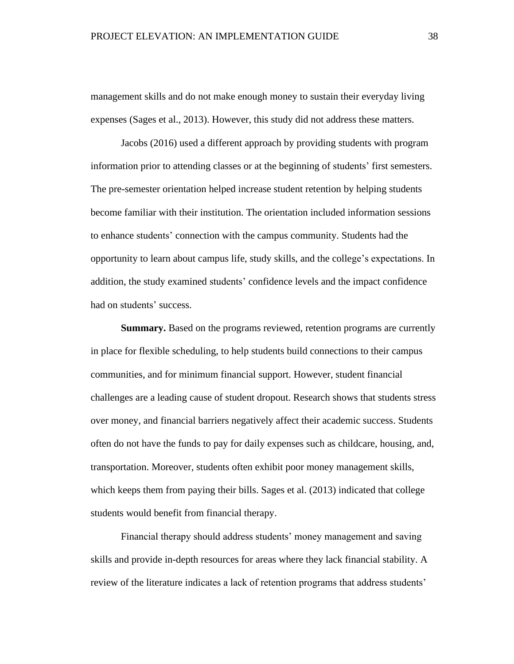management skills and do not make enough money to sustain their everyday living expenses (Sages et al., 2013). However, this study did not address these matters.

Jacobs (2016) used a different approach by providing students with program information prior to attending classes or at the beginning of students' first semesters. The pre-semester orientation helped increase student retention by helping students become familiar with their institution. The orientation included information sessions to enhance students' connection with the campus community. Students had the opportunity to learn about campus life, study skills, and the college's expectations. In addition, the study examined students' confidence levels and the impact confidence had on students' success.

**Summary.** Based on the programs reviewed, retention programs are currently in place for flexible scheduling, to help students build connections to their campus communities, and for minimum financial support. However, student financial challenges are a leading cause of student dropout. Research shows that students stress over money, and financial barriers negatively affect their academic success. Students often do not have the funds to pay for daily expenses such as childcare, housing, and, transportation. Moreover, students often exhibit poor money management skills, which keeps them from paying their bills. Sages et al. (2013) indicated that college students would benefit from financial therapy.

Financial therapy should address students' money management and saving skills and provide in-depth resources for areas where they lack financial stability. A review of the literature indicates a lack of retention programs that address students'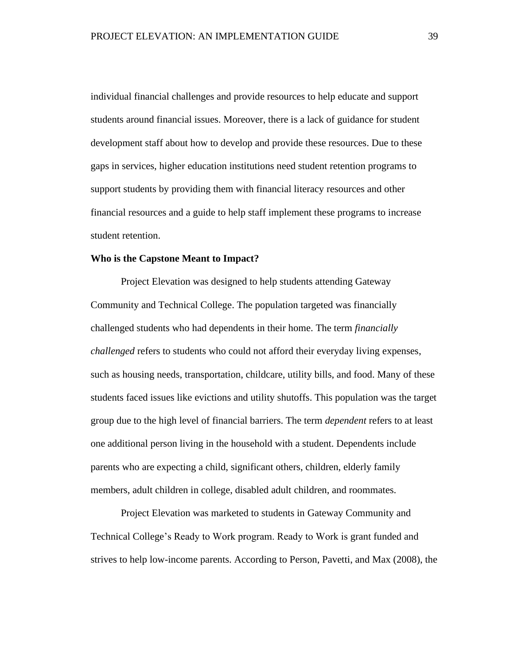individual financial challenges and provide resources to help educate and support students around financial issues. Moreover, there is a lack of guidance for student development staff about how to develop and provide these resources. Due to these gaps in services, higher education institutions need student retention programs to support students by providing them with financial literacy resources and other financial resources and a guide to help staff implement these programs to increase student retention.

## **Who is the Capstone Meant to Impact?**

Project Elevation was designed to help students attending Gateway Community and Technical College. The population targeted was financially challenged students who had dependents in their home. The term *financially challenged* refers to students who could not afford their everyday living expenses, such as housing needs, transportation, childcare, utility bills, and food. Many of these students faced issues like evictions and utility shutoffs. This population was the target group due to the high level of financial barriers. The term *dependent* refers to at least one additional person living in the household with a student. Dependents include parents who are expecting a child, significant others, children, elderly family members, adult children in college, disabled adult children, and roommates.

Project Elevation was marketed to students in Gateway Community and Technical College's Ready to Work program. Ready to Work is grant funded and strives to help low-income parents. According to Person, Pavetti, and Max (2008), the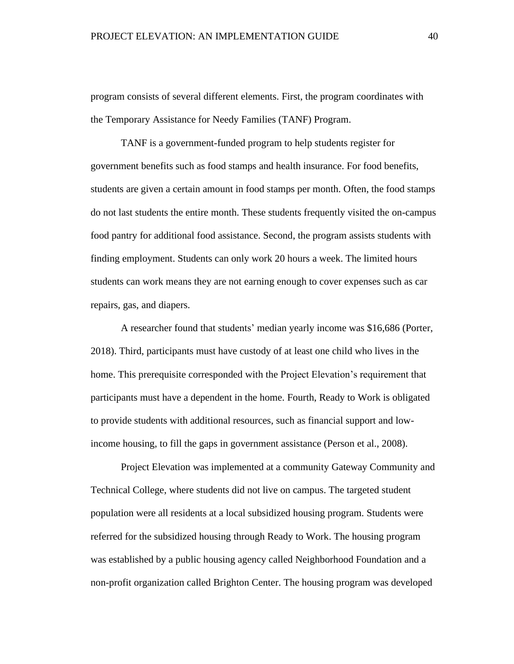program consists of several different elements. First, the program coordinates with the Temporary Assistance for Needy Families (TANF) Program.

TANF is a government-funded program to help students register for government benefits such as food stamps and health insurance. For food benefits, students are given a certain amount in food stamps per month. Often, the food stamps do not last students the entire month. These students frequently visited the on-campus food pantry for additional food assistance. Second, the program assists students with finding employment. Students can only work 20 hours a week. The limited hours students can work means they are not earning enough to cover expenses such as car repairs, gas, and diapers.

A researcher found that students' median yearly income was \$16,686 (Porter, 2018). Third, participants must have custody of at least one child who lives in the home. This prerequisite corresponded with the Project Elevation's requirement that participants must have a dependent in the home. Fourth, Ready to Work is obligated to provide students with additional resources, such as financial support and lowincome housing, to fill the gaps in government assistance (Person et al., 2008).

Project Elevation was implemented at a community Gateway Community and Technical College, where students did not live on campus. The targeted student population were all residents at a local subsidized housing program. Students were referred for the subsidized housing through Ready to Work. The housing program was established by a public housing agency called Neighborhood Foundation and a non-profit organization called Brighton Center. The housing program was developed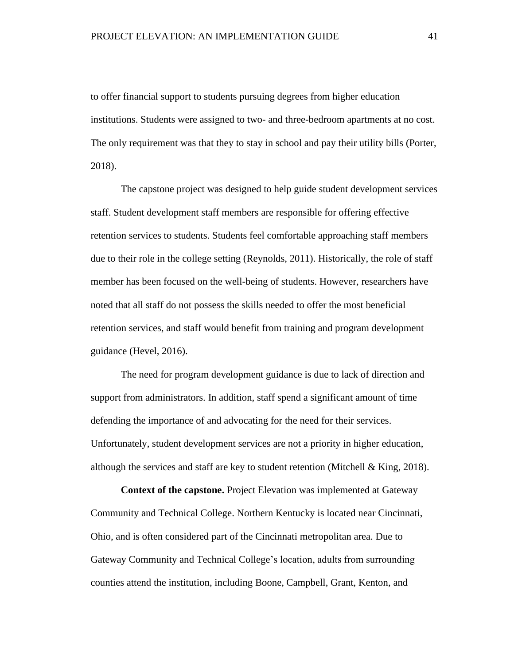to offer financial support to students pursuing degrees from higher education institutions. Students were assigned to two- and three-bedroom apartments at no cost. The only requirement was that they to stay in school and pay their utility bills (Porter, 2018).

The capstone project was designed to help guide student development services staff. Student development staff members are responsible for offering effective retention services to students. Students feel comfortable approaching staff members due to their role in the college setting (Reynolds, 2011). Historically, the role of staff member has been focused on the well-being of students. However, researchers have noted that all staff do not possess the skills needed to offer the most beneficial retention services, and staff would benefit from training and program development guidance (Hevel, 2016).

The need for program development guidance is due to lack of direction and support from administrators. In addition, staff spend a significant amount of time defending the importance of and advocating for the need for their services. Unfortunately, student development services are not a priority in higher education, although the services and staff are key to student retention (Mitchell  $&$  King, 2018).

**Context of the capstone.** Project Elevation was implemented at Gateway Community and Technical College. Northern Kentucky is located near Cincinnati, Ohio, and is often considered part of the Cincinnati metropolitan area. Due to Gateway Community and Technical College's location, adults from surrounding counties attend the institution, including Boone, Campbell, Grant, Kenton, and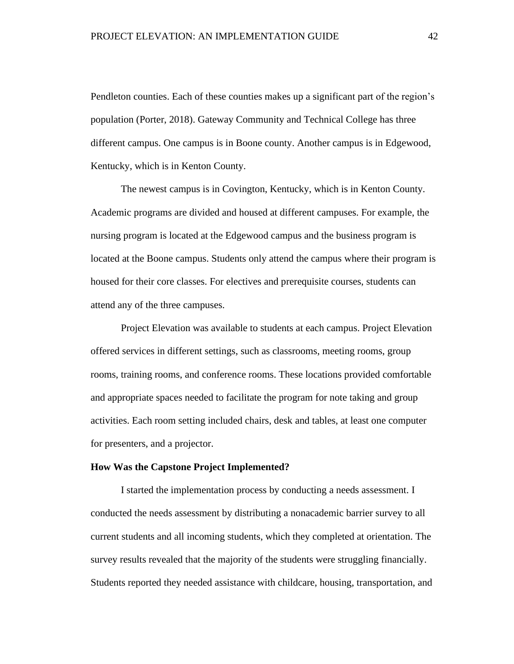Pendleton counties. Each of these counties makes up a significant part of the region's population (Porter, 2018). Gateway Community and Technical College has three different campus. One campus is in Boone county. Another campus is in Edgewood, Kentucky, which is in Kenton County.

The newest campus is in Covington, Kentucky, which is in Kenton County. Academic programs are divided and housed at different campuses. For example, the nursing program is located at the Edgewood campus and the business program is located at the Boone campus. Students only attend the campus where their program is housed for their core classes. For electives and prerequisite courses, students can attend any of the three campuses.

Project Elevation was available to students at each campus. Project Elevation offered services in different settings, such as classrooms, meeting rooms, group rooms, training rooms, and conference rooms. These locations provided comfortable and appropriate spaces needed to facilitate the program for note taking and group activities. Each room setting included chairs, desk and tables, at least one computer for presenters, and a projector.

### **How Was the Capstone Project Implemented?**

I started the implementation process by conducting a needs assessment. I conducted the needs assessment by distributing a nonacademic barrier survey to all current students and all incoming students, which they completed at orientation. The survey results revealed that the majority of the students were struggling financially. Students reported they needed assistance with childcare, housing, transportation, and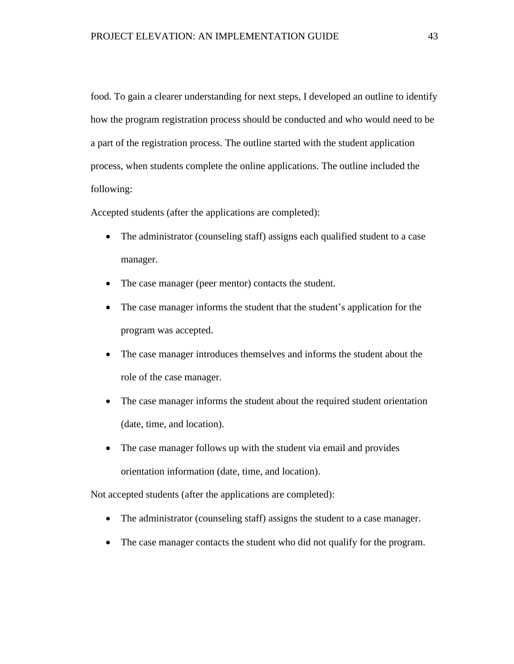food. To gain a clearer understanding for next steps, I developed an outline to identify how the program registration process should be conducted and who would need to be a part of the registration process. The outline started with the student application process, when students complete the online applications. The outline included the following:

Accepted students (after the applications are completed):

- The administrator (counseling staff) assigns each qualified student to a case manager.
- The case manager (peer mentor) contacts the student.
- The case manager informs the student that the student's application for the program was accepted.
- The case manager introduces themselves and informs the student about the role of the case manager.
- The case manager informs the student about the required student orientation (date, time, and location).
- The case manager follows up with the student via email and provides orientation information (date, time, and location).

Not accepted students (after the applications are completed):

- The administrator (counseling staff) assigns the student to a case manager.
- The case manager contacts the student who did not qualify for the program.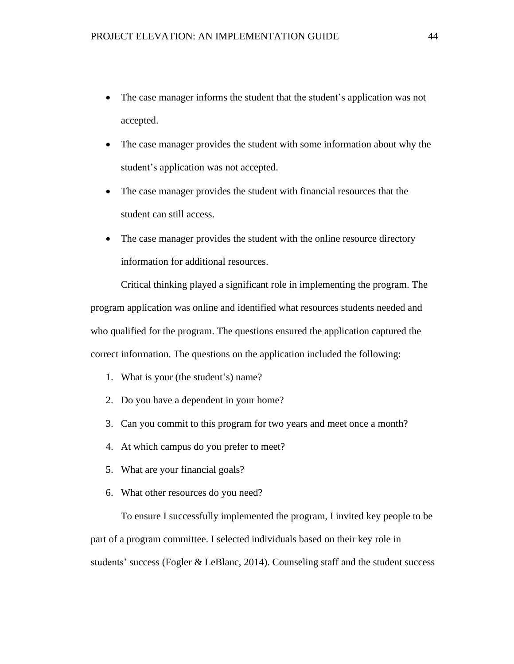- The case manager informs the student that the student's application was not accepted.
- The case manager provides the student with some information about why the student's application was not accepted.
- The case manager provides the student with financial resources that the student can still access.
- The case manager provides the student with the online resource directory information for additional resources.

Critical thinking played a significant role in implementing the program. The program application was online and identified what resources students needed and who qualified for the program. The questions ensured the application captured the correct information. The questions on the application included the following:

- 1. What is your (the student's) name?
- 2. Do you have a dependent in your home?
- 3. Can you commit to this program for two years and meet once a month?
- 4. At which campus do you prefer to meet?
- 5. What are your financial goals?
- 6. What other resources do you need?

To ensure I successfully implemented the program, I invited key people to be part of a program committee. I selected individuals based on their key role in students' success (Fogler & LeBlanc, 2014). Counseling staff and the student success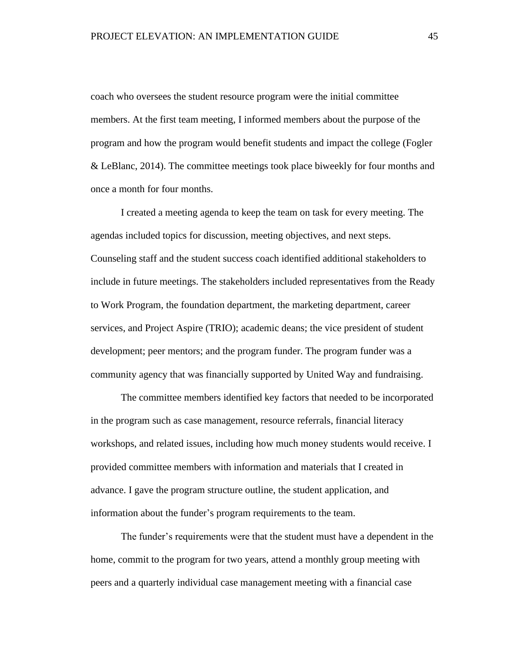coach who oversees the student resource program were the initial committee members. At the first team meeting, I informed members about the purpose of the program and how the program would benefit students and impact the college (Fogler & LeBlanc, 2014). The committee meetings took place biweekly for four months and once a month for four months.

I created a meeting agenda to keep the team on task for every meeting. The agendas included topics for discussion, meeting objectives, and next steps. Counseling staff and the student success coach identified additional stakeholders to include in future meetings. The stakeholders included representatives from the Ready to Work Program, the foundation department, the marketing department, career services, and Project Aspire (TRIO); academic deans; the vice president of student development; peer mentors; and the program funder. The program funder was a community agency that was financially supported by United Way and fundraising.

The committee members identified key factors that needed to be incorporated in the program such as case management, resource referrals, financial literacy workshops, and related issues, including how much money students would receive. I provided committee members with information and materials that I created in advance. I gave the program structure outline, the student application, and information about the funder's program requirements to the team.

The funder's requirements were that the student must have a dependent in the home, commit to the program for two years, attend a monthly group meeting with peers and a quarterly individual case management meeting with a financial case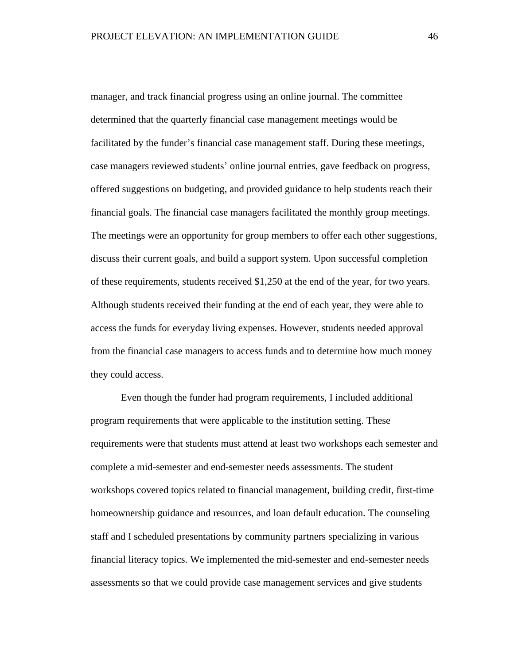manager, and track financial progress using an online journal. The committee determined that the quarterly financial case management meetings would be facilitated by the funder's financial case management staff. During these meetings, case managers reviewed students' online journal entries, gave feedback on progress, offered suggestions on budgeting, and provided guidance to help students reach their financial goals. The financial case managers facilitated the monthly group meetings. The meetings were an opportunity for group members to offer each other suggestions, discuss their current goals, and build a support system. Upon successful completion of these requirements, students received \$1,250 at the end of the year, for two years. Although students received their funding at the end of each year, they were able to access the funds for everyday living expenses. However, students needed approval from the financial case managers to access funds and to determine how much money they could access.

Even though the funder had program requirements, I included additional program requirements that were applicable to the institution setting. These requirements were that students must attend at least two workshops each semester and complete a mid-semester and end-semester needs assessments. The student workshops covered topics related to financial management, building credit, first-time homeownership guidance and resources, and loan default education. The counseling staff and I scheduled presentations by community partners specializing in various financial literacy topics. We implemented the mid-semester and end-semester needs assessments so that we could provide case management services and give students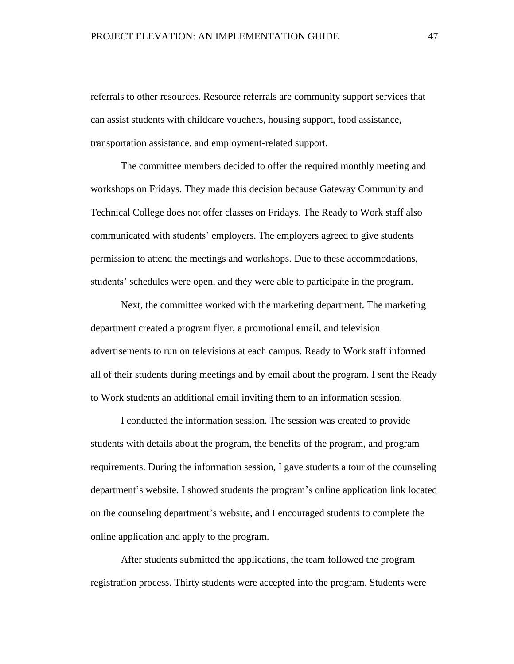referrals to other resources. Resource referrals are community support services that can assist students with childcare vouchers, housing support, food assistance, transportation assistance, and employment-related support.

The committee members decided to offer the required monthly meeting and workshops on Fridays. They made this decision because Gateway Community and Technical College does not offer classes on Fridays. The Ready to Work staff also communicated with students' employers. The employers agreed to give students permission to attend the meetings and workshops. Due to these accommodations, students' schedules were open, and they were able to participate in the program.

Next, the committee worked with the marketing department. The marketing department created a program flyer, a promotional email, and television advertisements to run on televisions at each campus. Ready to Work staff informed all of their students during meetings and by email about the program. I sent the Ready to Work students an additional email inviting them to an information session.

I conducted the information session. The session was created to provide students with details about the program, the benefits of the program, and program requirements. During the information session, I gave students a tour of the counseling department's website. I showed students the program's online application link located on the counseling department's website, and I encouraged students to complete the online application and apply to the program.

After students submitted the applications, the team followed the program registration process. Thirty students were accepted into the program. Students were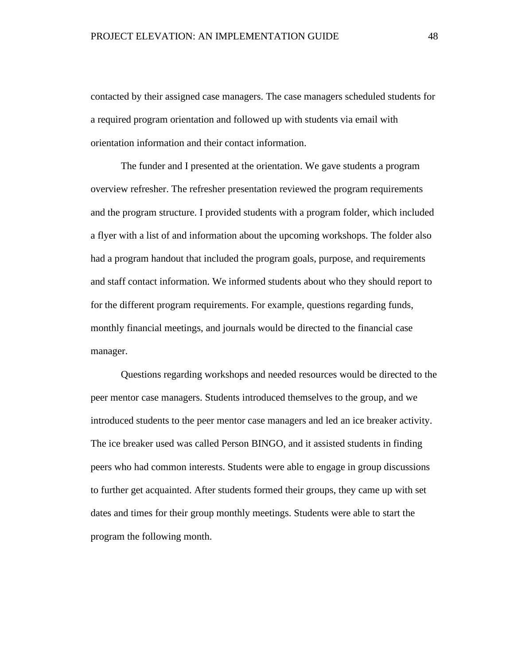contacted by their assigned case managers. The case managers scheduled students for a required program orientation and followed up with students via email with orientation information and their contact information.

The funder and I presented at the orientation. We gave students a program overview refresher. The refresher presentation reviewed the program requirements and the program structure. I provided students with a program folder, which included a flyer with a list of and information about the upcoming workshops. The folder also had a program handout that included the program goals, purpose, and requirements and staff contact information. We informed students about who they should report to for the different program requirements. For example, questions regarding funds, monthly financial meetings, and journals would be directed to the financial case manager.

Questions regarding workshops and needed resources would be directed to the peer mentor case managers. Students introduced themselves to the group, and we introduced students to the peer mentor case managers and led an ice breaker activity. The ice breaker used was called Person BINGO, and it assisted students in finding peers who had common interests. Students were able to engage in group discussions to further get acquainted. After students formed their groups, they came up with set dates and times for their group monthly meetings. Students were able to start the program the following month.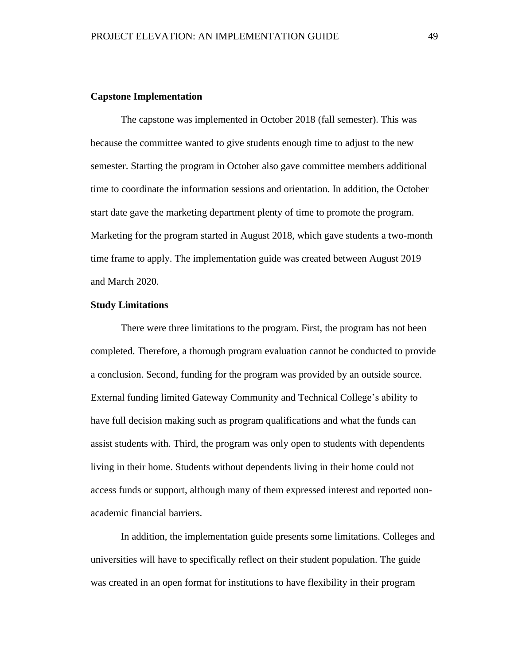## **Capstone Implementation**

The capstone was implemented in October 2018 (fall semester). This was because the committee wanted to give students enough time to adjust to the new semester. Starting the program in October also gave committee members additional time to coordinate the information sessions and orientation. In addition, the October start date gave the marketing department plenty of time to promote the program. Marketing for the program started in August 2018, which gave students a two-month time frame to apply. The implementation guide was created between August 2019 and March 2020.

## **Study Limitations**

There were three limitations to the program. First, the program has not been completed. Therefore, a thorough program evaluation cannot be conducted to provide a conclusion. Second, funding for the program was provided by an outside source. External funding limited Gateway Community and Technical College's ability to have full decision making such as program qualifications and what the funds can assist students with. Third, the program was only open to students with dependents living in their home. Students without dependents living in their home could not access funds or support, although many of them expressed interest and reported nonacademic financial barriers.

In addition, the implementation guide presents some limitations. Colleges and universities will have to specifically reflect on their student population. The guide was created in an open format for institutions to have flexibility in their program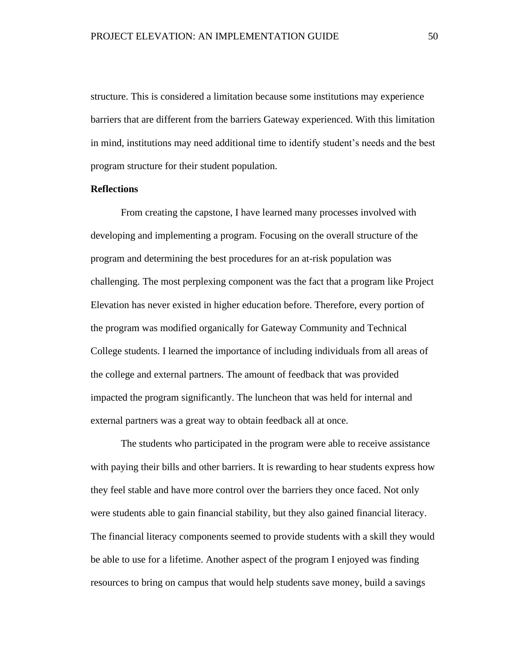structure. This is considered a limitation because some institutions may experience barriers that are different from the barriers Gateway experienced. With this limitation in mind, institutions may need additional time to identify student's needs and the best program structure for their student population.

# **Reflections**

From creating the capstone, I have learned many processes involved with developing and implementing a program. Focusing on the overall structure of the program and determining the best procedures for an at-risk population was challenging. The most perplexing component was the fact that a program like Project Elevation has never existed in higher education before. Therefore, every portion of the program was modified organically for Gateway Community and Technical College students. I learned the importance of including individuals from all areas of the college and external partners. The amount of feedback that was provided impacted the program significantly. The luncheon that was held for internal and external partners was a great way to obtain feedback all at once.

The students who participated in the program were able to receive assistance with paying their bills and other barriers. It is rewarding to hear students express how they feel stable and have more control over the barriers they once faced. Not only were students able to gain financial stability, but they also gained financial literacy. The financial literacy components seemed to provide students with a skill they would be able to use for a lifetime. Another aspect of the program I enjoyed was finding resources to bring on campus that would help students save money, build a savings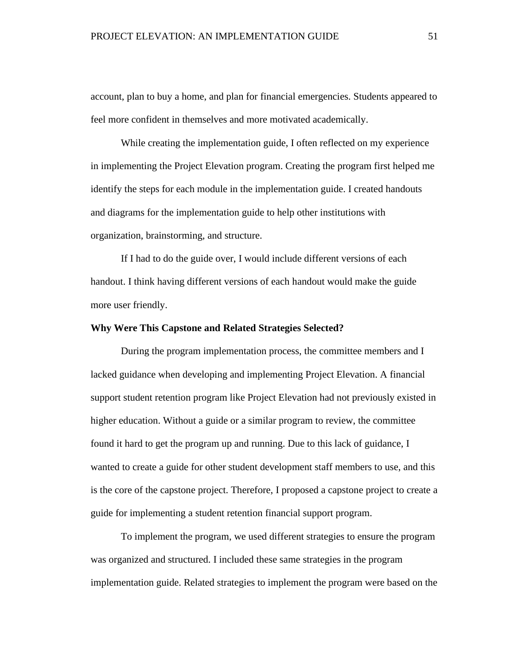account, plan to buy a home, and plan for financial emergencies. Students appeared to feel more confident in themselves and more motivated academically.

While creating the implementation guide, I often reflected on my experience in implementing the Project Elevation program. Creating the program first helped me identify the steps for each module in the implementation guide. I created handouts and diagrams for the implementation guide to help other institutions with organization, brainstorming, and structure.

If I had to do the guide over, I would include different versions of each handout. I think having different versions of each handout would make the guide more user friendly.

## **Why Were This Capstone and Related Strategies Selected?**

During the program implementation process, the committee members and I lacked guidance when developing and implementing Project Elevation. A financial support student retention program like Project Elevation had not previously existed in higher education. Without a guide or a similar program to review, the committee found it hard to get the program up and running. Due to this lack of guidance, I wanted to create a guide for other student development staff members to use, and this is the core of the capstone project. Therefore, I proposed a capstone project to create a guide for implementing a student retention financial support program.

To implement the program, we used different strategies to ensure the program was organized and structured. I included these same strategies in the program implementation guide. Related strategies to implement the program were based on the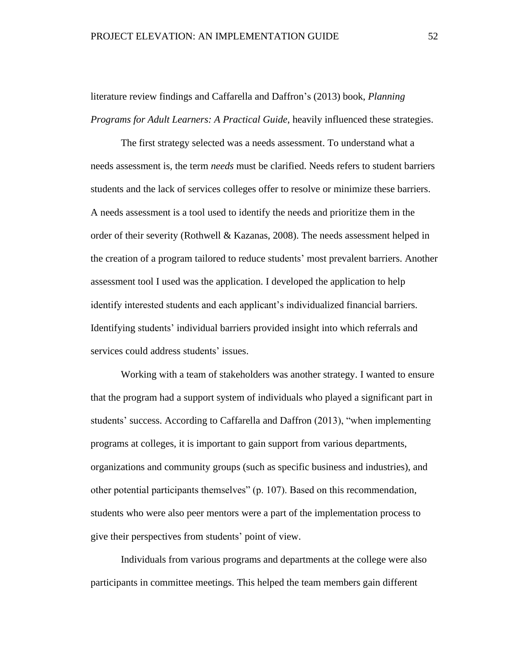# literature review findings and Caffarella and Daffron's (2013) book, *Planning Programs for Adult Learners: A Practical Guide*, heavily influenced these strategies.

The first strategy selected was a needs assessment. To understand what a needs assessment is, the term *needs* must be clarified. Needs refers to student barriers students and the lack of services colleges offer to resolve or minimize these barriers. A needs assessment is a tool used to identify the needs and prioritize them in the order of their severity (Rothwell & Kazanas, 2008). The needs assessment helped in the creation of a program tailored to reduce students' most prevalent barriers. Another assessment tool I used was the application. I developed the application to help identify interested students and each applicant's individualized financial barriers. Identifying students' individual barriers provided insight into which referrals and services could address students' issues.

Working with a team of stakeholders was another strategy. I wanted to ensure that the program had a support system of individuals who played a significant part in students' success. According to Caffarella and Daffron (2013), "when implementing programs at colleges, it is important to gain support from various departments, organizations and community groups (such as specific business and industries), and other potential participants themselves" (p. 107). Based on this recommendation, students who were also peer mentors were a part of the implementation process to give their perspectives from students' point of view.

Individuals from various programs and departments at the college were also participants in committee meetings. This helped the team members gain different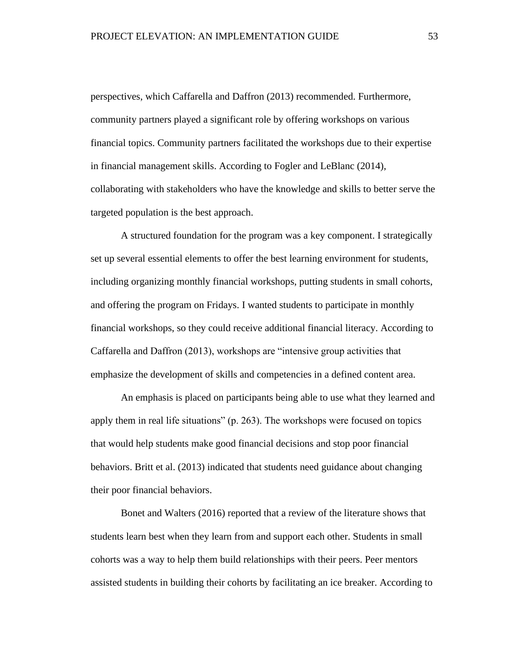perspectives, which Caffarella and Daffron (2013) recommended. Furthermore, community partners played a significant role by offering workshops on various financial topics. Community partners facilitated the workshops due to their expertise in financial management skills. According to Fogler and LeBlanc (2014), collaborating with stakeholders who have the knowledge and skills to better serve the targeted population is the best approach.

A structured foundation for the program was a key component. I strategically set up several essential elements to offer the best learning environment for students, including organizing monthly financial workshops, putting students in small cohorts, and offering the program on Fridays. I wanted students to participate in monthly financial workshops, so they could receive additional financial literacy. According to Caffarella and Daffron (2013), workshops are "intensive group activities that emphasize the development of skills and competencies in a defined content area.

An emphasis is placed on participants being able to use what they learned and apply them in real life situations" (p. 263). The workshops were focused on topics that would help students make good financial decisions and stop poor financial behaviors. Britt et al. (2013) indicated that students need guidance about changing their poor financial behaviors.

Bonet and Walters (2016) reported that a review of the literature shows that students learn best when they learn from and support each other. Students in small cohorts was a way to help them build relationships with their peers. Peer mentors assisted students in building their cohorts by facilitating an ice breaker. According to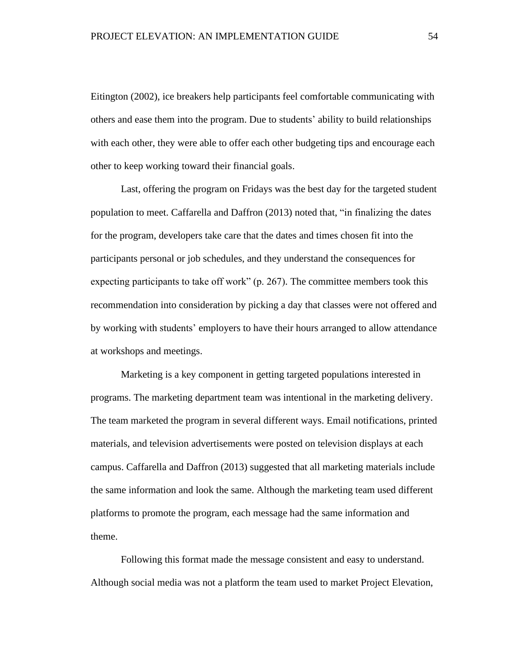Eitington (2002), ice breakers help participants feel comfortable communicating with others and ease them into the program. Due to students' ability to build relationships with each other, they were able to offer each other budgeting tips and encourage each other to keep working toward their financial goals.

Last, offering the program on Fridays was the best day for the targeted student population to meet. Caffarella and Daffron (2013) noted that, "in finalizing the dates for the program, developers take care that the dates and times chosen fit into the participants personal or job schedules, and they understand the consequences for expecting participants to take off work" (p. 267). The committee members took this recommendation into consideration by picking a day that classes were not offered and by working with students' employers to have their hours arranged to allow attendance at workshops and meetings.

Marketing is a key component in getting targeted populations interested in programs. The marketing department team was intentional in the marketing delivery. The team marketed the program in several different ways. Email notifications, printed materials, and television advertisements were posted on television displays at each campus. Caffarella and Daffron (2013) suggested that all marketing materials include the same information and look the same. Although the marketing team used different platforms to promote the program, each message had the same information and theme.

Following this format made the message consistent and easy to understand. Although social media was not a platform the team used to market Project Elevation,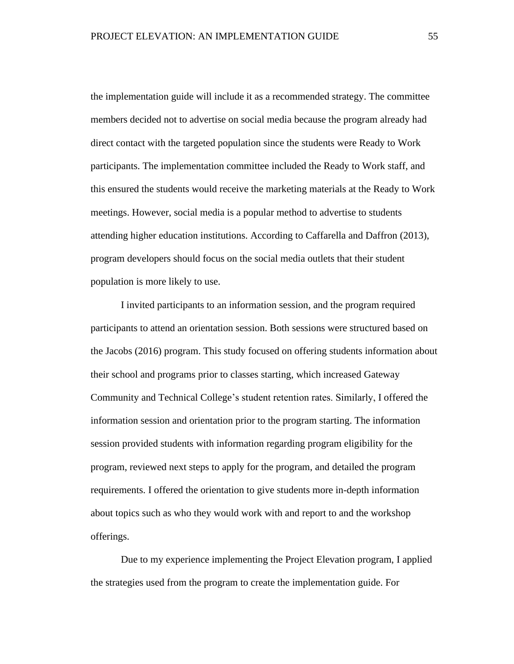the implementation guide will include it as a recommended strategy. The committee members decided not to advertise on social media because the program already had direct contact with the targeted population since the students were Ready to Work participants. The implementation committee included the Ready to Work staff, and this ensured the students would receive the marketing materials at the Ready to Work meetings. However, social media is a popular method to advertise to students attending higher education institutions. According to Caffarella and Daffron (2013), program developers should focus on the social media outlets that their student population is more likely to use.

I invited participants to an information session, and the program required participants to attend an orientation session. Both sessions were structured based on the Jacobs (2016) program. This study focused on offering students information about their school and programs prior to classes starting, which increased Gateway Community and Technical College's student retention rates. Similarly, I offered the information session and orientation prior to the program starting. The information session provided students with information regarding program eligibility for the program, reviewed next steps to apply for the program, and detailed the program requirements. I offered the orientation to give students more in-depth information about topics such as who they would work with and report to and the workshop offerings.

Due to my experience implementing the Project Elevation program, I applied the strategies used from the program to create the implementation guide. For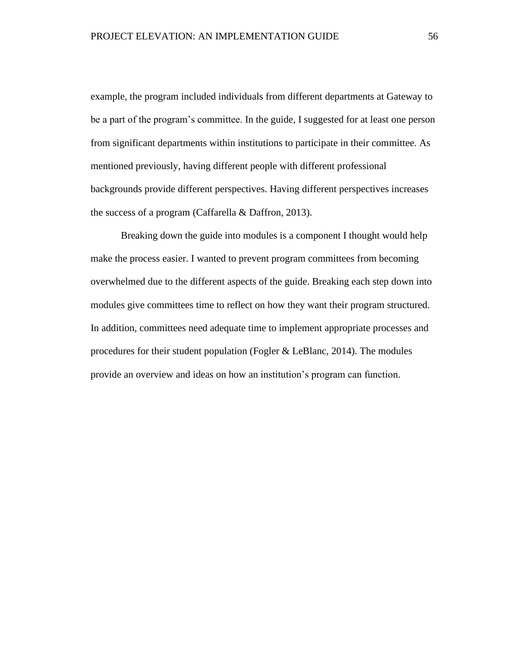example, the program included individuals from different departments at Gateway to be a part of the program's committee. In the guide, I suggested for at least one person from significant departments within institutions to participate in their committee. As mentioned previously, having different people with different professional backgrounds provide different perspectives. Having different perspectives increases the success of a program (Caffarella & Daffron, 2013).

Breaking down the guide into modules is a component I thought would help make the process easier. I wanted to prevent program committees from becoming overwhelmed due to the different aspects of the guide. Breaking each step down into modules give committees time to reflect on how they want their program structured. In addition, committees need adequate time to implement appropriate processes and procedures for their student population (Fogler & LeBlanc, 2014). The modules provide an overview and ideas on how an institution's program can function.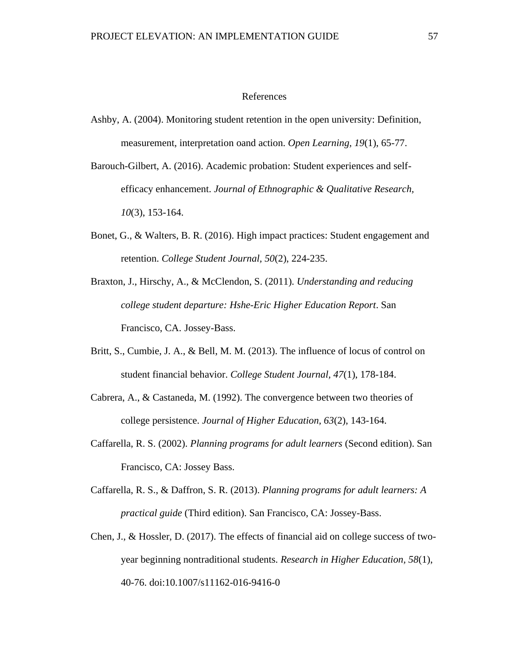#### References

- Ashby, A. (2004). Monitoring student retention in the open university: Definition, measurement, interpretation oand action. *Open Learning, 19*(1), 65-77.
- Barouch-Gilbert, A. (2016). Academic probation: Student experiences and selfefficacy enhancement. *Journal of Ethnographic & Qualitative Research, 10*(3), 153-164.
- Bonet, G., & Walters, B. R. (2016). High impact practices: Student engagement and retention. *College Student Journal, 50*(2), 224-235.
- Braxton, J., Hirschy, A., & McClendon, S. (2011). *Understanding and reducing college student departure: Hshe-Eric Higher Education Report*. San Francisco, CA. Jossey-Bass.
- Britt, S., Cumbie, J. A., & Bell, M. M. (2013). The influence of locus of control on student financial behavior. *College Student Journal, 47*(1), 178-184.
- Cabrera, A., & Castaneda, M. (1992). The convergence between two theories of college persistence. *Journal of Higher Education, 63*(2), 143-164.
- Caffarella, R. S. (2002). *Planning programs for adult learners* (Second edition). San Francisco, CA: Jossey Bass.
- Caffarella, R. S., & Daffron, S. R. (2013). *Planning programs for adult learners: A practical guide* (Third edition). San Francisco, CA: Jossey-Bass.
- Chen, J., & Hossler, D. (2017). The effects of financial aid on college success of twoyear beginning nontraditional students. *Research in Higher Education, 58*(1), 40-76. doi:10.1007/s11162-016-9416-0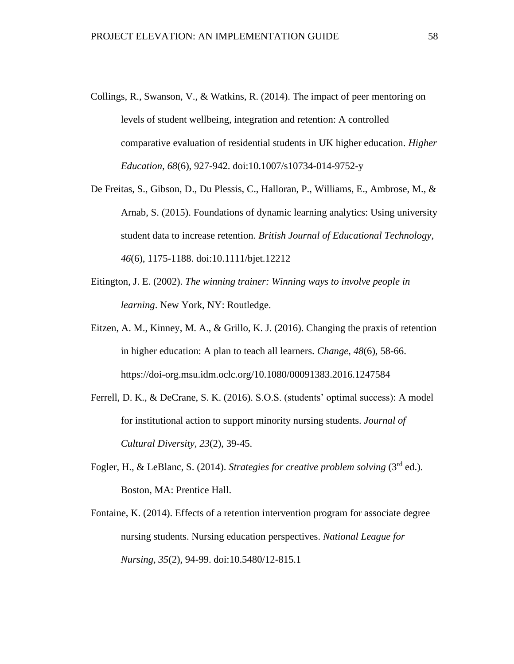- Collings, R., Swanson, V., & Watkins, R. (2014). The impact of peer mentoring on levels of student wellbeing, integration and retention: A controlled comparative evaluation of residential students in UK higher education. *Higher Education, 68*(6), 927-942. doi:10.1007/s10734-014-9752-y
- De Freitas, S., Gibson, D., Du Plessis, C., Halloran, P., Williams, E., Ambrose, M., & Arnab, S. (2015). Foundations of dynamic learning analytics: Using university student data to increase retention. *British Journal of Educational Technology, 46*(6), 1175-1188. doi:10.1111/bjet.12212
- Eitington, J. E. (2002). *The winning trainer: Winning ways to involve people in learning*. New York, NY: Routledge.
- Eitzen, A. M., Kinney, M. A., & Grillo, K. J. (2016). Changing the praxis of retention in higher education: A plan to teach all learners. *Change*, *48*(6), 58-66. https://doi-org.msu.idm.oclc.org/10.1080/00091383.2016.1247584
- Ferrell, D. K., & DeCrane, S. K. (2016). S.O.S. (students' optimal success): A model for institutional action to support minority nursing students. *Journal of Cultural Diversity, 23*(2), 39-45.
- Fogler, H., & LeBlanc, S. (2014). *Strategies for creative problem solving* (3rd ed.). Boston, MA: Prentice Hall.
- Fontaine, K. (2014). Effects of a retention intervention program for associate degree nursing students. Nursing education perspectives. *National League for Nursing, 35*(2), 94-99. doi:10.5480/12-815.1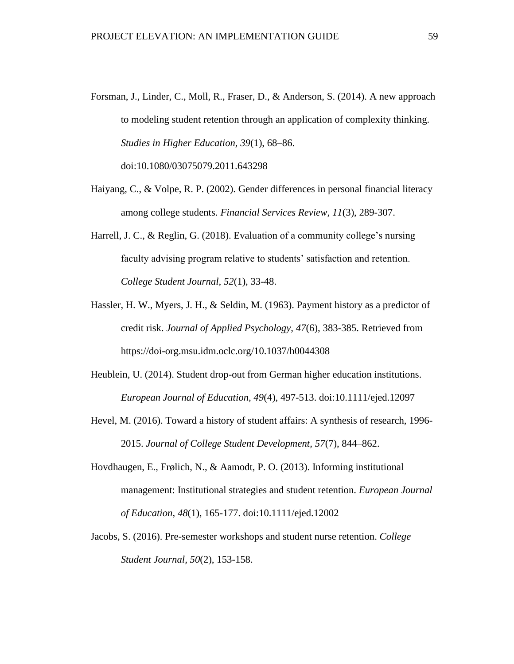- Forsman, J., Linder, C., Moll, R., Fraser, D., & Anderson, S. (2014). A new approach to modeling student retention through an application of complexity thinking. *Studies in Higher Education, 39*(1), 68–86. doi:10.1080/03075079.2011.643298
- Haiyang, C., & Volpe, R. P. (2002). Gender differences in personal financial literacy among college students. *Financial Services Review, 11*(3), 289-307.
- Harrell, J. C., & Reglin, G. (2018). Evaluation of a community college's nursing faculty advising program relative to students' satisfaction and retention. *College Student Journal, 52*(1), 33-48.
- Hassler, H. W., Myers, J. H., & Seldin, M. (1963). Payment history as a predictor of credit risk. *Journal of Applied Psychology, 47*(6), 383-385. Retrieved from https://doi-org.msu.idm.oclc.org/10.1037/h0044308
- Heublein, U. (2014). Student drop-out from German higher education institutions. *European Journal of Education, 49*(4), 497-513. doi:10.1111/ejed.12097
- Hevel, M. (2016). Toward a history of student affairs: A synthesis of research, 1996- 2015. *Journal of College Student Development, 57*(7), 844–862.
- Hovdhaugen, E., Frølich, N., & Aamodt, P. O. (2013). Informing institutional management: Institutional strategies and student retention. *European Journal of Education*, *48*(1), 165-177. doi:10.1111/ejed.12002
- Jacobs, S. (2016). Pre-semester workshops and student nurse retention. *College Student Journal, 50*(2), 153-158.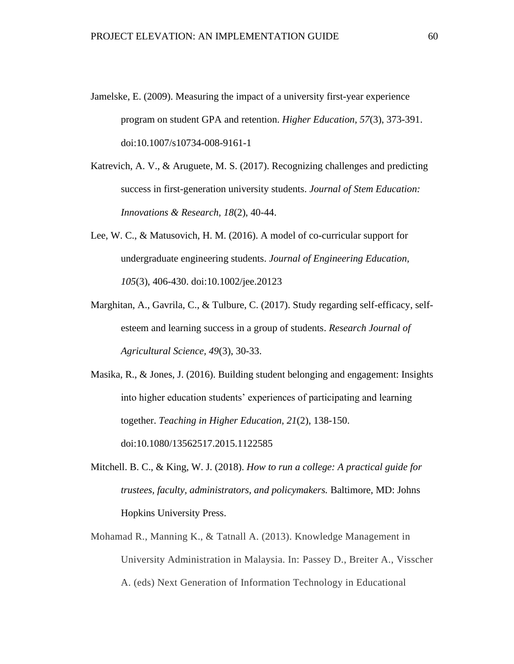- Jamelske, E. (2009). Measuring the impact of a university first-year experience program on student GPA and retention. *Higher Education, 57*(3), 373-391. doi:10.1007/s10734-008-9161-1
- Katrevich, A. V., & Aruguete, M. S. (2017). Recognizing challenges and predicting success in first-generation university students. *Journal of Stem Education: Innovations & Research, 18*(2), 40-44.
- Lee, W. C., & Matusovich, H. M. (2016). A model of co-curricular support for undergraduate engineering students. *Journal of Engineering Education, 105*(3), 406-430. doi:10.1002/jee.20123
- Marghitan, A., Gavrila, C., & Tulbure, C. (2017). Study regarding self-efficacy, selfesteem and learning success in a group of students. *Research Journal of Agricultural Science, 49*(3), 30-33.

Masika, R., & Jones, J. (2016). Building student belonging and engagement: Insights into higher education students' experiences of participating and learning together. *Teaching in Higher Education, 21*(2), 138-150. doi:10.1080/13562517.2015.1122585

- Mitchell. B. C., & King, W. J. (2018). *How to run a college: A practical guide for trustees, faculty, administrators, and policymakers.* Baltimore, MD: Johns Hopkins University Press.
- Mohamad R., Manning K., & Tatnall A. (2013). Knowledge Management in University Administration in Malaysia. In: Passey D., Breiter A., Visscher A. (eds) Next Generation of Information Technology in Educational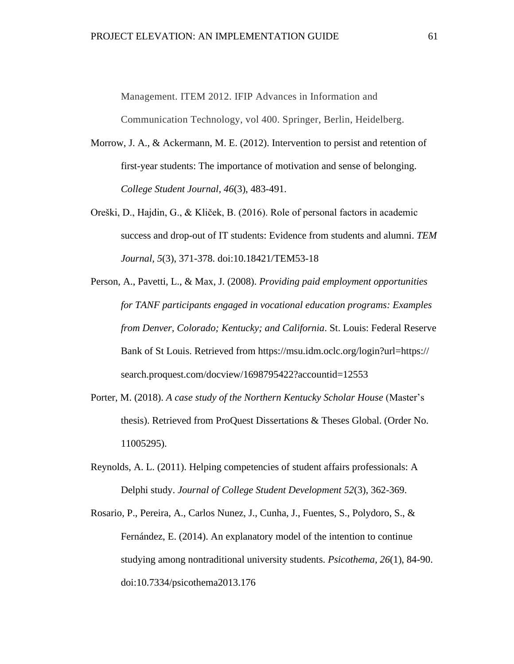Management. ITEM 2012. IFIP Advances in Information and

Communication Technology, vol 400. Springer, Berlin, Heidelberg.

- Morrow, J. A., & Ackermann, M. E. (2012). Intervention to persist and retention of first-year students: The importance of motivation and sense of belonging. *College Student Journal, 46*(3), 483-491.
- Oreški, D., Hajdin, G., & Kliček, B. (2016). Role of personal factors in academic success and drop-out of IT students: Evidence from students and alumni. *TEM Journal, 5*(3), 371-378. doi:10.18421/TEM53-18
- Person, A., Pavetti, L., & Max, J. (2008). *Providing paid employment opportunities for TANF participants engaged in vocational education programs: Examples from Denver, Colorado; Kentucky; and California*. St. Louis: Federal Reserve Bank of St Louis. Retrieved from https://msu.idm.oclc.org/login?url=https:// search.proquest.com/docview/1698795422?accountid=12553
- Porter, M. (2018). *A case study of the Northern Kentucky Scholar House* (Master's thesis). Retrieved from ProQuest Dissertations & Theses Global. (Order No. 11005295).
- Reynolds, A. L. (2011). Helping competencies of student affairs professionals: A Delphi study. *Journal of College Student Development 52*(3), 362-369.
- Rosario, P., Pereira, A., Carlos Nunez, J., Cunha, J., Fuentes, S., Polydoro, S., & Fernández, E. (2014). An explanatory model of the intention to continue studying among nontraditional university students. *Psicothema, 26*(1), 84-90. doi:10.7334/psicothema2013.176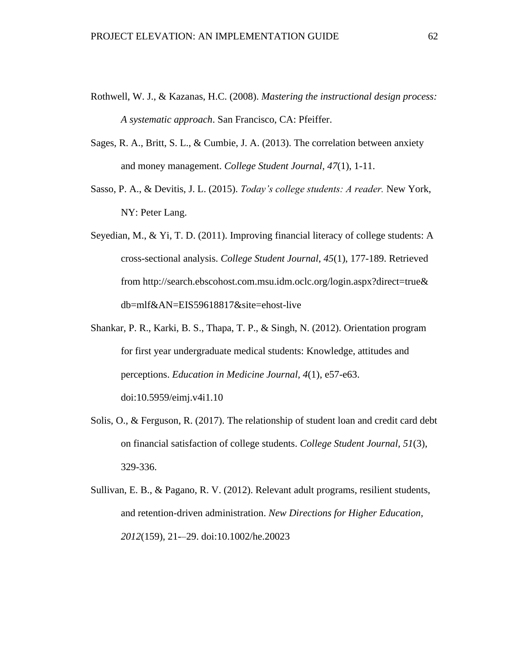- Rothwell, W. J., & Kazanas, H.C. (2008). *Mastering the instructional design process: A systematic approach*. San Francisco, CA: Pfeiffer.
- Sages, R. A., Britt, S. L., & Cumbie, J. A. (2013). The correlation between anxiety and money management. *College Student Journal, 47*(1), 1-11.
- Sasso, P. A., & Devitis, J. L. (2015). *Today's college students: A reader.* New York, NY: Peter Lang.
- Seyedian, M., & Yi, T. D. (2011). Improving financial literacy of college students: A cross-sectional analysis. *College Student Journal*, *45*(1), 177-189. Retrieved from http://search.ebscohost.com.msu.idm.oclc.org/login.aspx?direct=true& db=mlf&AN=EIS59618817&site=ehost-live
- Shankar, P. R., Karki, B. S., Thapa, T. P., & Singh, N. (2012). Orientation program for first year undergraduate medical students: Knowledge, attitudes and perceptions. *Education in Medicine Journal, 4*(1), e57-e63. doi:10.5959/eimj.v4i1.10
- Solis, O., & Ferguson, R. (2017). The relationship of student loan and credit card debt on financial satisfaction of college students. *College Student Journal, 51*(3), 329-336.
- Sullivan, E. B., & Pagano, R. V. (2012). Relevant adult programs, resilient students, and retention-driven administration. *New Directions for Higher Education, 2012*(159), 21-–29. doi:10.1002/he.20023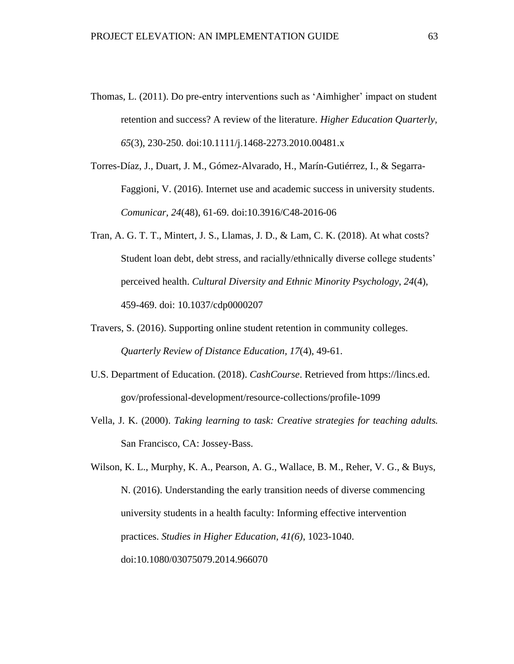- Thomas, L. (2011). Do pre-entry interventions such as 'Aimhigher' impact on student retention and success? A review of the literature. *Higher Education Quarterly, 65*(3), 230-250. doi:10.1111/j.1468-2273.2010.00481.x
- Torres-Díaz, J., Duart, J. M., Gómez-Alvarado, H., Marín-Gutiérrez, I., & Segarra-Faggioni, V. (2016). Internet use and academic success in university students. *Comunicar, 24*(48), 61-69. doi:10.3916/C48-2016-06
- Tran, A. G. T. T., Mintert, J. S., Llamas, J. D., & Lam, C. K. (2018). At what costs? Student loan debt, debt stress, and racially/ethnically diverse college students' perceived health. *Cultural Diversity and Ethnic Minority Psychology*, *24*(4), 459-469. doi: 10.1037/cdp0000207
- Travers, S. (2016). Supporting online student retention in community colleges. *Quarterly Review of Distance Education, 17*(4), 49-61.
- U.S. Department of Education. (2018). *CashCourse*. Retrieved from https://lincs.ed. gov/professional-development/resource-collections/profile-1099
- Vella, J. K. (2000). *Taking learning to task: Creative strategies for teaching adults.* San Francisco, CA: Jossey-Bass.

Wilson, K. L., Murphy, K. A., Pearson, A. G., Wallace, B. M., Reher, V. G., & Buys, N. (2016). Understanding the early transition needs of diverse commencing university students in a health faculty: Informing effective intervention practices. *Studies in Higher Education, 41(6)*, 1023-1040. doi:10.1080/03075079.2014.966070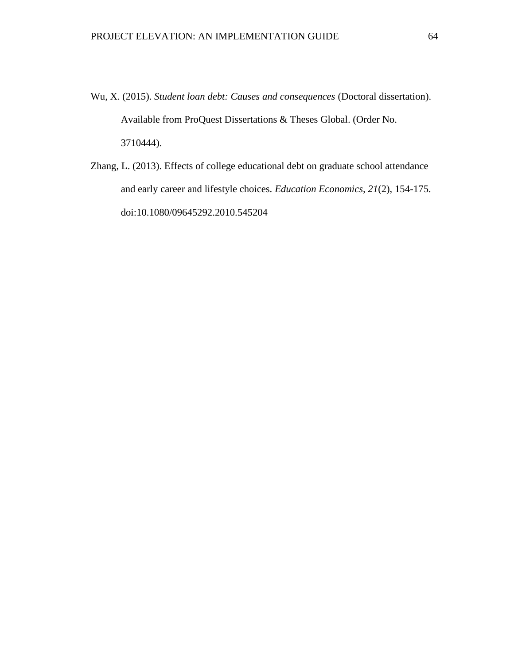- Wu, X. (2015). *Student loan debt: Causes and consequences* (Doctoral dissertation). Available from ProQuest Dissertations & Theses Global. (Order No. 3710444).
- Zhang, L. (2013). Effects of college educational debt on graduate school attendance and early career and lifestyle choices. *Education Economics, 21*(2), 154-175. doi:10.1080/09645292.2010.545204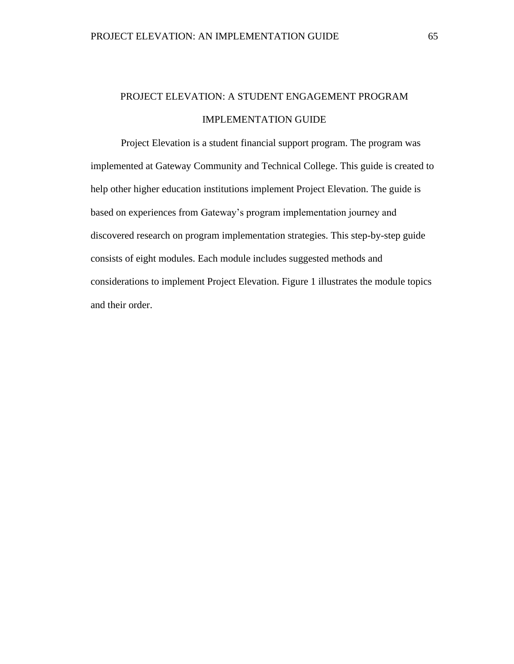# PROJECT ELEVATION: A STUDENT ENGAGEMENT PROGRAM IMPLEMENTATION GUIDE

Project Elevation is a student financial support program. The program was implemented at Gateway Community and Technical College. This guide is created to help other higher education institutions implement Project Elevation. The guide is based on experiences from Gateway's program implementation journey and discovered research on program implementation strategies. This step-by-step guide consists of eight modules. Each module includes suggested methods and considerations to implement Project Elevation. [Figure 1](#page-66-0) illustrates the module topics and their order.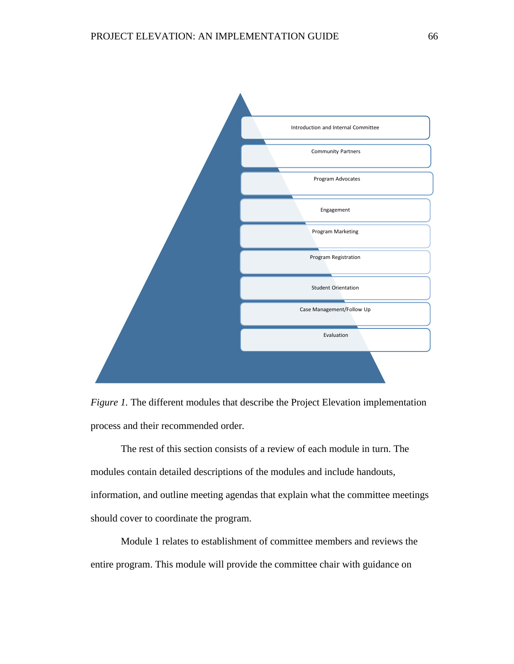

<span id="page-66-0"></span>*Figure 1.* The different modules that describe the Project Elevation implementation process and their recommended order*.*

The rest of this section consists of a review of each module in turn. The modules contain detailed descriptions of the modules and include handouts, information, and outline meeting agendas that explain what the committee meetings should cover to coordinate the program.

Module 1 relates to establishment of committee members and reviews the entire program. This module will provide the committee chair with guidance on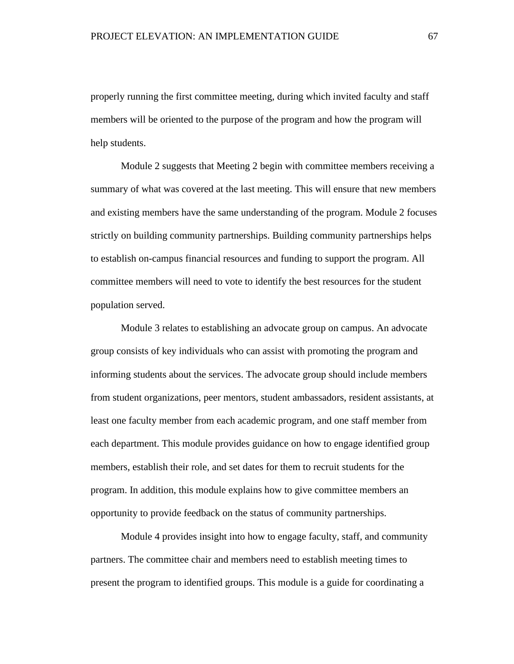properly running the first committee meeting, during which invited faculty and staff members will be oriented to the purpose of the program and how the program will help students.

Module 2 suggests that Meeting 2 begin with committee members receiving a summary of what was covered at the last meeting. This will ensure that new members and existing members have the same understanding of the program. Module 2 focuses strictly on building community partnerships. Building community partnerships helps to establish on-campus financial resources and funding to support the program. All committee members will need to vote to identify the best resources for the student population served.

Module 3 relates to establishing an advocate group on campus. An advocate group consists of key individuals who can assist with promoting the program and informing students about the services. The advocate group should include members from student organizations, peer mentors, student ambassadors, resident assistants, at least one faculty member from each academic program, and one staff member from each department. This module provides guidance on how to engage identified group members, establish their role, and set dates for them to recruit students for the program. In addition, this module explains how to give committee members an opportunity to provide feedback on the status of community partnerships.

Module 4 provides insight into how to engage faculty, staff, and community partners. The committee chair and members need to establish meeting times to present the program to identified groups. This module is a guide for coordinating a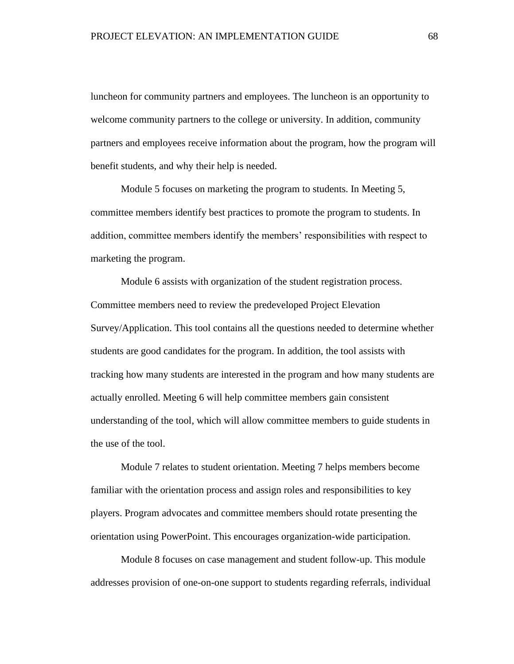luncheon for community partners and employees. The luncheon is an opportunity to welcome community partners to the college or university. In addition, community partners and employees receive information about the program, how the program will benefit students, and why their help is needed.

Module 5 focuses on marketing the program to students. In Meeting 5, committee members identify best practices to promote the program to students. In addition, committee members identify the members' responsibilities with respect to marketing the program.

Module 6 assists with organization of the student registration process. Committee members need to review the predeveloped Project Elevation Survey/Application. This tool contains all the questions needed to determine whether students are good candidates for the program. In addition, the tool assists with tracking how many students are interested in the program and how many students are actually enrolled. Meeting 6 will help committee members gain consistent understanding of the tool, which will allow committee members to guide students in the use of the tool.

Module 7 relates to student orientation. Meeting 7 helps members become familiar with the orientation process and assign roles and responsibilities to key players. Program advocates and committee members should rotate presenting the orientation using PowerPoint. This encourages organization-wide participation.

Module 8 focuses on case management and student follow-up. This module addresses provision of one-on-one support to students regarding referrals, individual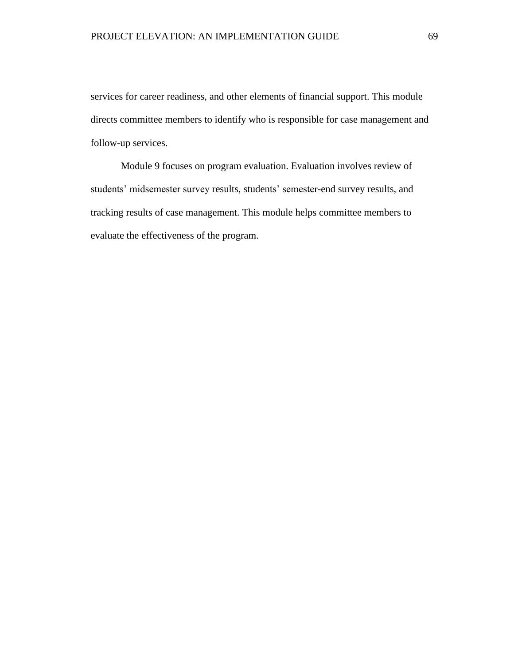services for career readiness, and other elements of financial support. This module directs committee members to identify who is responsible for case management and follow-up services.

Module 9 focuses on program evaluation. Evaluation involves review of students' midsemester survey results, students' semester-end survey results, and tracking results of case management. This module helps committee members to evaluate the effectiveness of the program.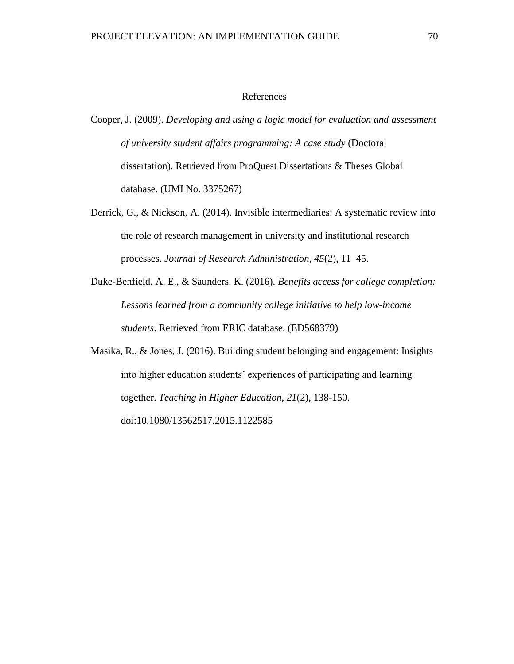## References

- Cooper, J. (2009). *Developing and using a logic model for evaluation and assessment of university student affairs programming: A case study* (Doctoral dissertation). Retrieved from ProQuest Dissertations & Theses Global database. (UMI No. 3375267)
- Derrick, G., & Nickson, A. (2014). Invisible intermediaries: A systematic review into the role of research management in university and institutional research processes. *Journal of Research Administration*, *45*(2), 11–45.
- Duke-Benfield, A. E., & Saunders, K. (2016). *Benefits access for college completion: Lessons learned from a community college initiative to help low-income students*. Retrieved from ERIC database. (ED568379)

Masika, R., & Jones, J. (2016). Building student belonging and engagement: Insights into higher education students' experiences of participating and learning together. *Teaching in Higher Education, 21*(2), 138-150. doi:10.1080/13562517.2015.1122585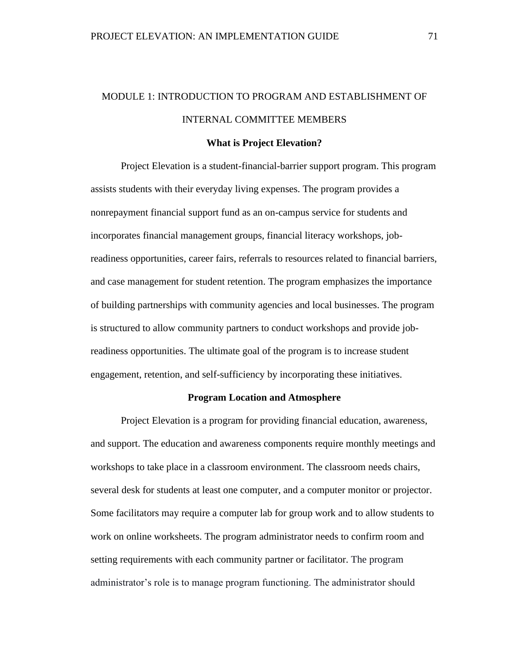# MODULE 1: INTRODUCTION TO PROGRAM AND ESTABLISHMENT OF INTERNAL COMMITTEE MEMBERS

#### **What is Project Elevation?**

Project Elevation is a student-financial-barrier support program. This program assists students with their everyday living expenses. The program provides a nonrepayment financial support fund as an on-campus service for students and incorporates financial management groups, financial literacy workshops, jobreadiness opportunities, career fairs, referrals to resources related to financial barriers, and case management for student retention. The program emphasizes the importance of building partnerships with community agencies and local businesses. The program is structured to allow community partners to conduct workshops and provide jobreadiness opportunities. The ultimate goal of the program is to increase student engagement, retention, and self-sufficiency by incorporating these initiatives.

#### **Program Location and Atmosphere**

Project Elevation is a program for providing financial education, awareness, and support. The education and awareness components require monthly meetings and workshops to take place in a classroom environment. The classroom needs chairs, several desk for students at least one computer, and a computer monitor or projector. Some facilitators may require a computer lab for group work and to allow students to work on online worksheets. The program administrator needs to confirm room and setting requirements with each community partner or facilitator. The program administrator's role is to manage program functioning. The administrator should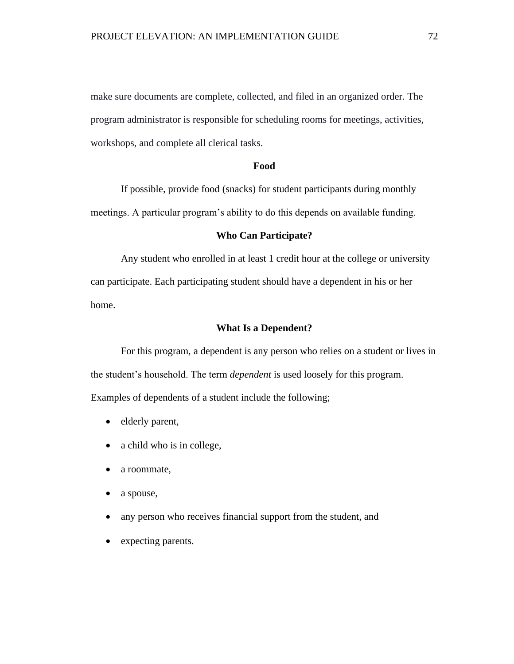make sure documents are complete, collected, and filed in an organized order. The program administrator is responsible for scheduling rooms for meetings, activities, workshops, and complete all clerical tasks.

### **Food**

If possible, provide food (snacks) for student participants during monthly meetings. A particular program's ability to do this depends on available funding.

# **Who Can Participate?**

Any student who enrolled in at least 1 credit hour at the college or university can participate. Each participating student should have a dependent in his or her home.

## **What Is a Dependent?**

For this program, a dependent is any person who relies on a student or lives in the student's household. The term *dependent* is used loosely for this program. Examples of dependents of a student include the following;

- elderly parent,
- a child who is in college,
- a roommate,
- a spouse,
- any person who receives financial support from the student, and
- expecting parents.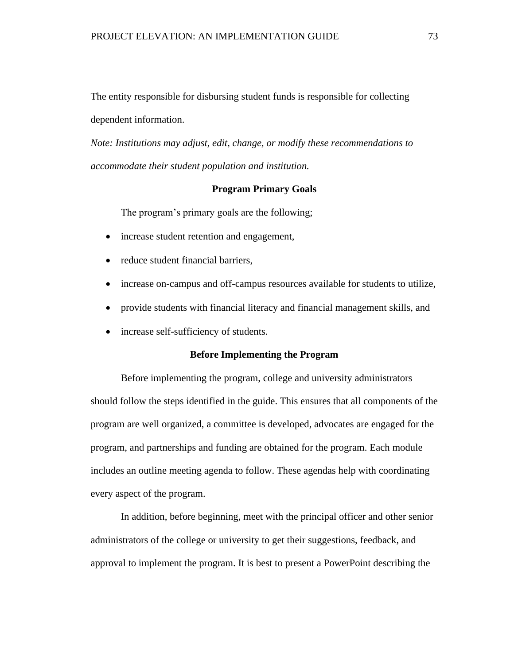The entity responsible for disbursing student funds is responsible for collecting dependent information.

*Note: Institutions may adjust, edit, change, or modify these recommendations to accommodate their student population and institution.*

# **Program Primary Goals**

The program's primary goals are the following;

- increase student retention and engagement,
- reduce student financial barriers,
- increase on-campus and off-campus resources available for students to utilize,
- provide students with financial literacy and financial management skills, and
- increase self-sufficiency of students.

# **Before Implementing the Program**

Before implementing the program, college and university administrators should follow the steps identified in the guide. This ensures that all components of the program are well organized, a committee is developed, advocates are engaged for the program, and partnerships and funding are obtained for the program. Each module includes an outline meeting agenda to follow. These agendas help with coordinating every aspect of the program.

In addition, before beginning, meet with the principal officer and other senior administrators of the college or university to get their suggestions, feedback, and approval to implement the program. It is best to present a PowerPoint describing the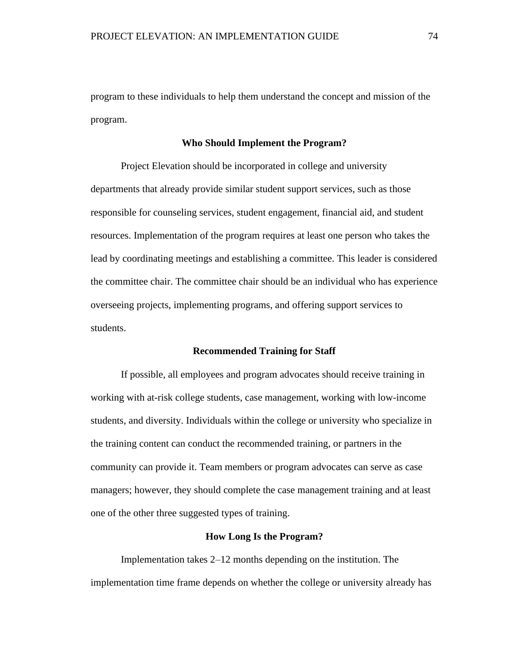program to these individuals to help them understand the concept and mission of the program.

#### **Who Should Implement the Program?**

Project Elevation should be incorporated in college and university departments that already provide similar student support services, such as those responsible for counseling services, student engagement, financial aid, and student resources. Implementation of the program requires at least one person who takes the lead by coordinating meetings and establishing a committee. This leader is considered the committee chair. The committee chair should be an individual who has experience overseeing projects, implementing programs, and offering support services to students.

# **Recommended Training for Staff**

If possible, all employees and program advocates should receive training in working with at-risk college students, case management, working with low-income students, and diversity. Individuals within the college or university who specialize in the training content can conduct the recommended training, or partners in the community can provide it. Team members or program advocates can serve as case managers; however, they should complete the case management training and at least one of the other three suggested types of training.

## **How Long Is the Program?**

Implementation takes 2–12 months depending on the institution. The implementation time frame depends on whether the college or university already has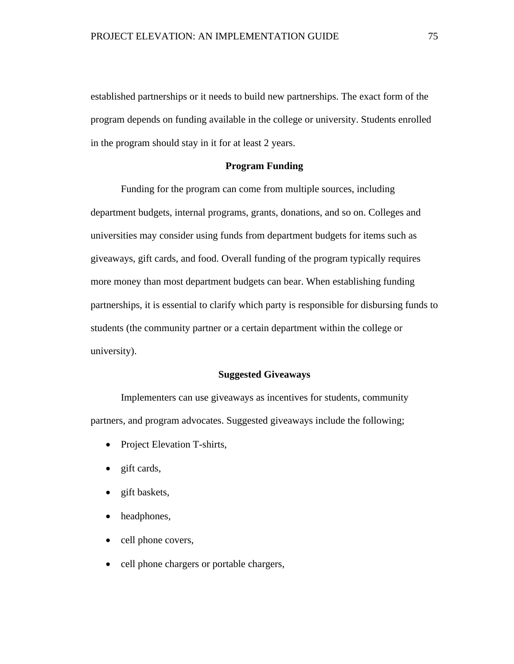established partnerships or it needs to build new partnerships. The exact form of the program depends on funding available in the college or university. Students enrolled in the program should stay in it for at least 2 years.

# **Program Funding**

Funding for the program can come from multiple sources, including department budgets, internal programs, grants, donations, and so on. Colleges and universities may consider using funds from department budgets for items such as giveaways, gift cards, and food. Overall funding of the program typically requires more money than most department budgets can bear. When establishing funding partnerships, it is essential to clarify which party is responsible for disbursing funds to students (the community partner or a certain department within the college or university).

# **Suggested Giveaways**

Implementers can use giveaways as incentives for students, community partners, and program advocates. Suggested giveaways include the following;

- Project Elevation T-shirts,
- gift cards,
- gift baskets,
- headphones,
- cell phone covers,
- cell phone chargers or portable chargers,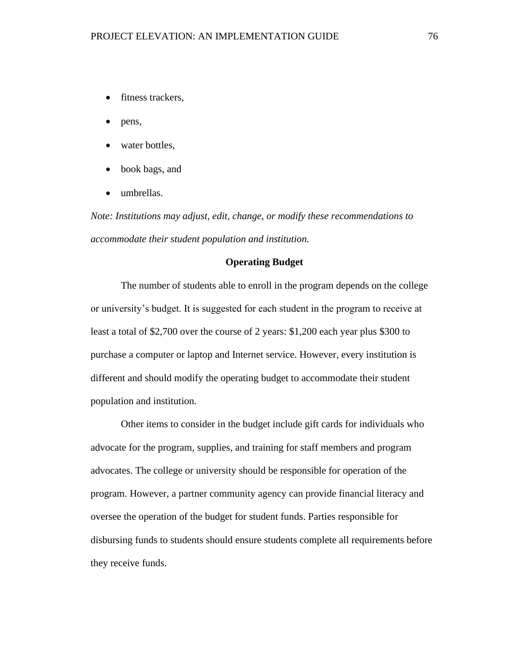- fitness trackers,
- pens,
- water bottles,
- book bags, and
- umbrellas.

*Note: Institutions may adjust, edit, change, or modify these recommendations to accommodate their student population and institution.*

# **Operating Budget**

The number of students able to enroll in the program depends on the college or university's budget. It is suggested for each student in the program to receive at least a total of \$2,700 over the course of 2 years: \$1,200 each year plus \$300 to purchase a computer or laptop and Internet service. However, every institution is different and should modify the operating budget to accommodate their student population and institution.

Other items to consider in the budget include gift cards for individuals who advocate for the program, supplies, and training for staff members and program advocates. The college or university should be responsible for operation of the program. However, a partner community agency can provide financial literacy and oversee the operation of the budget for student funds. Parties responsible for disbursing funds to students should ensure students complete all requirements before they receive funds.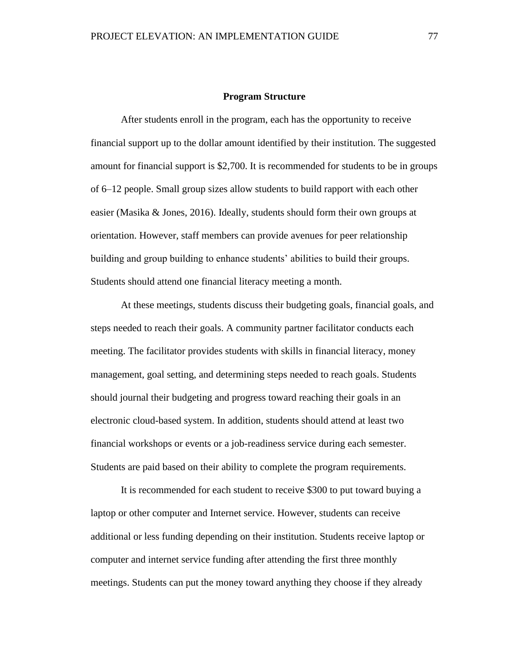#### **Program Structure**

After students enroll in the program, each has the opportunity to receive financial support up to the dollar amount identified by their institution. The suggested amount for financial support is \$2,700. It is recommended for students to be in groups of 6–12 people. Small group sizes allow students to build rapport with each other easier (Masika & Jones, 2016). Ideally, students should form their own groups at orientation. However, staff members can provide avenues for peer relationship building and group building to enhance students' abilities to build their groups. Students should attend one financial literacy meeting a month.

At these meetings, students discuss their budgeting goals, financial goals, and steps needed to reach their goals. A community partner facilitator conducts each meeting. The facilitator provides students with skills in financial literacy, money management, goal setting, and determining steps needed to reach goals. Students should journal their budgeting and progress toward reaching their goals in an electronic cloud-based system. In addition, students should attend at least two financial workshops or events or a job-readiness service during each semester. Students are paid based on their ability to complete the program requirements.

It is recommended for each student to receive \$300 to put toward buying a laptop or other computer and Internet service. However, students can receive additional or less funding depending on their institution. Students receive laptop or computer and internet service funding after attending the first three monthly meetings. Students can put the money toward anything they choose if they already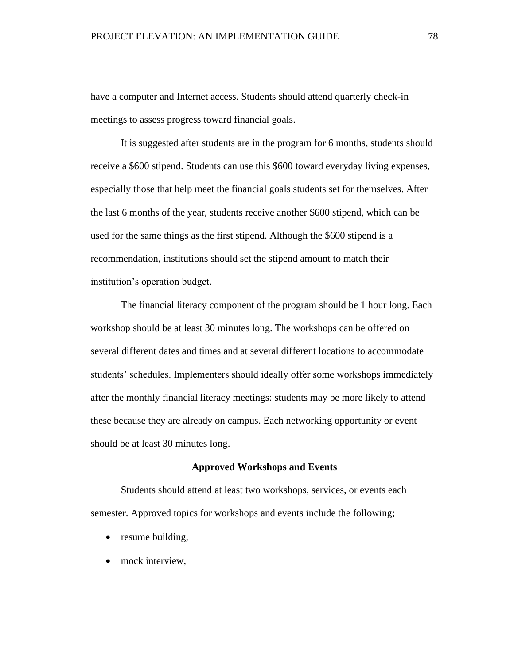have a computer and Internet access. Students should attend quarterly check-in meetings to assess progress toward financial goals.

It is suggested after students are in the program for 6 months, students should receive a \$600 stipend. Students can use this \$600 toward everyday living expenses, especially those that help meet the financial goals students set for themselves. After the last 6 months of the year, students receive another \$600 stipend, which can be used for the same things as the first stipend. Although the \$600 stipend is a recommendation, institutions should set the stipend amount to match their institution's operation budget.

The financial literacy component of the program should be 1 hour long. Each workshop should be at least 30 minutes long. The workshops can be offered on several different dates and times and at several different locations to accommodate students' schedules. Implementers should ideally offer some workshops immediately after the monthly financial literacy meetings: students may be more likely to attend these because they are already on campus. Each networking opportunity or event should be at least 30 minutes long.

# **Approved Workshops and Events**

Students should attend at least two workshops, services, or events each semester. Approved topics for workshops and events include the following;

- resume building,
- mock interview,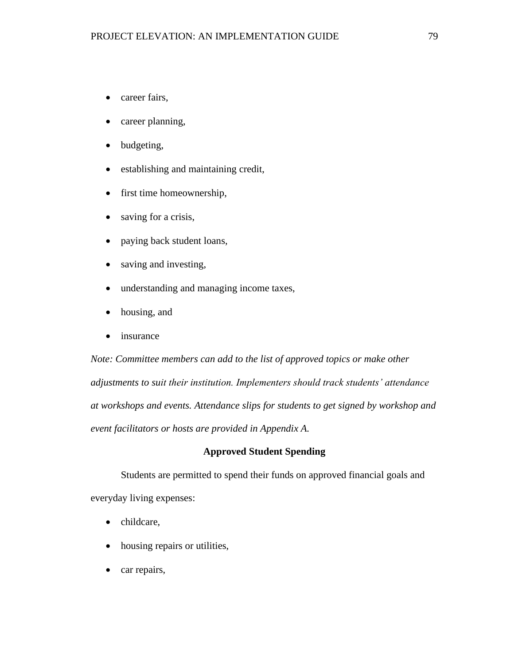- career fairs,
- career planning,
- budgeting,
- establishing and maintaining credit,
- first time homeownership,
- saving for a crisis,
- paying back student loans,
- saving and investing,
- understanding and managing income taxes,
- housing, and
- insurance

*Note: Committee members can add to the list of approved topics or make other adjustments to suit their institution. Implementers should track students' attendance at workshops and events. Attendance slips for students to get signed by workshop and event facilitators or hosts are provided in Appendix A.*

# **Approved Student Spending**

Students are permitted to spend their funds on approved financial goals and everyday living expenses:

- childcare,
- housing repairs or utilities,
- car repairs,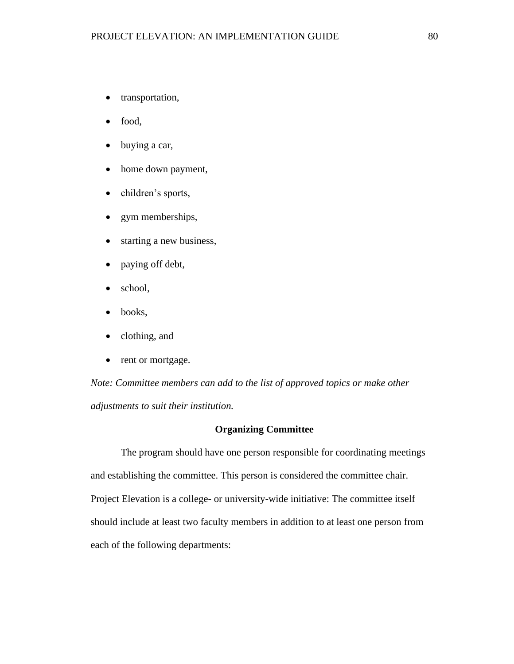- transportation,
- food,
- buying a car,
- home down payment,
- children's sports,
- gym memberships,
- starting a new business,
- paying off debt,
- school,
- books,
- clothing, and
- rent or mortgage.

*Note: Committee members can add to the list of approved topics or make other adjustments to suit their institution.* 

### **Organizing Committee**

The program should have one person responsible for coordinating meetings and establishing the committee. This person is considered the committee chair. Project Elevation is a college- or university-wide initiative: The committee itself should include at least two faculty members in addition to at least one person from each of the following departments: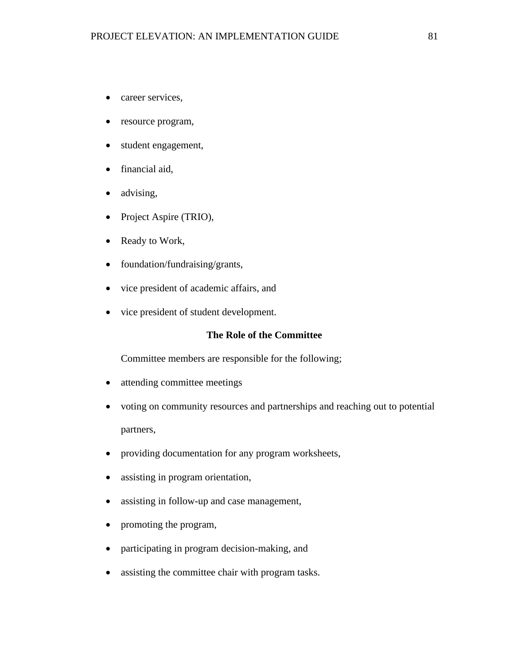- career services,
- resource program,
- student engagement,
- financial aid,
- advising,
- Project Aspire (TRIO),
- Ready to Work,
- foundation/fundraising/grants,
- vice president of academic affairs, and
- vice president of student development.

# **The Role of the Committee**

Committee members are responsible for the following;

- attending committee meetings
- voting on community resources and partnerships and reaching out to potential partners,
- providing documentation for any program worksheets,
- assisting in program orientation,
- assisting in follow-up and case management,
- promoting the program,
- participating in program decision-making, and
- assisting the committee chair with program tasks.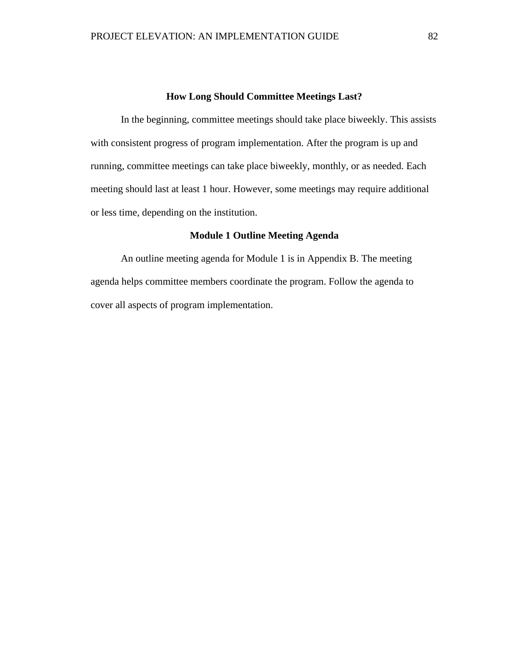# **How Long Should Committee Meetings Last?**

In the beginning, committee meetings should take place biweekly. This assists with consistent progress of program implementation. After the program is up and running, committee meetings can take place biweekly, monthly, or as needed. Each meeting should last at least 1 hour. However, some meetings may require additional or less time, depending on the institution.

# **Module 1 Outline Meeting Agenda**

An outline meeting agenda for Module 1 is in Appendix B. The meeting agenda helps committee members coordinate the program. Follow the agenda to cover all aspects of program implementation.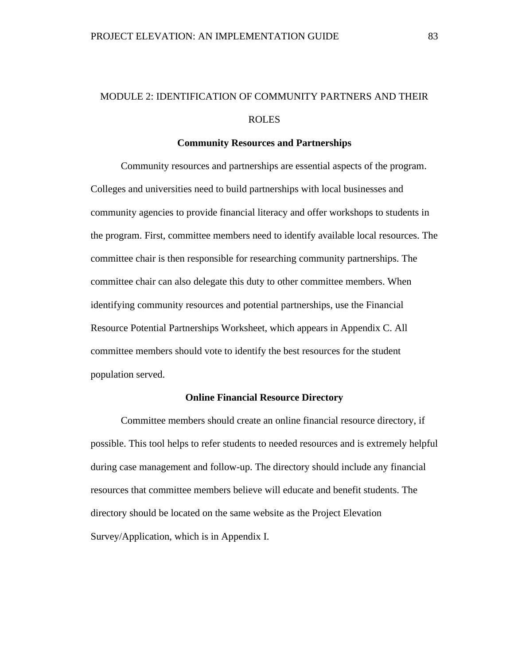# MODULE 2: IDENTIFICATION OF COMMUNITY PARTNERS AND THEIR ROLES

#### **Community Resources and Partnerships**

Community resources and partnerships are essential aspects of the program. Colleges and universities need to build partnerships with local businesses and community agencies to provide financial literacy and offer workshops to students in the program. First, committee members need to identify available local resources. The committee chair is then responsible for researching community partnerships. The committee chair can also delegate this duty to other committee members. When identifying community resources and potential partnerships, use the Financial Resource Potential Partnerships Worksheet, which appears in Appendix C. All committee members should vote to identify the best resources for the student population served.

#### **Online Financial Resource Directory**

Committee members should create an online financial resource directory, if possible. This tool helps to refer students to needed resources and is extremely helpful during case management and follow-up. The directory should include any financial resources that committee members believe will educate and benefit students. The directory should be located on the same website as the Project Elevation Survey/Application, which is in Appendix I.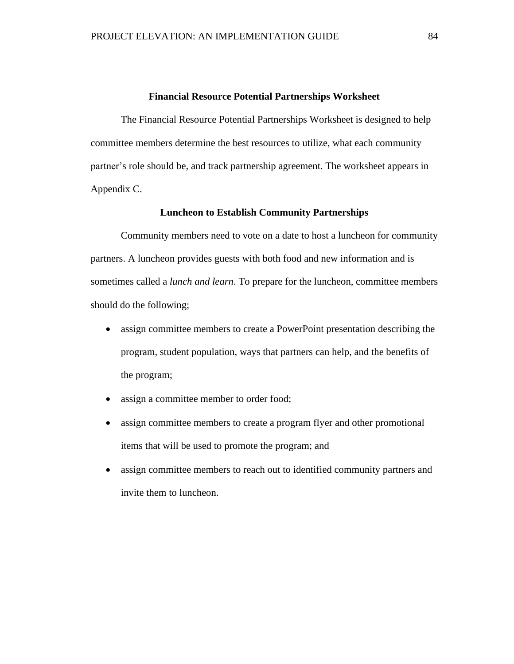#### **Financial Resource Potential Partnerships Worksheet**

The Financial Resource Potential Partnerships Worksheet is designed to help committee members determine the best resources to utilize, what each community partner's role should be, and track partnership agreement. The worksheet appears in Appendix C.

### **Luncheon to Establish Community Partnerships**

Community members need to vote on a date to host a luncheon for community partners. A luncheon provides guests with both food and new information and is sometimes called a *lunch and learn*. To prepare for the luncheon, committee members should do the following;

- assign committee members to create a PowerPoint presentation describing the program, student population, ways that partners can help, and the benefits of the program;
- assign a committee member to order food;
- assign committee members to create a program flyer and other promotional items that will be used to promote the program; and
- assign committee members to reach out to identified community partners and invite them to luncheon.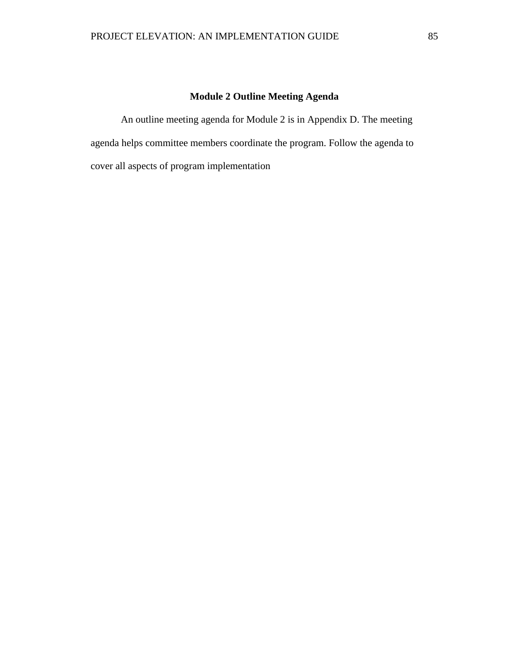# **Module 2 Outline Meeting Agenda**

An outline meeting agenda for Module 2 is in Appendix D. The meeting agenda helps committee members coordinate the program. Follow the agenda to cover all aspects of program implementation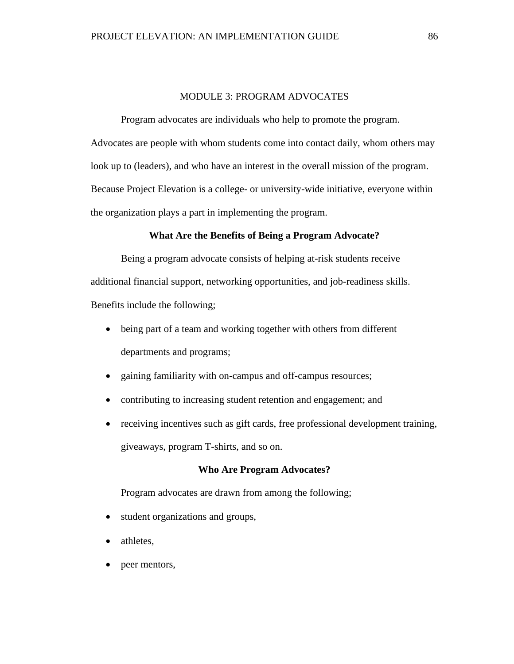# MODULE 3: PROGRAM ADVOCATES

Program advocates are individuals who help to promote the program. Advocates are people with whom students come into contact daily, whom others may look up to (leaders), and who have an interest in the overall mission of the program. Because Project Elevation is a college- or university-wide initiative, everyone within the organization plays a part in implementing the program.

# **What Are the Benefits of Being a Program Advocate?**

Being a program advocate consists of helping at-risk students receive additional financial support, networking opportunities, and job-readiness skills. Benefits include the following;

- being part of a team and working together with others from different departments and programs;
- gaining familiarity with on-campus and off-campus resources;
- contributing to increasing student retention and engagement; and
- receiving incentives such as gift cards, free professional development training, giveaways, program T-shirts, and so on.

# **Who Are Program Advocates?**

Program advocates are drawn from among the following;

- student organizations and groups,
- athletes.
- peer mentors,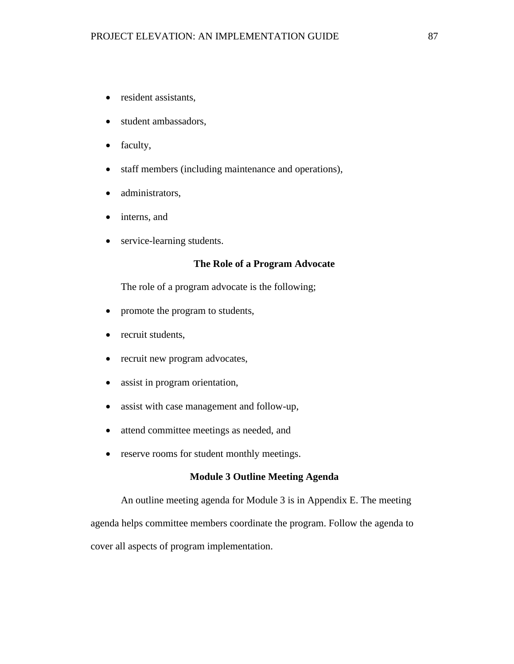- resident assistants,
- student ambassadors,
- faculty,
- staff members (including maintenance and operations),
- administrators,
- interns, and
- service-learning students.

# **The Role of a Program Advocate**

The role of a program advocate is the following;

- promote the program to students,
- recruit students,
- recruit new program advocates,
- assist in program orientation,
- assist with case management and follow-up,
- attend committee meetings as needed, and
- reserve rooms for student monthly meetings.

# **Module 3 Outline Meeting Agenda**

An outline meeting agenda for Module 3 is in Appendix E. The meeting agenda helps committee members coordinate the program. Follow the agenda to cover all aspects of program implementation.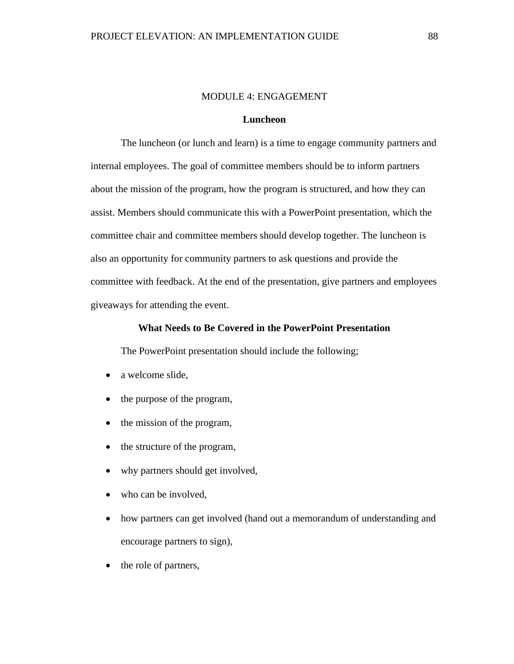# MODULE 4: ENGAGEMENT

# **Luncheon**

The luncheon (or lunch and learn) is a time to engage community partners and internal employees. The goal of committee members should be to inform partners about the mission of the program, how the program is structured, and how they can assist. Members should communicate this with a PowerPoint presentation, which the committee chair and committee members should develop together. The luncheon is also an opportunity for community partners to ask questions and provide the committee with feedback. At the end of the presentation, give partners and employees giveaways for attending the event.

# **What Needs to Be Covered in the PowerPoint Presentation**

The PowerPoint presentation should include the following;

- a welcome slide.
- the purpose of the program,
- the mission of the program,
- the structure of the program,
- why partners should get involved,
- who can be involved,
- how partners can get involved (hand out a memorandum of understanding and encourage partners to sign),
- the role of partners,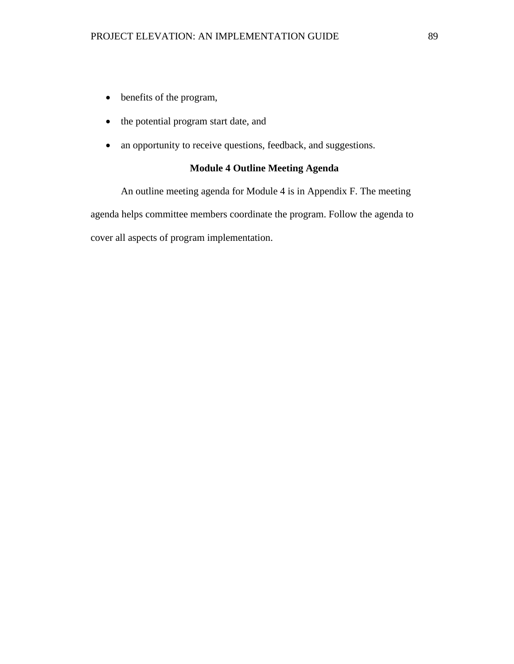- benefits of the program,
- the potential program start date, and
- an opportunity to receive questions, feedback, and suggestions.

# **Module 4 Outline Meeting Agenda**

An outline meeting agenda for Module 4 is in Appendix F. The meeting agenda helps committee members coordinate the program. Follow the agenda to cover all aspects of program implementation.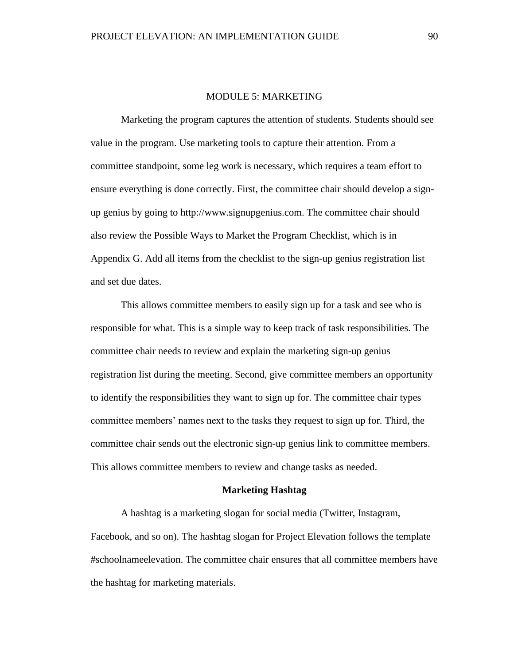# MODULE 5: MARKETING

Marketing the program captures the attention of students. Students should see value in the program. Use marketing tools to capture their attention. From a committee standpoint, some leg work is necessary, which requires a team effort to ensure everything is done correctly. First, the committee chair should develop a signup genius by going to http://www.signupgenius.com. The committee chair should also review the Possible Ways to Market the Program Checklist, which is in Appendix G. Add all items from the checklist to the sign-up genius registration list and set due dates.

This allows committee members to easily sign up for a task and see who is responsible for what. This is a simple way to keep track of task responsibilities. The committee chair needs to review and explain the marketing sign-up genius registration list during the meeting. Second, give committee members an opportunity to identify the responsibilities they want to sign up for. The committee chair types committee members' names next to the tasks they request to sign up for. Third, the committee chair sends out the electronic sign-up genius link to committee members. This allows committee members to review and change tasks as needed.

#### **Marketing Hashtag**

A hashtag is a marketing slogan for social media (Twitter, Instagram, Facebook, and so on). The hashtag slogan for Project Elevation follows the template #schoolnameelevation. The committee chair ensures that all committee members have the hashtag for marketing materials.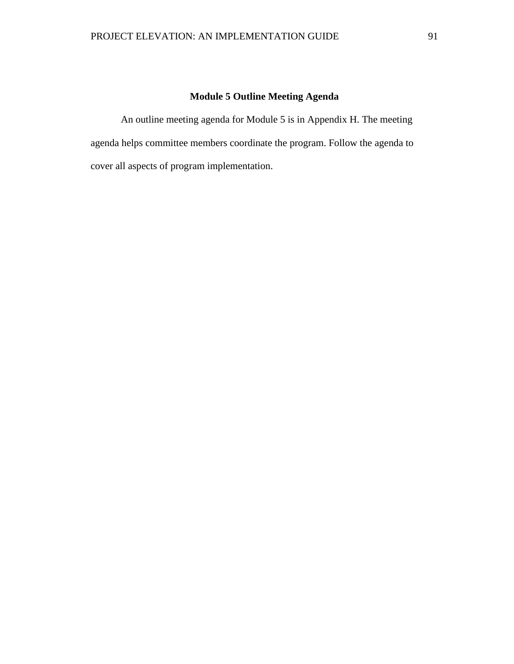# **Module 5 Outline Meeting Agenda**

An outline meeting agenda for Module 5 is in Appendix H. The meeting agenda helps committee members coordinate the program. Follow the agenda to cover all aspects of program implementation.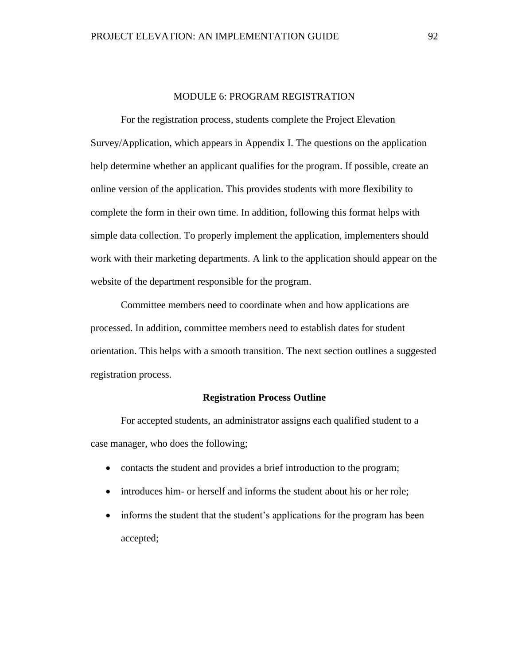# MODULE 6: PROGRAM REGISTRATION

For the registration process, students complete the Project Elevation Survey/Application, which appears in Appendix I. The questions on the application help determine whether an applicant qualifies for the program. If possible, create an online version of the application. This provides students with more flexibility to complete the form in their own time. In addition, following this format helps with simple data collection. To properly implement the application, implementers should work with their marketing departments. A link to the application should appear on the website of the department responsible for the program.

Committee members need to coordinate when and how applications are processed. In addition, committee members need to establish dates for student orientation. This helps with a smooth transition. The next section outlines a suggested registration process.

#### **Registration Process Outline**

For accepted students, an administrator assigns each qualified student to a case manager, who does the following;

- contacts the student and provides a brief introduction to the program;
- introduces him- or herself and informs the student about his or her role;
- informs the student that the student's applications for the program has been accepted;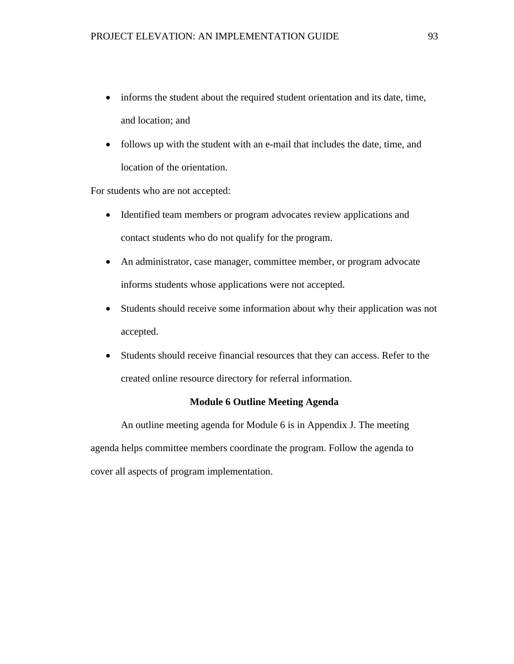- informs the student about the required student orientation and its date, time, and location; and
- follows up with the student with an e-mail that includes the date, time, and location of the orientation.

For students who are not accepted:

- Identified team members or program advocates review applications and contact students who do not qualify for the program.
- An administrator, case manager, committee member, or program advocate informs students whose applications were not accepted.
- Students should receive some information about why their application was not accepted.
- Students should receive financial resources that they can access. Refer to the created online resource directory for referral information.

# **Module 6 Outline Meeting Agenda**

An outline meeting agenda for Module 6 is in Appendix J. The meeting agenda helps committee members coordinate the program. Follow the agenda to cover all aspects of program implementation.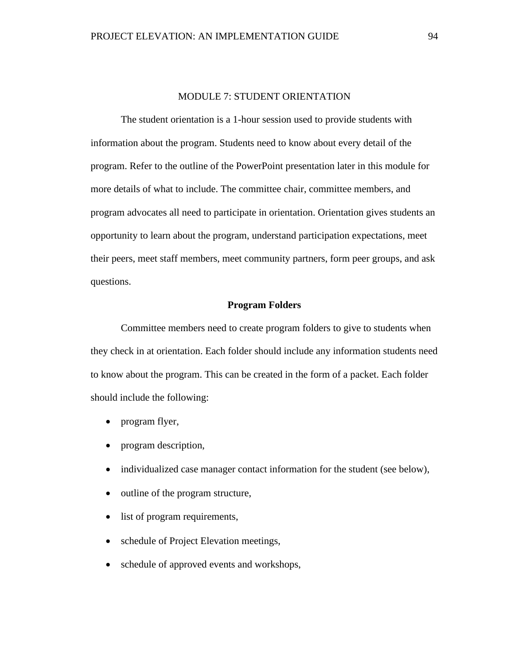# MODULE 7: STUDENT ORIENTATION

The student orientation is a 1-hour session used to provide students with information about the program. Students need to know about every detail of the program. Refer to the outline of the PowerPoint presentation later in this module for more details of what to include. The committee chair, committee members, and program advocates all need to participate in orientation. Orientation gives students an opportunity to learn about the program, understand participation expectations, meet their peers, meet staff members, meet community partners, form peer groups, and ask questions.

# **Program Folders**

Committee members need to create program folders to give to students when they check in at orientation. Each folder should include any information students need to know about the program. This can be created in the form of a packet. Each folder should include the following:

- program flyer,
- program description,
- individualized case manager contact information for the student (see below),
- outline of the program structure,
- list of program requirements,
- schedule of Project Elevation meetings,
- schedule of approved events and workshops,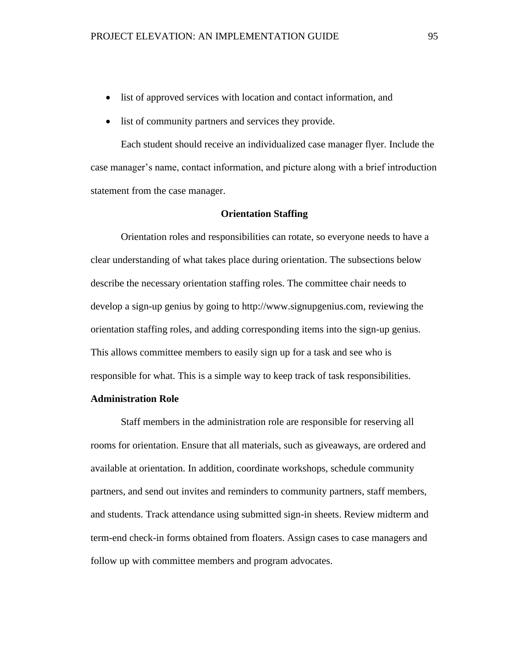- list of approved services with location and contact information, and
- list of community partners and services they provide.

Each student should receive an individualized case manager flyer. Include the case manager's name, contact information, and picture along with a brief introduction statement from the case manager.

# **Orientation Staffing**

Orientation roles and responsibilities can rotate, so everyone needs to have a clear understanding of what takes place during orientation. The subsections below describe the necessary orientation staffing roles. The committee chair needs to develop a sign-up genius by going to http://www.signupgenius.com, reviewing the orientation staffing roles, and adding corresponding items into the sign-up genius. This allows committee members to easily sign up for a task and see who is responsible for what. This is a simple way to keep track of task responsibilities.

# **Administration Role**

Staff members in the administration role are responsible for reserving all rooms for orientation. Ensure that all materials, such as giveaways, are ordered and available at orientation. In addition, coordinate workshops, schedule community partners, and send out invites and reminders to community partners, staff members, and students. Track attendance using submitted sign-in sheets. Review midterm and term-end check-in forms obtained from floaters. Assign cases to case managers and follow up with committee members and program advocates.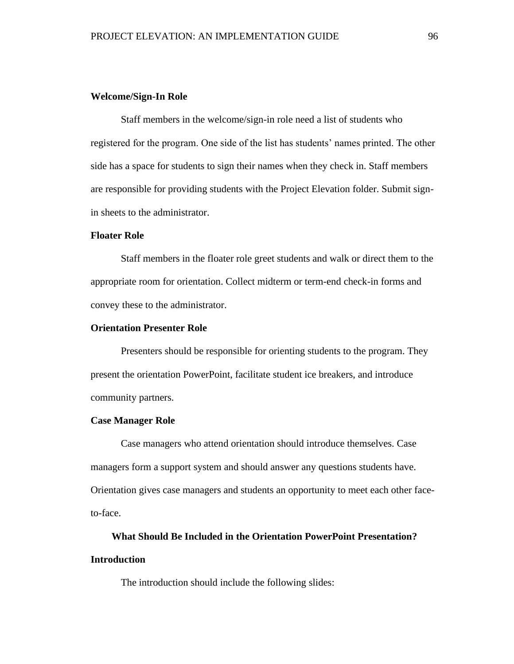# **Welcome/Sign-In Role**

Staff members in the welcome/sign-in role need a list of students who registered for the program. One side of the list has students' names printed. The other side has a space for students to sign their names when they check in. Staff members are responsible for providing students with the Project Elevation folder. Submit signin sheets to the administrator.

# **Floater Role**

Staff members in the floater role greet students and walk or direct them to the appropriate room for orientation. Collect midterm or term-end check-in forms and convey these to the administrator.

# **Orientation Presenter Role**

Presenters should be responsible for orienting students to the program. They present the orientation PowerPoint, facilitate student ice breakers, and introduce community partners.

### **Case Manager Role**

Case managers who attend orientation should introduce themselves. Case managers form a support system and should answer any questions students have. Orientation gives case managers and students an opportunity to meet each other faceto-face.

# **What Should Be Included in the Orientation PowerPoint Presentation? Introduction**

The introduction should include the following slides: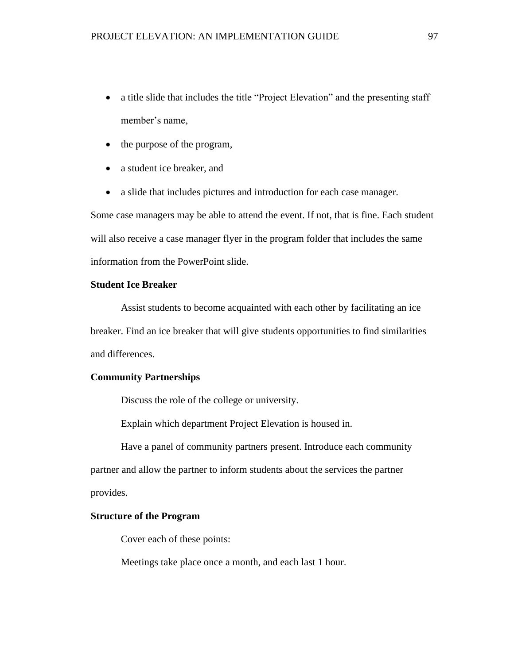- a title slide that includes the title "Project Elevation" and the presenting staff member's name,
- the purpose of the program,
- a student ice breaker, and
- a slide that includes pictures and introduction for each case manager.

Some case managers may be able to attend the event. If not, that is fine. Each student will also receive a case manager flyer in the program folder that includes the same information from the PowerPoint slide.

# **Student Ice Breaker**

Assist students to become acquainted with each other by facilitating an ice breaker. Find an ice breaker that will give students opportunities to find similarities and differences.

# **Community Partnerships**

Discuss the role of the college or university.

Explain which department Project Elevation is housed in.

Have a panel of community partners present. Introduce each community partner and allow the partner to inform students about the services the partner provides.

# **Structure of the Program**

Cover each of these points:

Meetings take place once a month, and each last 1 hour.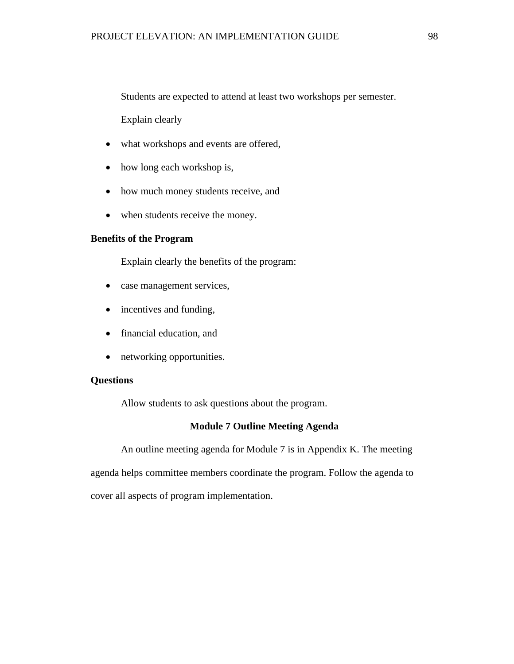Students are expected to attend at least two workshops per semester.

Explain clearly

- what workshops and events are offered,
- how long each workshop is,
- how much money students receive, and
- when students receive the money.

### **Benefits of the Program**

Explain clearly the benefits of the program:

- case management services,
- incentives and funding,
- financial education, and
- networking opportunities.

# **Questions**

Allow students to ask questions about the program.

# **Module 7 Outline Meeting Agenda**

An outline meeting agenda for Module 7 is in Appendix K. The meeting agenda helps committee members coordinate the program. Follow the agenda to cover all aspects of program implementation.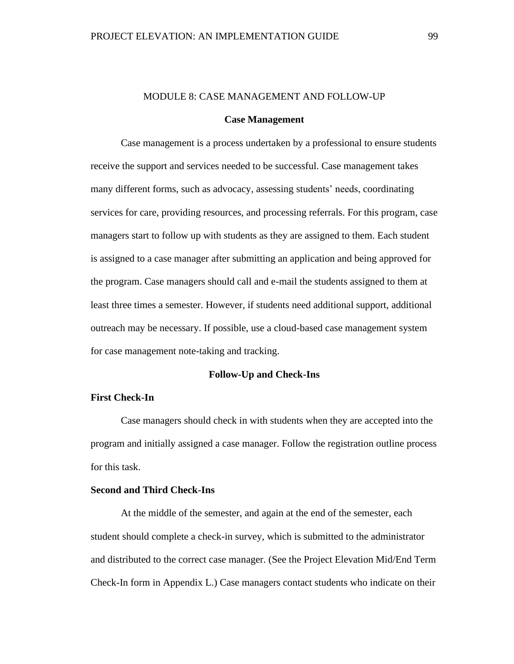# MODULE 8: CASE MANAGEMENT AND FOLLOW-UP

#### **Case Management**

Case management is a process undertaken by a professional to ensure students receive the support and services needed to be successful. Case management takes many different forms, such as advocacy, assessing students' needs, coordinating services for care, providing resources, and processing referrals. For this program, case managers start to follow up with students as they are assigned to them. Each student is assigned to a case manager after submitting an application and being approved for the program. Case managers should call and e-mail the students assigned to them at least three times a semester. However, if students need additional support, additional outreach may be necessary. If possible, use a cloud-based case management system for case management note-taking and tracking.

# **Follow-Up and Check-Ins**

# **First Check-In**

Case managers should check in with students when they are accepted into the program and initially assigned a case manager. Follow the registration outline process for this task.

# **Second and Third Check-Ins**

At the middle of the semester, and again at the end of the semester, each student should complete a check-in survey, which is submitted to the administrator and distributed to the correct case manager. (See the Project Elevation Mid/End Term Check-In form in Appendix L.) Case managers contact students who indicate on their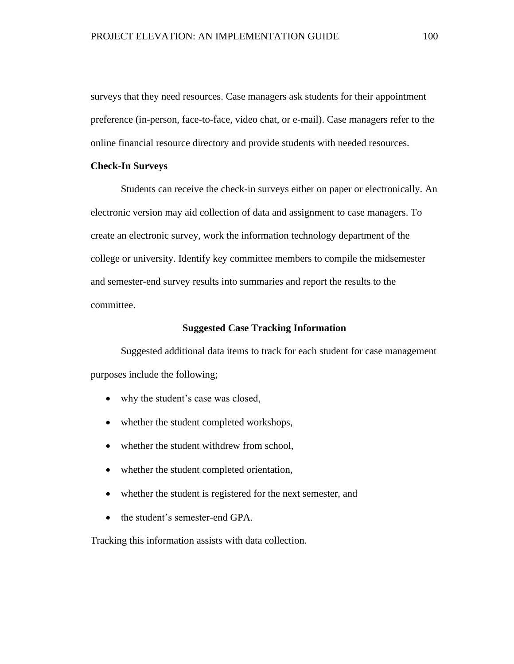surveys that they need resources. Case managers ask students for their appointment preference (in-person, face-to-face, video chat, or e-mail). Case managers refer to the online financial resource directory and provide students with needed resources.

# **Check-In Surveys**

Students can receive the check-in surveys either on paper or electronically. An electronic version may aid collection of data and assignment to case managers. To create an electronic survey, work the information technology department of the college or university. Identify key committee members to compile the midsemester and semester-end survey results into summaries and report the results to the committee.

## **Suggested Case Tracking Information**

Suggested additional data items to track for each student for case management purposes include the following;

- why the student's case was closed,
- whether the student completed workshops,
- whether the student withdrew from school,
- whether the student completed orientation,
- whether the student is registered for the next semester, and
- the student's semester-end GPA.

Tracking this information assists with data collection.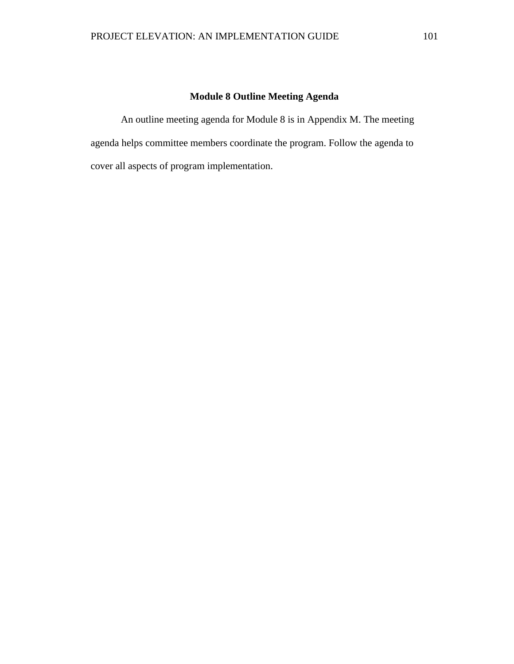# **Module 8 Outline Meeting Agenda**

An outline meeting agenda for Module 8 is in Appendix M. The meeting agenda helps committee members coordinate the program. Follow the agenda to cover all aspects of program implementation.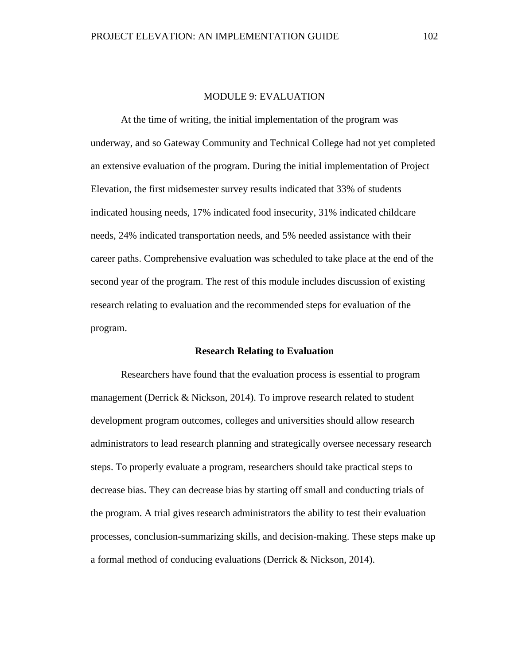# MODULE 9: EVALUATION

At the time of writing, the initial implementation of the program was underway, and so Gateway Community and Technical College had not yet completed an extensive evaluation of the program. During the initial implementation of Project Elevation, the first midsemester survey results indicated that 33% of students indicated housing needs, 17% indicated food insecurity, 31% indicated childcare needs, 24% indicated transportation needs, and 5% needed assistance with their career paths. Comprehensive evaluation was scheduled to take place at the end of the second year of the program. The rest of this module includes discussion of existing research relating to evaluation and the recommended steps for evaluation of the program.

#### **Research Relating to Evaluation**

Researchers have found that the evaluation process is essential to program management (Derrick & Nickson, 2014). To improve research related to student development program outcomes, colleges and universities should allow research administrators to lead research planning and strategically oversee necessary research steps. To properly evaluate a program, researchers should take practical steps to decrease bias. They can decrease bias by starting off small and conducting trials of the program. A trial gives research administrators the ability to test their evaluation processes, conclusion-summarizing skills, and decision-making. These steps make up a formal method of conducing evaluations (Derrick & Nickson, 2014).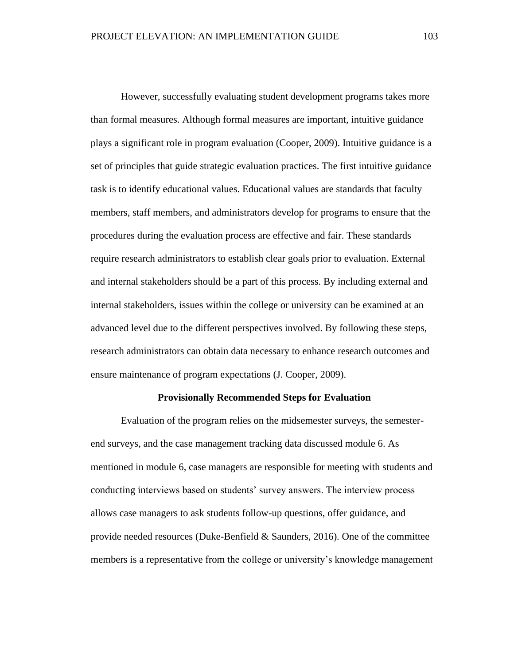However, successfully evaluating student development programs takes more than formal measures. Although formal measures are important, intuitive guidance plays a significant role in program evaluation (Cooper, 2009). Intuitive guidance is a set of principles that guide strategic evaluation practices. The first intuitive guidance task is to identify educational values. Educational values are standards that faculty members, staff members, and administrators develop for programs to ensure that the procedures during the evaluation process are effective and fair. These standards require research administrators to establish clear goals prior to evaluation. External and internal stakeholders should be a part of this process. By including external and internal stakeholders, issues within the college or university can be examined at an advanced level due to the different perspectives involved. By following these steps, research administrators can obtain data necessary to enhance research outcomes and ensure maintenance of program expectations (J. Cooper, 2009).

#### **Provisionally Recommended Steps for Evaluation**

Evaluation of the program relies on the midsemester surveys, the semesterend surveys, and the case management tracking data discussed module 6. As mentioned in module 6, case managers are responsible for meeting with students and conducting interviews based on students' survey answers. The interview process allows case managers to ask students follow-up questions, offer guidance, and provide needed resources (Duke-Benfield & Saunders, 2016). One of the committee members is a representative from the college or university's knowledge management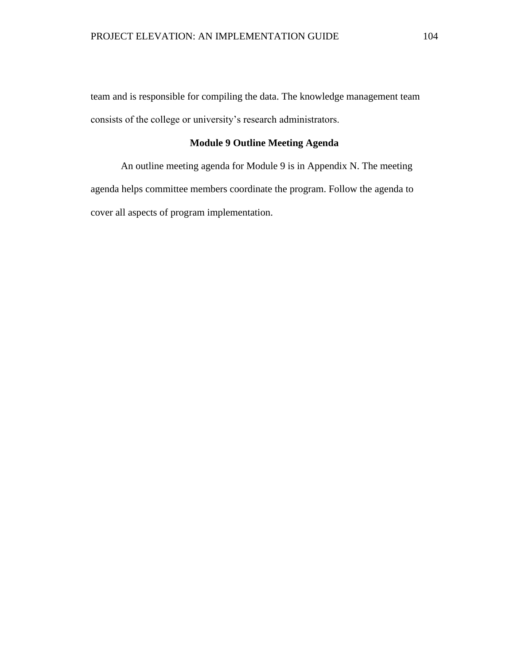team and is responsible for compiling the data. The knowledge management team consists of the college or university's research administrators.

# **Module 9 Outline Meeting Agenda**

An outline meeting agenda for Module 9 is in Appendix N. The meeting agenda helps committee members coordinate the program. Follow the agenda to cover all aspects of program implementation.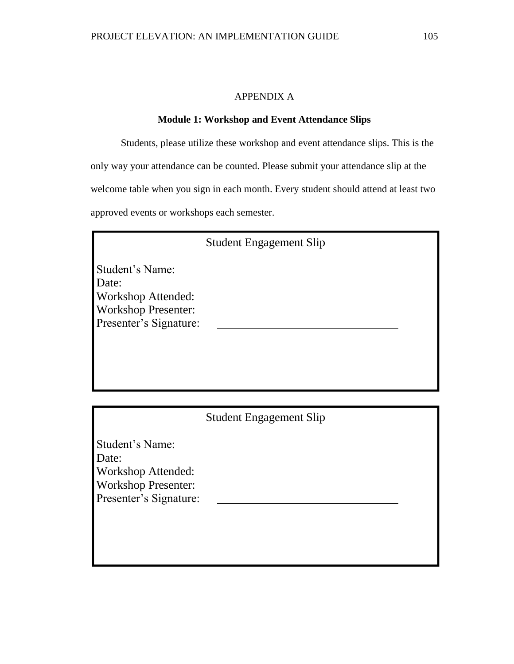# APPENDIX A

# **Module 1: Workshop and Event Attendance Slips**

Students, please utilize these workshop and event attendance slips. This is the only way your attendance can be counted. Please submit your attendance slip at the welcome table when you sign in each month. Every student should attend at least two approved events or workshops each semester.

|                            | <b>Student Engagement Slip</b> |  |
|----------------------------|--------------------------------|--|
| Student's Name:            |                                |  |
| Date:                      |                                |  |
| <b>Workshop Attended:</b>  |                                |  |
| <b>Workshop Presenter:</b> |                                |  |
| Presenter's Signature:     |                                |  |
|                            |                                |  |
|                            |                                |  |

| <b>Student Engagement Slip</b> |  |
|--------------------------------|--|
|--------------------------------|--|

Student's Name: Date: Workshop Attended: Workshop Presenter: Presenter's Signature: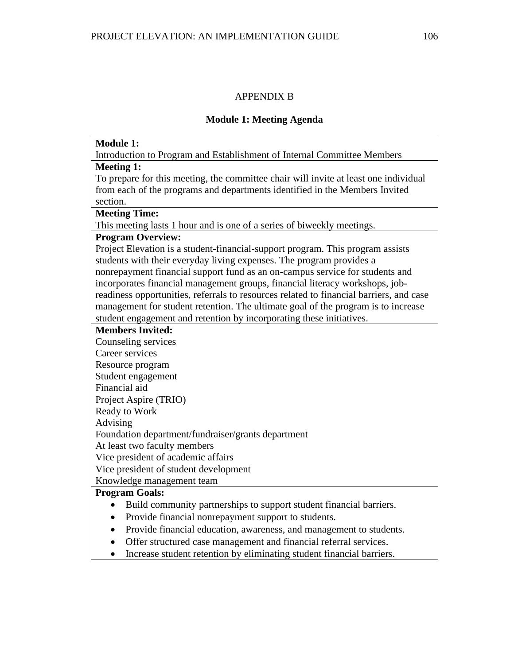# APPENDIX B

# **Module 1: Meeting Agenda**

| Introduction to Program and Establishment of Internal Committee Members<br><b>Meeting 1:</b> |  |
|----------------------------------------------------------------------------------------------|--|
|                                                                                              |  |
|                                                                                              |  |
| To prepare for this meeting, the committee chair will invite at least one individual         |  |
| from each of the programs and departments identified in the Members Invited                  |  |
| section.                                                                                     |  |
| <b>Meeting Time:</b>                                                                         |  |
| This meeting lasts 1 hour and is one of a series of biweekly meetings.                       |  |
| <b>Program Overview:</b>                                                                     |  |
| Project Elevation is a student-financial-support program. This program assists               |  |
| students with their everyday living expenses. The program provides a                         |  |
| nonrepayment financial support fund as an on-campus service for students and                 |  |
| incorporates financial management groups, financial literacy workshops, job-                 |  |
| readiness opportunities, referrals to resources related to financial barriers, and case      |  |
| management for student retention. The ultimate goal of the program is to increase            |  |
| student engagement and retention by incorporating these initiatives.                         |  |
| <b>Members Invited:</b>                                                                      |  |
| Counseling services                                                                          |  |
| Career services                                                                              |  |
| Resource program                                                                             |  |
| Student engagement                                                                           |  |
| Financial aid                                                                                |  |
| Project Aspire (TRIO)                                                                        |  |
| Ready to Work                                                                                |  |
| Advising                                                                                     |  |
| Foundation department/fundraiser/grants department                                           |  |
| At least two faculty members                                                                 |  |
| Vice president of academic affairs                                                           |  |
| Vice president of student development                                                        |  |
| Knowledge management team                                                                    |  |
| <b>Program Goals:</b>                                                                        |  |
| Build community partnerships to support student financial barriers.<br>$\bullet$             |  |
| Provide financial nonrepayment support to students.<br>$\bullet$                             |  |
| Provide financial education, awareness, and management to students.<br>$\bullet$             |  |
| Offer structured case management and financial referral services.<br>$\bullet$               |  |
| Increase student retention by eliminating student financial barriers.<br>$\bullet$           |  |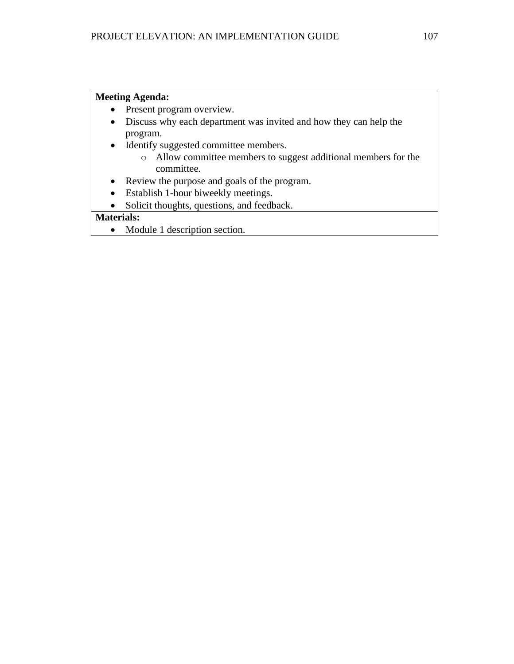# **Meeting Agenda:**

- Present program overview.
- Discuss why each department was invited and how they can help the program.
- Identify suggested committee members.
	- o Allow committee members to suggest additional members for the committee.
- Review the purpose and goals of the program.
- Establish 1-hour biweekly meetings.
- Solicit thoughts, questions, and feedback.

# **Materials:**

• Module 1 description section.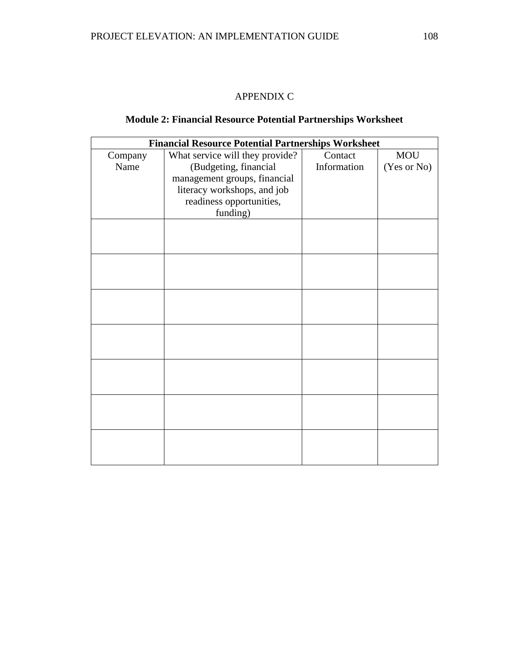# APPENDIX C

### **Module 2: Financial Resource Potential Partnerships Worksheet**

|         | <b>Financial Resource Potential Partnerships Worksheet</b> |             |             |
|---------|------------------------------------------------------------|-------------|-------------|
| Company | What service will they provide?                            | Contact     | <b>MOU</b>  |
| Name    | (Budgeting, financial                                      | Information | (Yes or No) |
|         | management groups, financial                               |             |             |
|         | literacy workshops, and job                                |             |             |
|         | readiness opportunities,                                   |             |             |
|         | funding)                                                   |             |             |
|         |                                                            |             |             |
|         |                                                            |             |             |
|         |                                                            |             |             |
|         |                                                            |             |             |
|         |                                                            |             |             |
|         |                                                            |             |             |
|         |                                                            |             |             |
|         |                                                            |             |             |
|         |                                                            |             |             |
|         |                                                            |             |             |
|         |                                                            |             |             |
|         |                                                            |             |             |
|         |                                                            |             |             |
|         |                                                            |             |             |
|         |                                                            |             |             |
|         |                                                            |             |             |
|         |                                                            |             |             |
|         |                                                            |             |             |
|         |                                                            |             |             |
|         |                                                            |             |             |
|         |                                                            |             |             |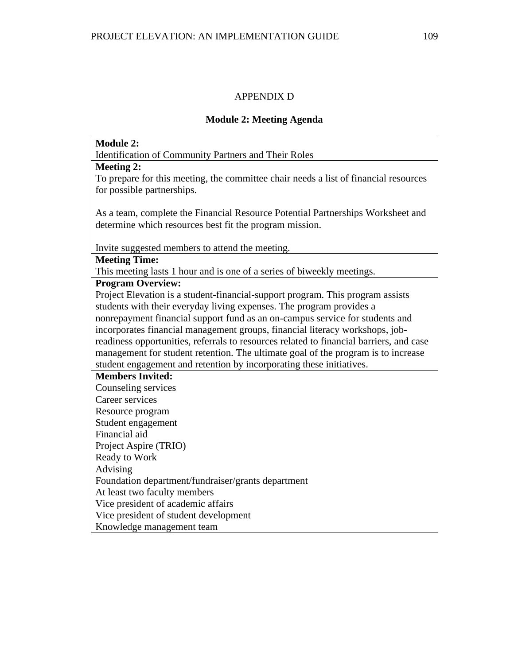# APPENDIX D

# **Module 2: Meeting Agenda**

| <b>Module 2:</b>                                                                        |
|-----------------------------------------------------------------------------------------|
| <b>Identification of Community Partners and Their Roles</b>                             |
| <b>Meeting 2:</b>                                                                       |
| To prepare for this meeting, the committee chair needs a list of financial resources    |
| for possible partnerships.                                                              |
|                                                                                         |
| As a team, complete the Financial Resource Potential Partnerships Worksheet and         |
| determine which resources best fit the program mission.                                 |
|                                                                                         |
| Invite suggested members to attend the meeting.                                         |
| <b>Meeting Time:</b>                                                                    |
| This meeting lasts 1 hour and is one of a series of biweekly meetings.                  |
| <b>Program Overview:</b>                                                                |
| Project Elevation is a student-financial-support program. This program assists          |
| students with their everyday living expenses. The program provides a                    |
| nonrepayment financial support fund as an on-campus service for students and            |
| incorporates financial management groups, financial literacy workshops, job-            |
| readiness opportunities, referrals to resources related to financial barriers, and case |
| management for student retention. The ultimate goal of the program is to increase       |
| student engagement and retention by incorporating these initiatives.                    |
| <b>Members Invited:</b>                                                                 |
| Counseling services                                                                     |
| Career services                                                                         |
| Resource program                                                                        |
| Student engagement                                                                      |
| Financial aid                                                                           |
| Project Aspire (TRIO)                                                                   |
| Ready to Work                                                                           |
| Advising                                                                                |
| Foundation department/fundraiser/grants department                                      |
| At least two faculty members                                                            |
| Vice president of academic affairs                                                      |
| Vice president of student development                                                   |
| Knowledge management team                                                               |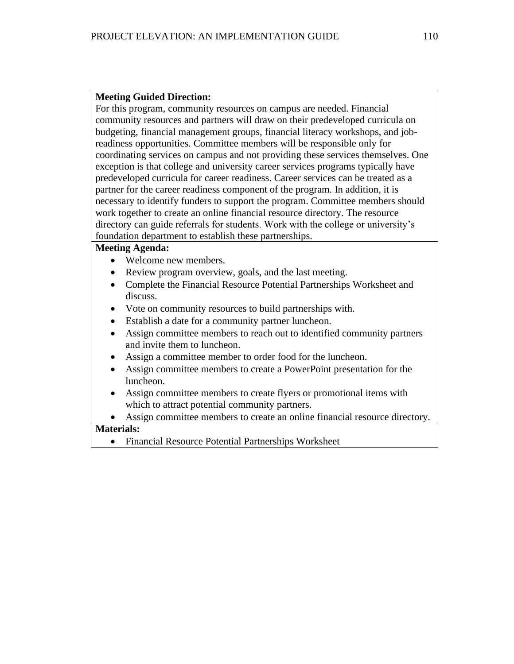For this program, community resources on campus are needed. Financial community resources and partners will draw on their predeveloped curricula on budgeting, financial management groups, financial literacy workshops, and jobreadiness opportunities. Committee members will be responsible only for coordinating services on campus and not providing these services themselves. One exception is that college and university career services programs typically have predeveloped curricula for career readiness. Career services can be treated as a partner for the career readiness component of the program. In addition, it is necessary to identify funders to support the program. Committee members should work together to create an online financial resource directory. The resource directory can guide referrals for students. Work with the college or university's foundation department to establish these partnerships.

#### **Meeting Agenda:**

- Welcome new members.
- Review program overview, goals, and the last meeting.
- Complete the Financial Resource Potential Partnerships Worksheet and discuss.
- Vote on community resources to build partnerships with.
- Establish a date for a community partner luncheon.
- Assign committee members to reach out to identified community partners and invite them to luncheon.
- Assign a committee member to order food for the luncheon.
- Assign committee members to create a PowerPoint presentation for the luncheon.
- Assign committee members to create flyers or promotional items with which to attract potential community partners.
- Assign committee members to create an online financial resource directory.

### **Materials:**

• Financial Resource Potential Partnerships Worksheet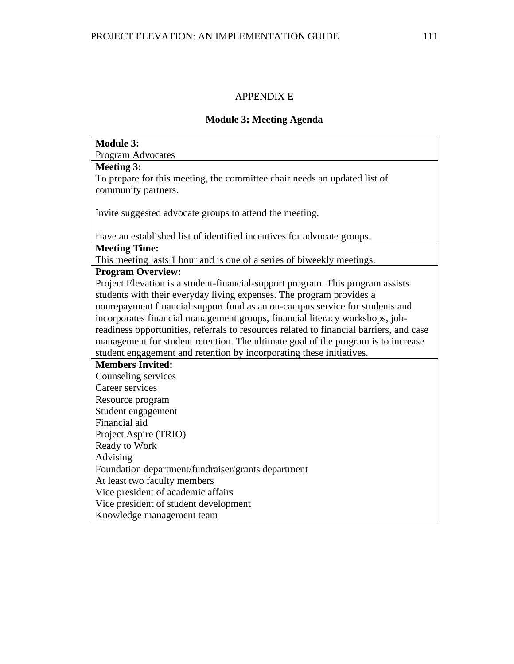# APPENDIX E

### **Module 3: Meeting Agenda**

| <b>Module 3:</b>                                                                        |
|-----------------------------------------------------------------------------------------|
| Program Advocates                                                                       |
| <b>Meeting 3:</b>                                                                       |
| To prepare for this meeting, the committee chair needs an updated list of               |
| community partners.                                                                     |
|                                                                                         |
| Invite suggested advocate groups to attend the meeting.                                 |
|                                                                                         |
| Have an established list of identified incentives for advocate groups.                  |
| <b>Meeting Time:</b>                                                                    |
| This meeting lasts 1 hour and is one of a series of biweekly meetings.                  |
| <b>Program Overview:</b>                                                                |
| Project Elevation is a student-financial-support program. This program assists          |
| students with their everyday living expenses. The program provides a                    |
| nonrepayment financial support fund as an on-campus service for students and            |
| incorporates financial management groups, financial literacy workshops, job-            |
| readiness opportunities, referrals to resources related to financial barriers, and case |
| management for student retention. The ultimate goal of the program is to increase       |
| student engagement and retention by incorporating these initiatives.                    |
| <b>Members Invited:</b>                                                                 |
| Counseling services                                                                     |
| Career services                                                                         |
| Resource program                                                                        |
| Student engagement                                                                      |
| Financial aid                                                                           |
| Project Aspire (TRIO)                                                                   |
| Ready to Work                                                                           |
| Advising                                                                                |
| Foundation department/fundraiser/grants department                                      |
| At least two faculty members                                                            |
| Vice president of academic affairs                                                      |
| Vice president of student development                                                   |
| Knowledge management team                                                               |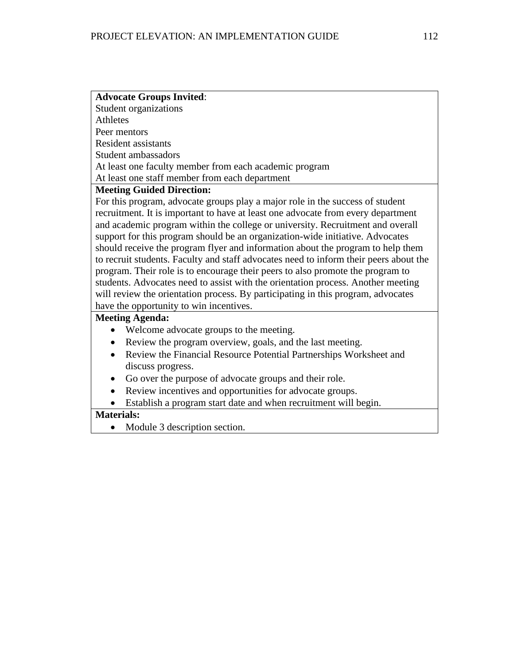| <b>Advocate Groups Invited:</b>                        |
|--------------------------------------------------------|
| Student organizations                                  |
| Athletes                                               |
| Peer mentors                                           |
| <b>Resident assistants</b>                             |
| Student ambassadors                                    |
| At least one faculty member from each academic program |
| At least one staff member from each department         |
| <b>Meeting Guided Direction:</b>                       |

For this program, advocate groups play a major role in the success of student recruitment. It is important to have at least one advocate from every department and academic program within the college or university. Recruitment and overall support for this program should be an organization-wide initiative. Advocates should receive the program flyer and information about the program to help them to recruit students. Faculty and staff advocates need to inform their peers about the program. Their role is to encourage their peers to also promote the program to students. Advocates need to assist with the orientation process. Another meeting will review the orientation process. By participating in this program, advocates have the opportunity to win incentives.

#### **Meeting Agenda:**

- Welcome advocate groups to the meeting.
- Review the program overview, goals, and the last meeting.
- Review the Financial Resource Potential Partnerships Worksheet and discuss progress.
- Go over the purpose of advocate groups and their role.
- Review incentives and opportunities for advocate groups.
- Establish a program start date and when recruitment will begin.

### **Materials:**

• Module 3 description section.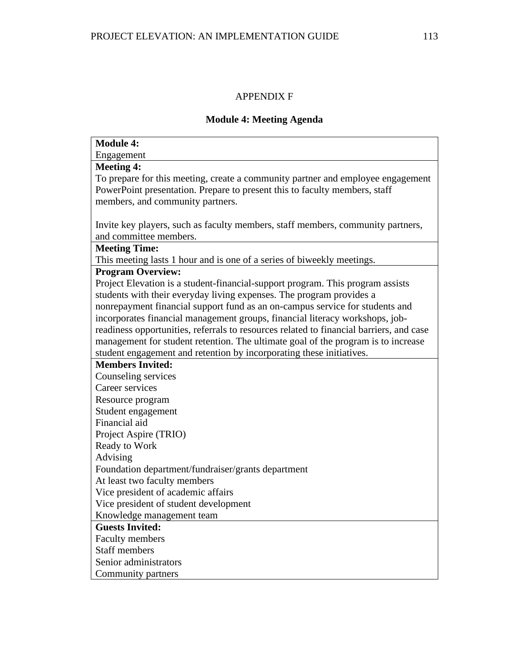# APPENDIX F

# **Module 4: Meeting Agenda**

| <b>Module 4:</b>                                                                        |
|-----------------------------------------------------------------------------------------|
| Engagement                                                                              |
| <b>Meeting 4:</b>                                                                       |
| To prepare for this meeting, create a community partner and employee engagement         |
| PowerPoint presentation. Prepare to present this to faculty members, staff              |
| members, and community partners.                                                        |
|                                                                                         |
| Invite key players, such as faculty members, staff members, community partners,         |
| and committee members.                                                                  |
| <b>Meeting Time:</b>                                                                    |
| This meeting lasts 1 hour and is one of a series of biweekly meetings.                  |
| <b>Program Overview:</b>                                                                |
| Project Elevation is a student-financial-support program. This program assists          |
| students with their everyday living expenses. The program provides a                    |
| nonrepayment financial support fund as an on-campus service for students and            |
| incorporates financial management groups, financial literacy workshops, job-            |
| readiness opportunities, referrals to resources related to financial barriers, and case |
| management for student retention. The ultimate goal of the program is to increase       |
| student engagement and retention by incorporating these initiatives.                    |
| <b>Members Invited:</b>                                                                 |
| Counseling services                                                                     |
| Career services                                                                         |
| Resource program                                                                        |
| Student engagement                                                                      |
| Financial aid                                                                           |
| Project Aspire (TRIO)                                                                   |
| Ready to Work                                                                           |
| Advising                                                                                |
| Foundation department/fundraiser/grants department                                      |
| At least two faculty members                                                            |
| Vice president of academic affairs                                                      |
| Vice president of student development                                                   |
| Knowledge management team                                                               |
| <b>Guests Invited:</b>                                                                  |
| <b>Faculty members</b>                                                                  |
| <b>Staff members</b>                                                                    |
| Senior administrators                                                                   |
| Community partners                                                                      |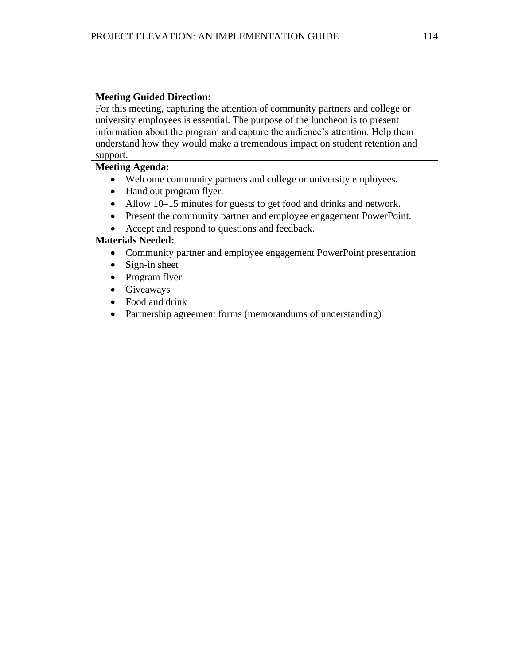For this meeting, capturing the attention of community partners and college or university employees is essential. The purpose of the luncheon is to present information about the program and capture the audience's attention. Help them understand how they would make a tremendous impact on student retention and support.

#### **Meeting Agenda:**

- Welcome community partners and college or university employees.
- Hand out program flyer.
- Allow 10–15 minutes for guests to get food and drinks and network.
- Present the community partner and employee engagement PowerPoint.
- Accept and respond to questions and feedback.

- Community partner and employee engagement PowerPoint presentation
- Sign-in sheet
- Program flyer
- **Giveaways**
- Food and drink
- Partnership agreement forms (memorandums of understanding)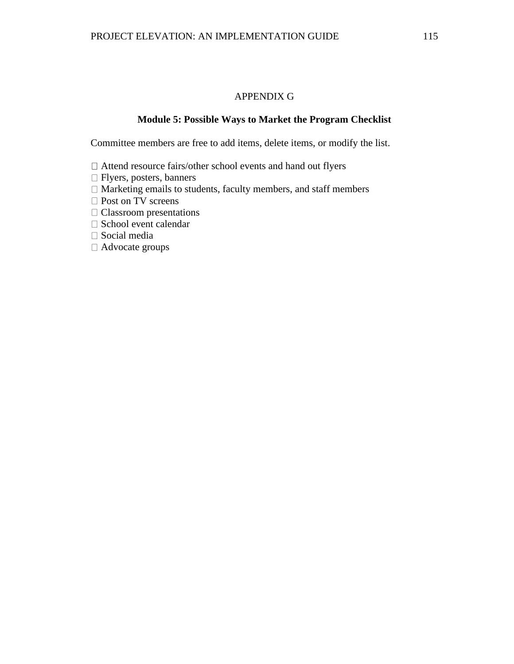#### APPENDIX G

#### **Module 5: Possible Ways to Market the Program Checklist**

Committee members are free to add items, delete items, or modify the list.

- Attend resource fairs/other school events and hand out flyers
- Flyers, posters, banners
- $\Box$  Marketing emails to students, faculty members, and staff members
- □ Post on TV screens
- Classroom presentations
- $\Box$  School event calendar
- Social media
- Advocate groups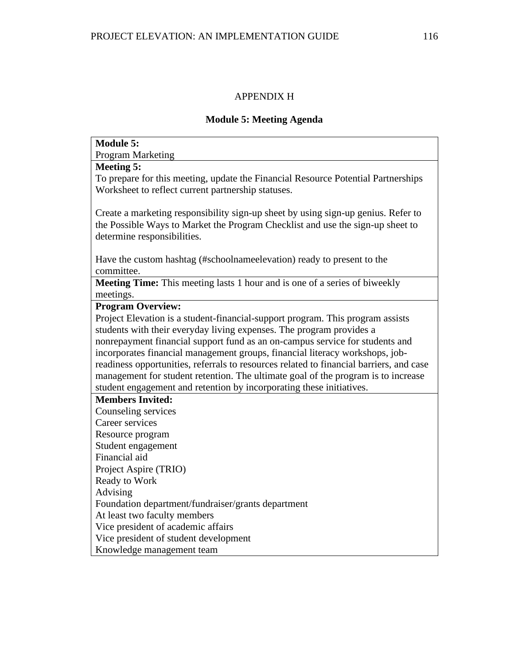# APPENDIX H

### **Module 5: Meeting Agenda**

| <b>Module 5:</b>                                                                        |
|-----------------------------------------------------------------------------------------|
| <b>Program Marketing</b>                                                                |
| <b>Meeting 5:</b>                                                                       |
| To prepare for this meeting, update the Financial Resource Potential Partnerships       |
| Worksheet to reflect current partnership statuses.                                      |
|                                                                                         |
| Create a marketing responsibility sign-up sheet by using sign-up genius. Refer to       |
| the Possible Ways to Market the Program Checklist and use the sign-up sheet to          |
| determine responsibilities.                                                             |
|                                                                                         |
| Have the custom hashtag (#schoolnameelevation) ready to present to the                  |
| committee.                                                                              |
| <b>Meeting Time:</b> This meeting lasts 1 hour and is one of a series of biweekly       |
| meetings.                                                                               |
| <b>Program Overview:</b>                                                                |
| Project Elevation is a student-financial-support program. This program assists          |
| students with their everyday living expenses. The program provides a                    |
| nonrepayment financial support fund as an on-campus service for students and            |
| incorporates financial management groups, financial literacy workshops, job-            |
| readiness opportunities, referrals to resources related to financial barriers, and case |
| management for student retention. The ultimate goal of the program is to increase       |
| student engagement and retention by incorporating these initiatives.                    |
| <b>Members Invited:</b>                                                                 |
| Counseling services                                                                     |
| Career services                                                                         |
| Resource program                                                                        |
| Student engagement                                                                      |
| Financial aid                                                                           |
| Project Aspire (TRIO)                                                                   |
| Ready to Work                                                                           |
| Advising                                                                                |
| Foundation department/fundraiser/grants department                                      |
| At least two faculty members                                                            |
| Vice president of academic affairs                                                      |
| Vice president of student development                                                   |
| Knowledge management team                                                               |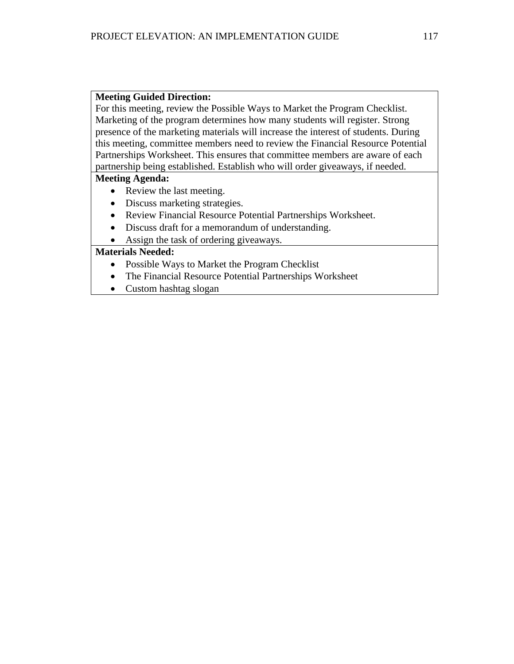For this meeting, review the Possible Ways to Market the Program Checklist. Marketing of the program determines how many students will register. Strong presence of the marketing materials will increase the interest of students. During this meeting, committee members need to review the Financial Resource Potential Partnerships Worksheet. This ensures that committee members are aware of each partnership being established. Establish who will order giveaways, if needed.

#### **Meeting Agenda:**

- Review the last meeting.
- Discuss marketing strategies.
- Review Financial Resource Potential Partnerships Worksheet.
- Discuss draft for a memorandum of understanding.
- Assign the task of ordering giveaways.

- Possible Ways to Market the Program Checklist
- The Financial Resource Potential Partnerships Worksheet
- Custom hashtag slogan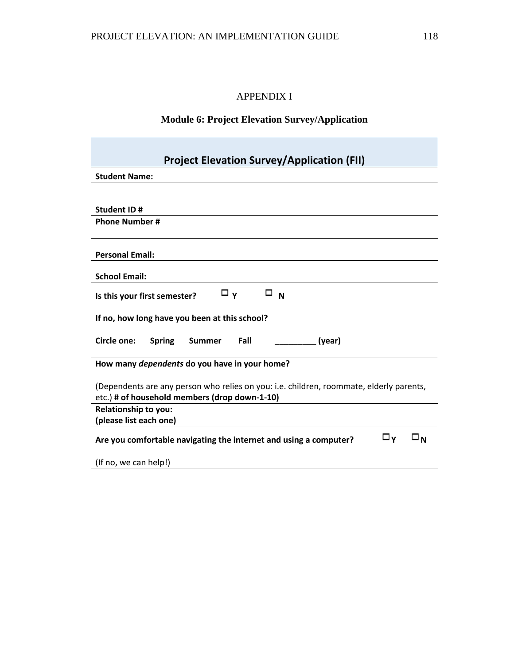# APPENDIX I

# **Module 6: Project Elevation Survey/Application**

| <b>Project Elevation Survey/Application (FII)</b>                                        |
|------------------------------------------------------------------------------------------|
| <b>Student Name:</b>                                                                     |
|                                                                                          |
| <b>Student ID#</b>                                                                       |
| <b>Phone Number#</b>                                                                     |
|                                                                                          |
| <b>Personal Email:</b>                                                                   |
| <b>School Email:</b>                                                                     |
| $\Box$ N<br>□γ<br>Is this your first semester?                                           |
| If no, how long have you been at this school?                                            |
| Circle one:<br><b>Spring</b><br>Fall<br>(year)<br>Summer                                 |
| How many dependents do you have in your home?                                            |
| (Dependents are any person who relies on you: i.e. children, roommate, elderly parents,  |
| etc.) # of household members (drop down-1-10)                                            |
| <b>Relationship to you:</b>                                                              |
| (please list each one)                                                                   |
| □γ<br>$\square_{N}$<br>Are you comfortable navigating the internet and using a computer? |
| (If no, we can help!)                                                                    |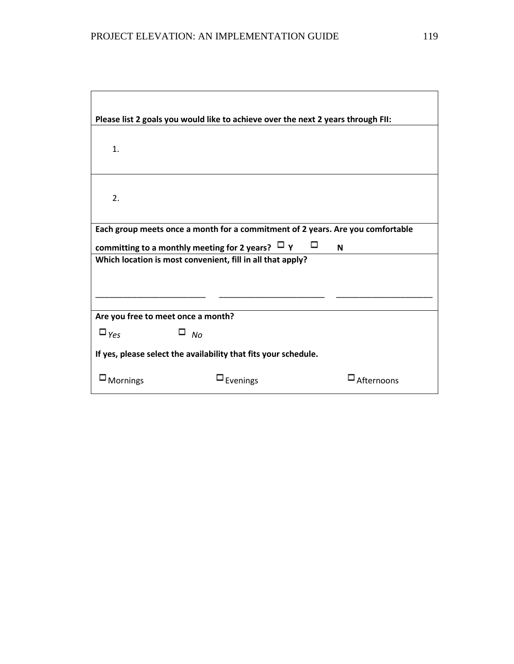|                                                                 | Please list 2 goals you would like to achieve over the next 2 years through FII: |            |
|-----------------------------------------------------------------|----------------------------------------------------------------------------------|------------|
| 1.                                                              |                                                                                  |            |
| 2.                                                              |                                                                                  |            |
|                                                                 | Each group meets once a month for a commitment of 2 years. Are you comfortable   |            |
| committing to a monthly meeting for 2 years? $\Box$ Y<br>⊔<br>N |                                                                                  |            |
|                                                                 | Which location is most convenient, fill in all that apply?                       |            |
|                                                                 |                                                                                  |            |
|                                                                 |                                                                                  |            |
| Are you free to meet once a month?                              |                                                                                  |            |
| $\square_{\gamma_{\text{CS}}}$<br>□<br><b>No</b>                |                                                                                  |            |
|                                                                 | If yes, please select the availability that fits your schedule.                  |            |
| Mornings                                                        | Evenings                                                                         | Afternoons |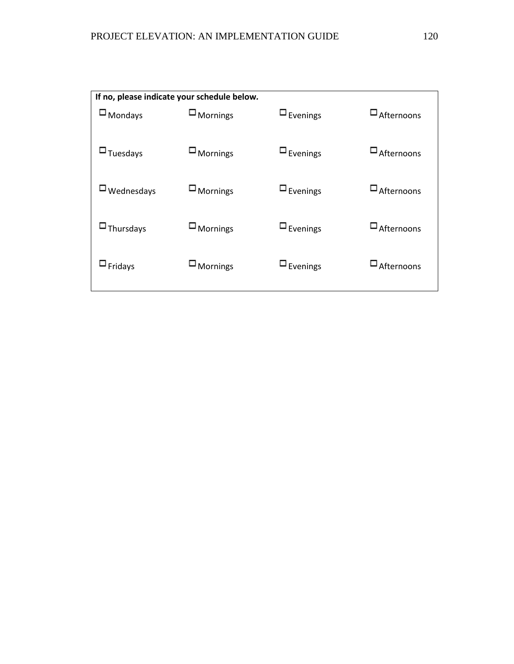| If no, please indicate your schedule below. |                    |                    |                      |
|---------------------------------------------|--------------------|--------------------|----------------------|
| $\Box$ Mondays                              | $\square$ Mornings | $\square$ Evenings | $\square$ Afternoons |
| $\Box$ Tuesdays                             | $\square$ Mornings | $\square$ Evenings | $\Box$ Afternoons    |
| $\Box$ Wednesdays                           | $\square$ Mornings | $\square$ Evenings | $\square$ Afternoons |
| $\Box$ Thursdays                            | $\square$ Mornings | $\square$ Evenings | $\square$ Afternoons |
| $\square$ Fridays                           | $\square$ Mornings | $\square$ Evenings | $\square$ Afternoons |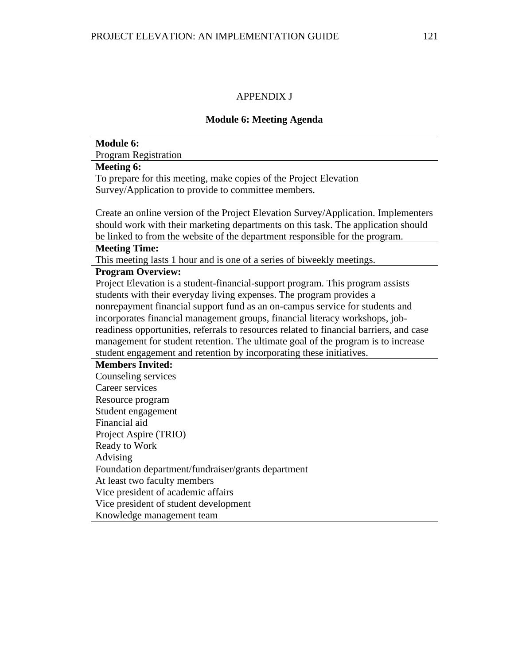# APPENDIX J

# **Module 6: Meeting Agenda**

| <b>Module 6:</b>                                                                        |
|-----------------------------------------------------------------------------------------|
| <b>Program Registration</b>                                                             |
| <b>Meeting 6:</b>                                                                       |
| To prepare for this meeting, make copies of the Project Elevation                       |
| Survey/Application to provide to committee members.                                     |
|                                                                                         |
| Create an online version of the Project Elevation Survey/Application. Implementers      |
| should work with their marketing departments on this task. The application should       |
| be linked to from the website of the department responsible for the program.            |
| <b>Meeting Time:</b>                                                                    |
| This meeting lasts 1 hour and is one of a series of biweekly meetings.                  |
| <b>Program Overview:</b>                                                                |
| Project Elevation is a student-financial-support program. This program assists          |
| students with their everyday living expenses. The program provides a                    |
| nonrepayment financial support fund as an on-campus service for students and            |
| incorporates financial management groups, financial literacy workshops, job-            |
| readiness opportunities, referrals to resources related to financial barriers, and case |
| management for student retention. The ultimate goal of the program is to increase       |
| student engagement and retention by incorporating these initiatives.                    |
| <b>Members Invited:</b>                                                                 |
| Counseling services                                                                     |
| Career services                                                                         |
| Resource program                                                                        |
| Student engagement                                                                      |
| Financial aid                                                                           |
| Project Aspire (TRIO)                                                                   |
| Ready to Work                                                                           |
| Advising                                                                                |
| Foundation department/fundraiser/grants department                                      |
| At least two faculty members                                                            |
| Vice president of academic affairs                                                      |
| Vice president of student development                                                   |
| Knowledge management team                                                               |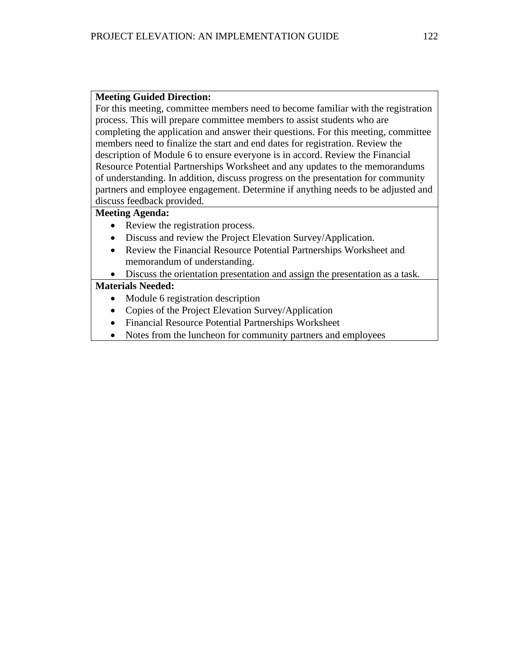For this meeting, committee members need to become familiar with the registration process. This will prepare committee members to assist students who are completing the application and answer their questions. For this meeting, committee members need to finalize the start and end dates for registration. Review the description of Module 6 to ensure everyone is in accord. Review the Financial Resource Potential Partnerships Worksheet and any updates to the memorandums of understanding. In addition, discuss progress on the presentation for community partners and employee engagement. Determine if anything needs to be adjusted and discuss feedback provided.

#### **Meeting Agenda:**

- Review the registration process.
- Discuss and review the Project Elevation Survey/Application.
- Review the Financial Resource Potential Partnerships Worksheet and memorandum of understanding.
- Discuss the orientation presentation and assign the presentation as a task.

- Module 6 registration description
- Copies of the Project Elevation Survey/Application
- Financial Resource Potential Partnerships Worksheet
- Notes from the luncheon for community partners and employees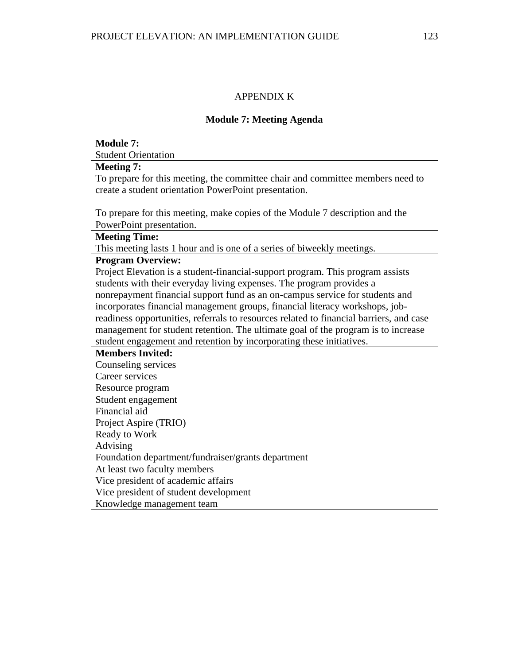# APPENDIX K

### **Module 7: Meeting Agenda**

| <b>Module 7:</b>                                                                        |
|-----------------------------------------------------------------------------------------|
| <b>Student Orientation</b>                                                              |
| <b>Meeting 7:</b>                                                                       |
| To prepare for this meeting, the committee chair and committee members need to          |
| create a student orientation PowerPoint presentation.                                   |
|                                                                                         |
| To prepare for this meeting, make copies of the Module 7 description and the            |
| PowerPoint presentation.                                                                |
| <b>Meeting Time:</b>                                                                    |
| This meeting lasts 1 hour and is one of a series of biweekly meetings.                  |
| <b>Program Overview:</b>                                                                |
| Project Elevation is a student-financial-support program. This program assists          |
| students with their everyday living expenses. The program provides a                    |
| nonrepayment financial support fund as an on-campus service for students and            |
| incorporates financial management groups, financial literacy workshops, job-            |
| readiness opportunities, referrals to resources related to financial barriers, and case |
| management for student retention. The ultimate goal of the program is to increase       |
| student engagement and retention by incorporating these initiatives.                    |
| <b>Members Invited:</b>                                                                 |
| Counseling services                                                                     |
| Career services                                                                         |
| Resource program                                                                        |
| Student engagement                                                                      |
| Financial aid                                                                           |
| Project Aspire (TRIO)                                                                   |
| Ready to Work                                                                           |
| Advising                                                                                |
| Foundation department/fundraiser/grants department                                      |
| At least two faculty members                                                            |
| Vice president of academic affairs                                                      |
| Vice president of student development                                                   |
| Knowledge management team                                                               |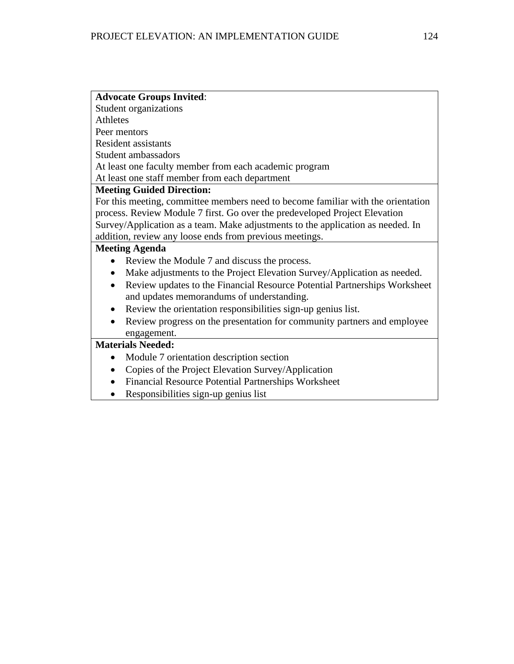| <b>Advocate Groups Invited:</b>                                                        |
|----------------------------------------------------------------------------------------|
| <b>Student organizations</b>                                                           |
| <b>Athletes</b>                                                                        |
| Peer mentors                                                                           |
| <b>Resident assistants</b>                                                             |
| Student ambassadors                                                                    |
| At least one faculty member from each academic program                                 |
| At least one staff member from each department                                         |
| <b>Meeting Guided Direction:</b>                                                       |
| For this meeting, committee members need to become familiar with the orientation       |
| process. Review Module 7 first. Go over the predeveloped Project Elevation             |
| Survey/Application as a team. Make adjustments to the application as needed. In        |
| addition, review any loose ends from previous meetings.                                |
| <b>Meeting Agenda</b>                                                                  |
| Review the Module 7 and discuss the process.                                           |
| Make adjustments to the Project Elevation Survey/Application as needed.                |
| Review updates to the Financial Resource Potential Partnerships Worksheet<br>$\bullet$ |
| and updates memorandums of understanding.                                              |
| Review the orientation responsibilities sign-up genius list.<br>$\bullet$              |
| Review progress on the presentation for community partners and employee                |
| engagement.                                                                            |
| <b>Materials Needed:</b>                                                               |
| Module 7 orientation description section                                               |
| Copies of the Project Elevation Survey/Application<br>$\bullet$                        |
| Financial Resource Potential Partnerships Worksheet<br>$\bullet$                       |
| Responsibilities sign-up genius list                                                   |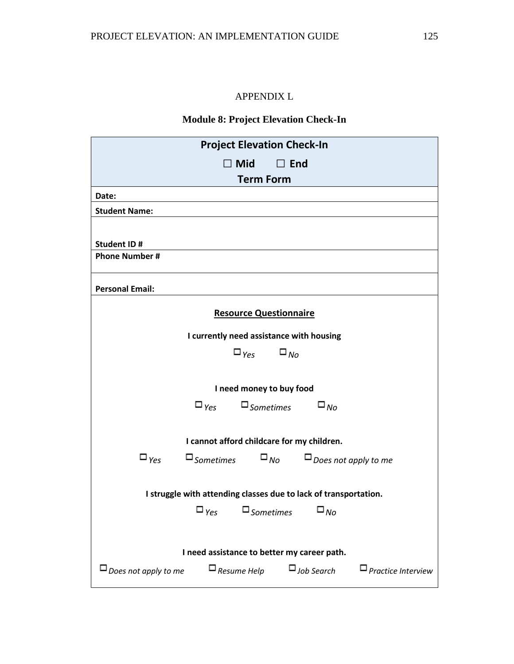# APPENDIX L

### **Module 8: Project Elevation Check-In**

| <b>Project Elevation Check-In</b>                                                                                       |  |  |  |  |
|-------------------------------------------------------------------------------------------------------------------------|--|--|--|--|
| $\Box$ Mid<br>$\Box$ End                                                                                                |  |  |  |  |
| <b>Term Form</b>                                                                                                        |  |  |  |  |
| Date:                                                                                                                   |  |  |  |  |
| <b>Student Name:</b>                                                                                                    |  |  |  |  |
|                                                                                                                         |  |  |  |  |
| Student ID#                                                                                                             |  |  |  |  |
| <b>Phone Number#</b>                                                                                                    |  |  |  |  |
| <b>Personal Email:</b>                                                                                                  |  |  |  |  |
| <b>Resource Questionnaire</b>                                                                                           |  |  |  |  |
| I currently need assistance with housing                                                                                |  |  |  |  |
| $\square_{\gamma_{eS}} \square_{\mathit{No}}$                                                                           |  |  |  |  |
|                                                                                                                         |  |  |  |  |
| I need money to buy food                                                                                                |  |  |  |  |
| $\square_{\textit{Yes}}$ $\square_{\textit{Sometimes}}$<br>$\square_{N_O}$                                              |  |  |  |  |
|                                                                                                                         |  |  |  |  |
| I cannot afford childcare for my children.                                                                              |  |  |  |  |
| $\square$ Sometimes $\square_{\textit{No}}$ $\square_{\textit{Does not apply to me}}$<br>$\square_{\gamma_{\text{CS}}}$ |  |  |  |  |
|                                                                                                                         |  |  |  |  |
| I struggle with attending classes due to lack of transportation.                                                        |  |  |  |  |
| $\square_{\textit{Yes}}$ $\square_{\textit{Sometimes}}$ $\square_{\textit{No}}$                                         |  |  |  |  |
|                                                                                                                         |  |  |  |  |
| I need assistance to better my career path.                                                                             |  |  |  |  |
| $\Box$ Does not apply to me<br>$\Box$ Resume Help<br>$\Box$ Job Search<br>$\Box$ Practice Interview                     |  |  |  |  |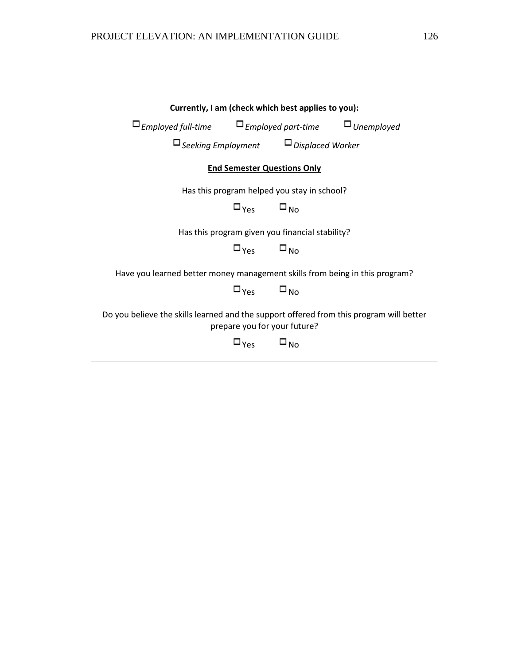| Currently, I am (check which best applies to you):                                                                      |                                              |                                                         |  |
|-------------------------------------------------------------------------------------------------------------------------|----------------------------------------------|---------------------------------------------------------|--|
| $\square$ Employed full-time $\square$ Employed part-time $\square$ Unemployed                                          |                                              |                                                         |  |
|                                                                                                                         |                                              | $\square$ Seeking Employment $\square$ Displaced Worker |  |
| <b>End Semester Questions Only</b>                                                                                      |                                              |                                                         |  |
|                                                                                                                         |                                              | Has this program helped you stay in school?             |  |
|                                                                                                                         | $\square_{\text{Yes}}$ $\square_{\text{No}}$ |                                                         |  |
| Has this program given you financial stability?                                                                         |                                              |                                                         |  |
|                                                                                                                         | $\square_{\text{Yes}}$ $\square_{\text{No}}$ |                                                         |  |
| Have you learned better money management skills from being in this program?                                             |                                              |                                                         |  |
|                                                                                                                         | $\square_{\text{Yes}}$ $\square_{\text{No}}$ |                                                         |  |
| Do you believe the skills learned and the support offered from this program will better<br>prepare you for your future? |                                              |                                                         |  |
|                                                                                                                         | $\square_{\text{Yes}}$ $\square_{\text{No}}$ |                                                         |  |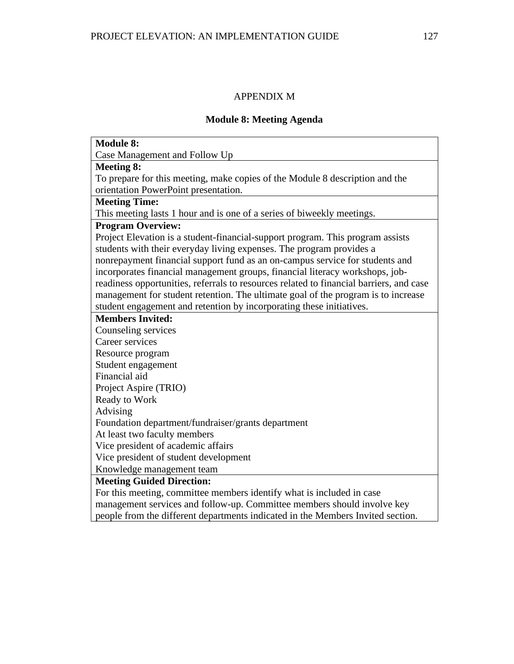# APPENDIX M

### **Module 8: Meeting Agenda**

| <b>Module 8:</b>                                                                        |
|-----------------------------------------------------------------------------------------|
| Case Management and Follow Up                                                           |
| <b>Meeting 8:</b>                                                                       |
| To prepare for this meeting, make copies of the Module 8 description and the            |
| orientation PowerPoint presentation.                                                    |
| <b>Meeting Time:</b>                                                                    |
| This meeting lasts 1 hour and is one of a series of biweekly meetings.                  |
| <b>Program Overview:</b>                                                                |
| Project Elevation is a student-financial-support program. This program assists          |
| students with their everyday living expenses. The program provides a                    |
| nonrepayment financial support fund as an on-campus service for students and            |
| incorporates financial management groups, financial literacy workshops, job-            |
| readiness opportunities, referrals to resources related to financial barriers, and case |
| management for student retention. The ultimate goal of the program is to increase       |
| student engagement and retention by incorporating these initiatives.                    |
| <b>Members Invited:</b>                                                                 |
| Counseling services                                                                     |
| Career services                                                                         |
| Resource program                                                                        |
| Student engagement                                                                      |
| Financial aid                                                                           |
| Project Aspire (TRIO)                                                                   |
| Ready to Work                                                                           |
| Advising                                                                                |
| Foundation department/fundraiser/grants department                                      |
| At least two faculty members                                                            |
| Vice president of academic affairs                                                      |
| Vice president of student development                                                   |
| Knowledge management team                                                               |
| <b>Meeting Guided Direction:</b>                                                        |
| For this meeting, committee members identify what is included in case                   |
| management services and follow-up. Committee members should involve key                 |
| people from the different departments indicated in the Members Invited section.         |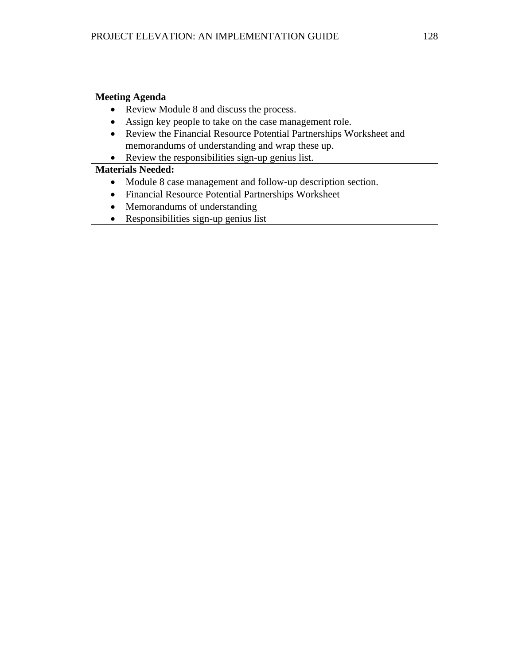### **Meeting Agenda**

- Review Module 8 and discuss the process.
- Assign key people to take on the case management role.
- Review the Financial Resource Potential Partnerships Worksheet and memorandums of understanding and wrap these up.
- Review the responsibilities sign-up genius list.

- Module 8 case management and follow-up description section.
- Financial Resource Potential Partnerships Worksheet
- Memorandums of understanding
- Responsibilities sign-up genius list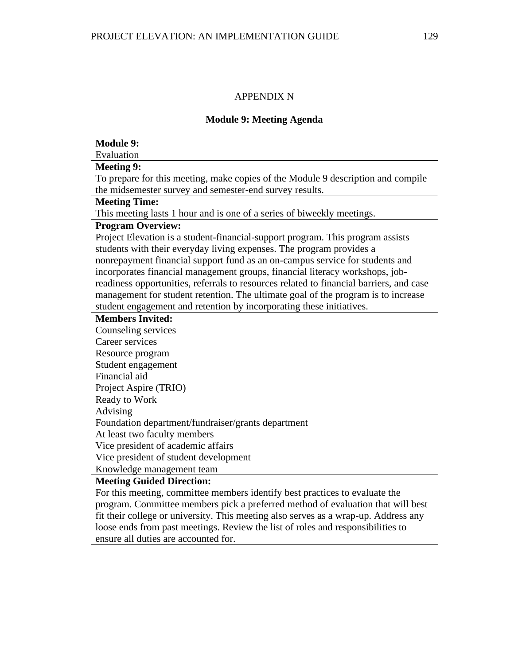# APPENDIX N

### **Module 9: Meeting Agenda**

| <b>Module 9:</b>                                                                        |
|-----------------------------------------------------------------------------------------|
| Evaluation                                                                              |
| <b>Meeting 9:</b>                                                                       |
| To prepare for this meeting, make copies of the Module 9 description and compile        |
| the midsemester survey and semester-end survey results.                                 |
| <b>Meeting Time:</b>                                                                    |
| This meeting lasts 1 hour and is one of a series of biweekly meetings.                  |
| <b>Program Overview:</b>                                                                |
| Project Elevation is a student-financial-support program. This program assists          |
| students with their everyday living expenses. The program provides a                    |
| nonrepayment financial support fund as an on-campus service for students and            |
| incorporates financial management groups, financial literacy workshops, job-            |
| readiness opportunities, referrals to resources related to financial barriers, and case |
| management for student retention. The ultimate goal of the program is to increase       |
| student engagement and retention by incorporating these initiatives.                    |
| <b>Members Invited:</b>                                                                 |
| Counseling services                                                                     |
| Career services                                                                         |
| Resource program                                                                        |
| Student engagement                                                                      |
| Financial aid                                                                           |
| Project Aspire (TRIO)                                                                   |
| Ready to Work                                                                           |
| Advising                                                                                |
| Foundation department/fundraiser/grants department                                      |
| At least two faculty members                                                            |
| Vice president of academic affairs                                                      |
| Vice president of student development                                                   |
| Knowledge management team                                                               |
| <b>Meeting Guided Direction:</b>                                                        |
| For this meeting, committee members identify best practices to evaluate the             |
| program. Committee members pick a preferred method of evaluation that will best         |
| fit their college or university. This meeting also serves as a wrap-up. Address any     |
| loose ends from past meetings. Review the list of roles and responsibilities to         |
| ensure all duties are accounted for.                                                    |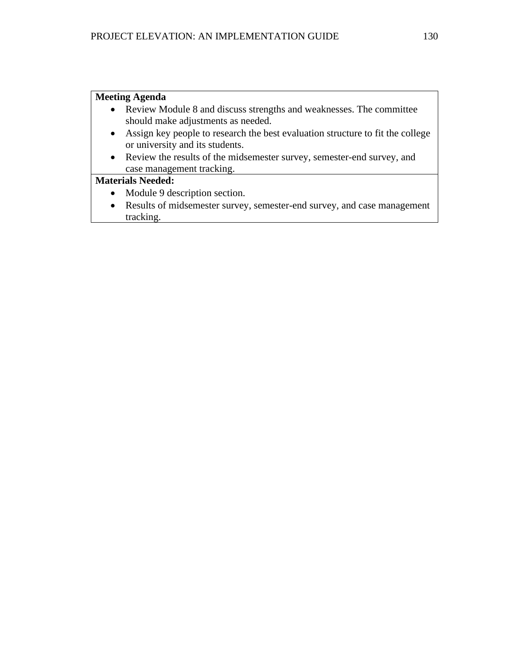### **Meeting Agenda**

- Review Module 8 and discuss strengths and weaknesses. The committee should make adjustments as needed.
- Assign key people to research the best evaluation structure to fit the college or university and its students.
- Review the results of the midsemester survey, semester-end survey, and case management tracking.

- Module 9 description section.
- Results of midsemester survey, semester-end survey, and case management tracking.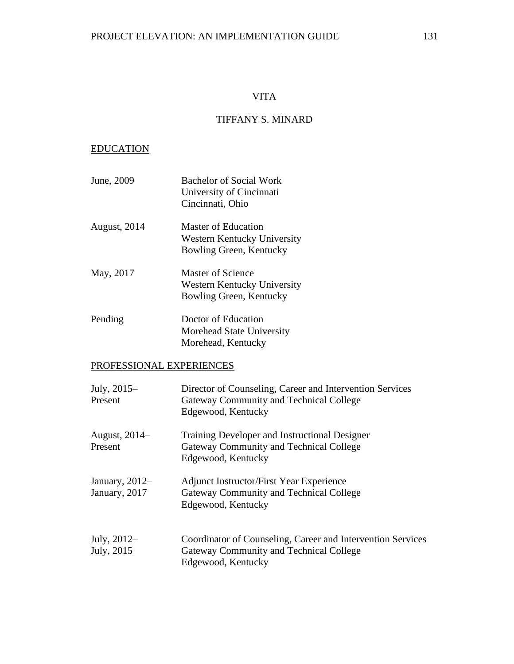### VITA

# TIFFANY S. MINARD

### EDUCATION

| June, 2009          | <b>Bachelor of Social Work</b><br>University of Cincinnati<br>Cincinnati, Ohio |
|---------------------|--------------------------------------------------------------------------------|
| <b>August, 2014</b> | Master of Education<br>Western Kentucky University<br>Bowling Green, Kentucky  |
| May, 2017           | Master of Science<br>Western Kentucky University<br>Bowling Green, Kentucky    |
| Pending             | Doctor of Education<br>Morehead State University                               |

Morehead, Kentucky

# PROFESSIONAL EXPERIENCES

| July, 2015-<br>Present            | Director of Counseling, Career and Intervention Services<br>Gateway Community and Technical College<br>Edgewood, Kentucky    |
|-----------------------------------|------------------------------------------------------------------------------------------------------------------------------|
| August, 2014–<br>Present          | Training Developer and Instructional Designer<br>Gateway Community and Technical College<br>Edgewood, Kentucky               |
| January, $2012-$<br>January, 2017 | <b>Adjunct Instructor/First Year Experience</b><br>Gateway Community and Technical College<br>Edgewood, Kentucky             |
| July, 2012–<br>July, 2015         | Coordinator of Counseling, Career and Intervention Services<br>Gateway Community and Technical College<br>Edgewood, Kentucky |